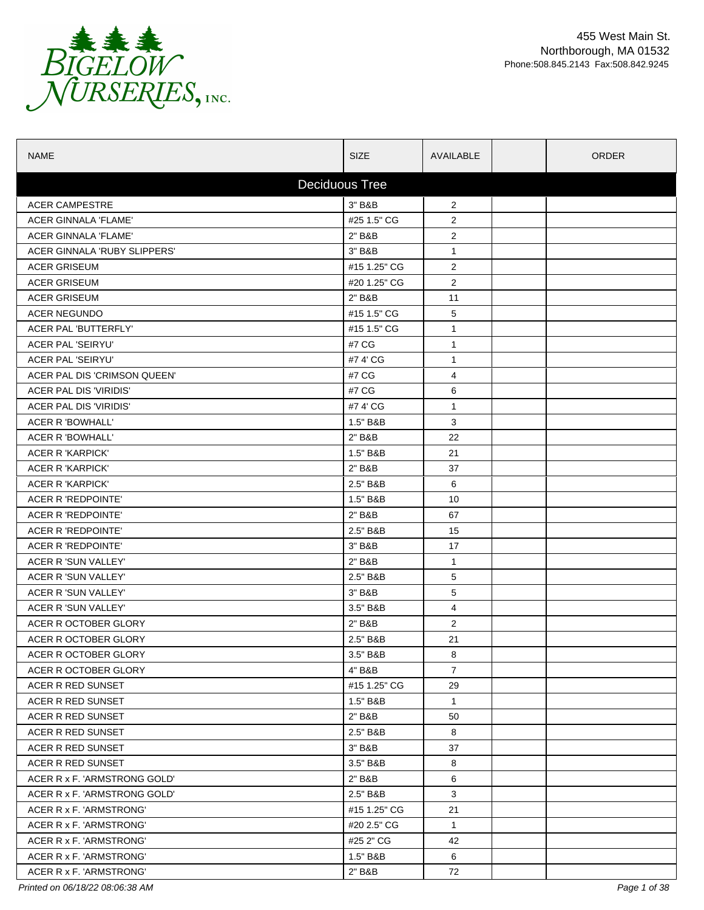

| <b>NAME</b>                  | <b>SIZE</b>  | AVAILABLE      |  | <b>ORDER</b> |  |  |
|------------------------------|--------------|----------------|--|--------------|--|--|
| <b>Deciduous Tree</b>        |              |                |  |              |  |  |
| <b>ACER CAMPESTRE</b>        | 3" B&B       | $\overline{2}$ |  |              |  |  |
| <b>ACER GINNALA 'FLAME'</b>  | #25 1.5" CG  | $\overline{2}$ |  |              |  |  |
| ACER GINNALA 'FLAME'         | 2" B&B       | $\overline{2}$ |  |              |  |  |
| ACER GINNALA 'RUBY SLIPPERS' | 3" B&B       | $\mathbf{1}$   |  |              |  |  |
| <b>ACER GRISEUM</b>          | #15 1.25" CG | $\overline{2}$ |  |              |  |  |
| <b>ACER GRISEUM</b>          | #20 1.25" CG | $\overline{2}$ |  |              |  |  |
| <b>ACER GRISEUM</b>          | 2" B&B       | 11             |  |              |  |  |
| <b>ACER NEGUNDO</b>          | #15 1.5" CG  | 5              |  |              |  |  |
| ACER PAL 'BUTTERFLY'         | #15 1.5" CG  | $\mathbf{1}$   |  |              |  |  |
| <b>ACER PAL 'SEIRYU'</b>     | #7 CG        | $\mathbf{1}$   |  |              |  |  |
| <b>ACER PAL 'SEIRYU'</b>     | #7 4' CG     | $\mathbf{1}$   |  |              |  |  |
| ACER PAL DIS 'CRIMSON QUEEN' | #7 CG        | 4              |  |              |  |  |
| ACER PAL DIS 'VIRIDIS'       | #7 CG        | 6              |  |              |  |  |
| ACER PAL DIS 'VIRIDIS'       | #74'CG       | $\mathbf{1}$   |  |              |  |  |
| ACER R 'BOWHALL'             | 1.5" B&B     | 3              |  |              |  |  |
| ACER R 'BOWHALL'             | 2" B&B       | 22             |  |              |  |  |
| ACER R 'KARPICK'             | 1.5" B&B     | 21             |  |              |  |  |
| ACER R 'KARPICK'             | 2" B&B       | 37             |  |              |  |  |
| <b>ACER R 'KARPICK'</b>      | 2.5" B&B     | 6              |  |              |  |  |
| ACER R 'REDPOINTE'           | 1.5" B&B     | 10             |  |              |  |  |
| ACER R 'REDPOINTE'           | 2" B&B       | 67             |  |              |  |  |
| ACER R 'REDPOINTE'           | 2.5" B&B     | 15             |  |              |  |  |
| ACER R 'REDPOINTE'           | 3" B&B       | 17             |  |              |  |  |
| ACER R 'SUN VALLEY'          | 2" B&B       | $\mathbf{1}$   |  |              |  |  |
| ACER R 'SUN VALLEY'          | 2.5" B&B     | 5              |  |              |  |  |
| ACER R 'SUN VALLEY'          | 3" B&B       | 5              |  |              |  |  |
| ACER R 'SUN VALLEY'          | 3.5" B&B     | 4              |  |              |  |  |
| ACER R OCTOBER GLORY         | 2" B&B       | $\overline{2}$ |  |              |  |  |
| ACER R OCTOBER GLORY         | 2.5" B&B     | 21             |  |              |  |  |
| ACER R OCTOBER GLORY         | 3.5" B&B     | 8              |  |              |  |  |
| ACER R OCTOBER GLORY         | 4" B&B       | $\overline{7}$ |  |              |  |  |
| ACER R RED SUNSET            | #15 1.25" CG | 29             |  |              |  |  |
| ACER R RED SUNSET            | 1.5" B&B     | $\mathbf{1}$   |  |              |  |  |
| ACER R RED SUNSET            | 2" B&B       | 50             |  |              |  |  |
| ACER R RED SUNSET            | 2.5" B&B     | 8              |  |              |  |  |
| ACER R RED SUNSET            | 3" B&B       | 37             |  |              |  |  |
| ACER R RED SUNSET            | 3.5" B&B     | 8              |  |              |  |  |
| ACER R x F. 'ARMSTRONG GOLD' | 2" B&B       | 6              |  |              |  |  |
| ACER R x F. 'ARMSTRONG GOLD' | 2.5" B&B     | 3              |  |              |  |  |
| ACER R x F. 'ARMSTRONG'      | #15 1.25" CG | 21             |  |              |  |  |
| ACER R x F. 'ARMSTRONG'      | #20 2.5" CG  | $\mathbf{1}$   |  |              |  |  |
| ACER R x F. 'ARMSTRONG'      | #25 2" CG    | 42             |  |              |  |  |
| ACER R x F. 'ARMSTRONG'      | 1.5" B&B     | 6              |  |              |  |  |
| ACER R x F. 'ARMSTRONG'      | 2" B&B       | 72             |  |              |  |  |
|                              |              |                |  |              |  |  |

*Printed on 06/18/22 08:06:38 AM Page 1 of 38*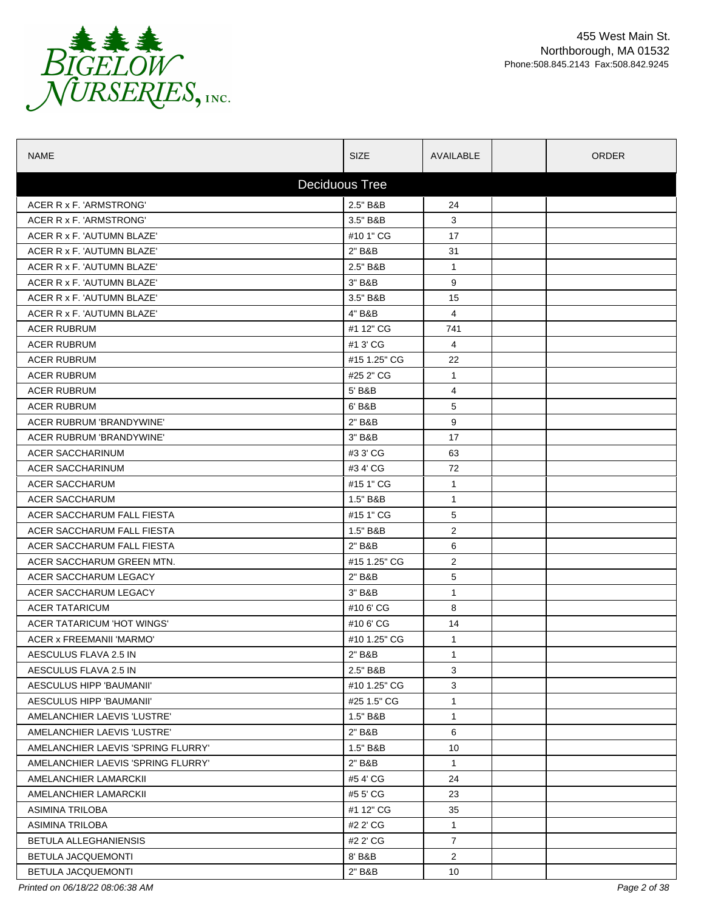

| <b>NAME</b>                        | <b>SIZE</b>  | AVAILABLE      | <b>ORDER</b> |  |  |  |
|------------------------------------|--------------|----------------|--------------|--|--|--|
| <b>Deciduous Tree</b>              |              |                |              |  |  |  |
| ACER R x F. 'ARMSTRONG'            | 2.5" B&B     | 24             |              |  |  |  |
| ACER R x F. 'ARMSTRONG'            | 3.5" B&B     | 3              |              |  |  |  |
| ACER R x F. 'AUTUMN BLAZE'         | #10 1" CG    | 17             |              |  |  |  |
| ACER R x F. 'AUTUMN BLAZE'         | 2" B&B       | 31             |              |  |  |  |
| ACER R x F. 'AUTUMN BLAZE'         | 2.5" B&B     | $\mathbf{1}$   |              |  |  |  |
| ACER R x F. 'AUTUMN BLAZE'         | 3" B&B       | 9              |              |  |  |  |
| ACER R x F. 'AUTUMN BLAZE'         | 3.5" B&B     | 15             |              |  |  |  |
| ACER R x F. 'AUTUMN BLAZE'         | 4" B&B       | $\overline{4}$ |              |  |  |  |
| <b>ACER RUBRUM</b>                 | #1 12" CG    | 741            |              |  |  |  |
| <b>ACER RUBRUM</b>                 | #1 3' CG     | 4              |              |  |  |  |
| <b>ACER RUBRUM</b>                 | #15 1.25" CG | 22             |              |  |  |  |
| <b>ACER RUBRUM</b>                 | #25 2" CG    | $\mathbf{1}$   |              |  |  |  |
| <b>ACER RUBRUM</b>                 | 5' B&B       | 4              |              |  |  |  |
| <b>ACER RUBRUM</b>                 | 6' B&B       | 5              |              |  |  |  |
| ACER RUBRUM 'BRANDYWINE'           | 2" B&B       | 9              |              |  |  |  |
| ACER RUBRUM 'BRANDYWINE'           | 3" B&B       | 17             |              |  |  |  |
| ACER SACCHARINUM                   | #3 3' CG     | 63             |              |  |  |  |
| <b>ACER SACCHARINUM</b>            | #34'CG       | 72             |              |  |  |  |
| <b>ACER SACCHARUM</b>              | #15 1" CG    | $\mathbf{1}$   |              |  |  |  |
| <b>ACER SACCHARUM</b>              | 1.5" B&B     | 1              |              |  |  |  |
| ACER SACCHARUM FALL FIESTA         | #15 1" CG    | 5              |              |  |  |  |
| ACER SACCHARUM FALL FIESTA         | 1.5" B&B     | $\overline{2}$ |              |  |  |  |
| ACER SACCHARUM FALL FIESTA         | 2" B&B       | 6              |              |  |  |  |
| ACER SACCHARUM GREEN MTN.          | #15 1.25" CG | $\overline{2}$ |              |  |  |  |
| ACER SACCHARUM LEGACY              | 2" B&B       | 5              |              |  |  |  |
| ACER SACCHARUM LEGACY              | 3" B&B       | $\mathbf{1}$   |              |  |  |  |
| <b>ACER TATARICUM</b>              | #106'CG      | 8              |              |  |  |  |
| ACER TATARICUM 'HOT WINGS'         | #10 6' CG    | 14             |              |  |  |  |
| ACER x FREEMANII 'MARMO'           | #10 1.25" CG | 1              |              |  |  |  |
| AESCULUS FLAVA 2.5 IN              | 2" B&B       | 1              |              |  |  |  |
| AESCULUS FLAVA 2.5 IN              | 2.5" B&B     | 3              |              |  |  |  |
| AESCULUS HIPP 'BAUMANII'           | #10 1.25" CG | 3              |              |  |  |  |
| AESCULUS HIPP 'BAUMANII'           | #25 1.5" CG  | 1              |              |  |  |  |
| AMELANCHIER LAEVIS 'LUSTRE'        | 1.5" B&B     | $\mathbf{1}$   |              |  |  |  |
| AMELANCHIER LAEVIS 'LUSTRE'        | 2" B&B       | 6              |              |  |  |  |
| AMELANCHIER LAEVIS 'SPRING FLURRY' | 1.5" B&B     | 10             |              |  |  |  |
| AMELANCHIER LAEVIS 'SPRING FLURRY' | 2" B&B       | $\mathbf{1}$   |              |  |  |  |
| AMELANCHIER LAMARCKII              | #54'CG       | 24             |              |  |  |  |
| AMELANCHIER LAMARCKII              | #5 5' CG     | 23             |              |  |  |  |
| ASIMINA TRILOBA                    | #1 12" CG    | 35             |              |  |  |  |
| ASIMINA TRILOBA                    | #2 2' CG     | $\mathbf{1}$   |              |  |  |  |
| BETULA ALLEGHANIENSIS              | #2 2' CG     | $\overline{7}$ |              |  |  |  |
| BETULA JACQUEMONTI                 | 8' B&B       | $\overline{2}$ |              |  |  |  |
| BETULA JACQUEMONTI                 | 2" B&B       | 10             |              |  |  |  |

*Printed on 06/18/22 08:06:38 AM Page 2 of 38*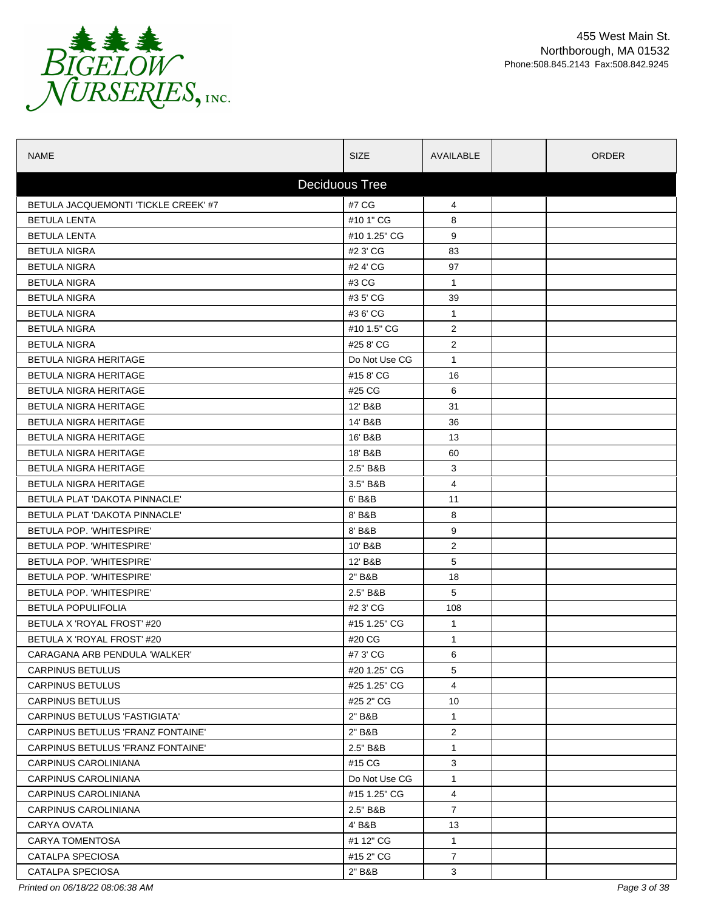

| <b>NAME</b>                              | <b>SIZE</b>   | AVAILABLE      | <b>ORDER</b> |  |  |  |
|------------------------------------------|---------------|----------------|--------------|--|--|--|
| <b>Deciduous Tree</b>                    |               |                |              |  |  |  |
| BETULA JACQUEMONTI 'TICKLE CREEK' #7     | #7 CG         | 4              |              |  |  |  |
| <b>BETULA LENTA</b>                      | #10 1" CG     | 8              |              |  |  |  |
| <b>BETULA LENTA</b>                      | #10 1.25" CG  | 9              |              |  |  |  |
| <b>BETULA NIGRA</b>                      | #2 3' CG      | 83             |              |  |  |  |
| <b>BETULA NIGRA</b>                      | #2 4' CG      | 97             |              |  |  |  |
| <b>BETULA NIGRA</b>                      | #3 CG         | $\mathbf{1}$   |              |  |  |  |
| <b>BETULA NIGRA</b>                      | #3 5' CG      | 39             |              |  |  |  |
| <b>BETULA NIGRA</b>                      | #3 6' CG      | $\mathbf{1}$   |              |  |  |  |
| <b>BETULA NIGRA</b>                      | #10 1.5" CG   | 2              |              |  |  |  |
| <b>BETULA NIGRA</b>                      | #25 8' CG     | $\overline{2}$ |              |  |  |  |
| <b>BETULA NIGRA HERITAGE</b>             | Do Not Use CG | $\mathbf{1}$   |              |  |  |  |
| <b>BETULA NIGRA HERITAGE</b>             | #158'CG       | 16             |              |  |  |  |
| BETULA NIGRA HERITAGE                    | #25 CG        | 6              |              |  |  |  |
| <b>BETULA NIGRA HERITAGE</b>             | 12' B&B       | 31             |              |  |  |  |
| BETULA NIGRA HERITAGE                    | 14' B&B       | 36             |              |  |  |  |
| <b>BETULA NIGRA HERITAGE</b>             | 16' B&B       | 13             |              |  |  |  |
| BETULA NIGRA HERITAGE                    | 18' B&B       | 60             |              |  |  |  |
| <b>BETULA NIGRA HERITAGE</b>             | 2.5" B&B      | 3              |              |  |  |  |
| BETULA NIGRA HERITAGE                    | 3.5" B&B      | 4              |              |  |  |  |
| BETULA PLAT 'DAKOTA PINNACLE'            | 6' B&B        | 11             |              |  |  |  |
| BETULA PLAT 'DAKOTA PINNACLE'            | 8' B&B        | 8              |              |  |  |  |
| BETULA POP. 'WHITESPIRE'                 | 8' B&B        | 9              |              |  |  |  |
| BETULA POP. 'WHITESPIRE'                 | 10' B&B       | 2              |              |  |  |  |
| BETULA POP. 'WHITESPIRE'                 | 12' B&B       | 5              |              |  |  |  |
| BETULA POP. 'WHITESPIRE'                 | 2" B&B        | 18             |              |  |  |  |
| BETULA POP. 'WHITESPIRE'                 | 2.5" B&B      | 5              |              |  |  |  |
| <b>BETULA POPULIFOLIA</b>                | #2 3' CG      | 108            |              |  |  |  |
| BETULA X 'ROYAL FROST' #20               | #15 1.25" CG  | $\mathbf{1}$   |              |  |  |  |
| BETULA X 'ROYAL FROST' #20               | #20 CG        | $\mathbf 1$    |              |  |  |  |
| CARAGANA ARB PENDULA 'WALKER'            | #7 3' CG      | 6              |              |  |  |  |
| CARPINUS BETULUS                         | #20 1.25" CG  | 5              |              |  |  |  |
| <b>CARPINUS BETULUS</b>                  | #25 1.25" CG  | 4              |              |  |  |  |
| <b>CARPINUS BETULUS</b>                  | #25 2" CG     | 10             |              |  |  |  |
| <b>CARPINUS BETULUS 'FASTIGIATA'</b>     | 2" B&B        | $\mathbf{1}$   |              |  |  |  |
| CARPINUS BETULUS 'FRANZ FONTAINE'        | 2" B&B        | $\overline{2}$ |              |  |  |  |
| <b>CARPINUS BETULUS 'FRANZ FONTAINE'</b> | 2.5" B&B      | $\mathbf{1}$   |              |  |  |  |
| CARPINUS CAROLINIANA                     | #15 CG        | 3              |              |  |  |  |
| CARPINUS CAROLINIANA                     | Do Not Use CG | $\mathbf{1}$   |              |  |  |  |
| CARPINUS CAROLINIANA                     | #15 1.25" CG  | 4              |              |  |  |  |
| CARPINUS CAROLINIANA                     | 2.5" B&B      | $\overline{7}$ |              |  |  |  |
| CARYA OVATA                              | 4' B&B        | 13             |              |  |  |  |
| <b>CARYA TOMENTOSA</b>                   | #1 12" CG     | $\mathbf{1}$   |              |  |  |  |
| CATALPA SPECIOSA                         | #15 2" CG     | $\overline{7}$ |              |  |  |  |
| CATALPA SPECIOSA                         | 2" B&B        | 3              |              |  |  |  |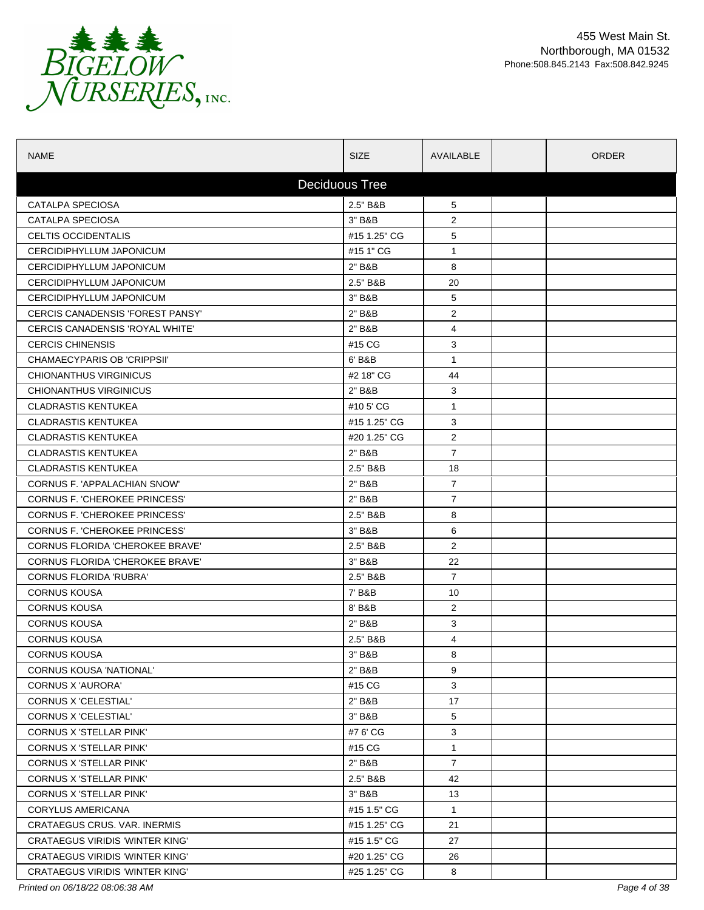

| <b>NAME</b>                            | <b>SIZE</b>           | AVAILABLE      | <b>ORDER</b> |  |  |  |  |
|----------------------------------------|-----------------------|----------------|--------------|--|--|--|--|
|                                        | <b>Deciduous Tree</b> |                |              |  |  |  |  |
| <b>CATALPA SPECIOSA</b>                | 2.5" B&B              | 5              |              |  |  |  |  |
| <b>CATALPA SPECIOSA</b>                | 3" B&B                | $\overline{2}$ |              |  |  |  |  |
| CELTIS OCCIDENTALIS                    | #15 1.25" CG          | 5              |              |  |  |  |  |
| CERCIDIPHYLLUM JAPONICUM               | #15 1" CG             | 1              |              |  |  |  |  |
| <b>CERCIDIPHYLLUM JAPONICUM</b>        | 2" B&B                | 8              |              |  |  |  |  |
| CERCIDIPHYLLUM JAPONICUM               | 2.5" B&B              | 20             |              |  |  |  |  |
| CERCIDIPHYLLUM JAPONICUM               | 3" B&B                | 5              |              |  |  |  |  |
| CERCIS CANADENSIS 'FOREST PANSY'       | 2" B&B                | $\overline{2}$ |              |  |  |  |  |
| CERCIS CANADENSIS 'ROYAL WHITE'        | 2" B&B                | 4              |              |  |  |  |  |
| <b>CERCIS CHINENSIS</b>                | #15 CG                | 3              |              |  |  |  |  |
| CHAMAECYPARIS OB 'CRIPPSII'            | 6' B&B                | $\mathbf{1}$   |              |  |  |  |  |
| <b>CHIONANTHUS VIRGINICUS</b>          | #2 18" CG             | 44             |              |  |  |  |  |
| CHIONANTHUS VIRGINICUS                 | 2" B&B                | 3              |              |  |  |  |  |
| <b>CLADRASTIS KENTUKEA</b>             | #10 5' CG             | $\mathbf{1}$   |              |  |  |  |  |
| <b>CLADRASTIS KENTUKEA</b>             | #15 1.25" CG          | 3              |              |  |  |  |  |
| <b>CLADRASTIS KENTUKEA</b>             | #20 1.25" CG          | $\overline{2}$ |              |  |  |  |  |
| <b>CLADRASTIS KENTUKEA</b>             | 2" B&B                | $\overline{7}$ |              |  |  |  |  |
| <b>CLADRASTIS KENTUKEA</b>             | 2.5" B&B              | 18             |              |  |  |  |  |
| CORNUS F. 'APPALACHIAN SNOW'           | 2" B&B                | $\overline{7}$ |              |  |  |  |  |
| <b>CORNUS F. 'CHEROKEE PRINCESS'</b>   | 2" B&B                | $\overline{7}$ |              |  |  |  |  |
| CORNUS F. 'CHEROKEE PRINCESS'          | 2.5" B&B              | 8              |              |  |  |  |  |
| <b>CORNUS F. 'CHEROKEE PRINCESS'</b>   | 3" B&B                | 6              |              |  |  |  |  |
| <b>CORNUS FLORIDA 'CHEROKEE BRAVE'</b> | 2.5" B&B              | $\overline{2}$ |              |  |  |  |  |
| <b>CORNUS FLORIDA 'CHEROKEE BRAVE'</b> | 3" B&B                | 22             |              |  |  |  |  |
| <b>CORNUS FLORIDA 'RUBRA'</b>          | 2.5" B&B              | $\overline{7}$ |              |  |  |  |  |
| <b>CORNUS KOUSA</b>                    | 7' B&B                | 10             |              |  |  |  |  |
| <b>CORNUS KOUSA</b>                    | 8' B&B                | $\overline{2}$ |              |  |  |  |  |
| <b>CORNUS KOUSA</b>                    | 2" B&B                | 3              |              |  |  |  |  |
| <b>CORNUS KOUSA</b>                    | 2.5" B&B              | 4              |              |  |  |  |  |
| <b>CORNUS KOUSA</b>                    | 3" B&B                | 8              |              |  |  |  |  |
| CORNUS KOUSA 'NATIONAL'                | 2" B&B                | 9              |              |  |  |  |  |
| CORNUS X 'AURORA'                      | #15 CG                | 3              |              |  |  |  |  |
| CORNUS X 'CELESTIAL'                   | 2" B&B                | 17             |              |  |  |  |  |
| <b>CORNUS X 'CELESTIAL'</b>            | 3" B&B                | 5              |              |  |  |  |  |
| <b>CORNUS X 'STELLAR PINK'</b>         | #7 6' CG              | 3              |              |  |  |  |  |
| <b>CORNUS X 'STELLAR PINK'</b>         | #15 CG                | $\mathbf{1}$   |              |  |  |  |  |
| CORNUS X 'STELLAR PINK'                | 2" B&B                | $\overline{7}$ |              |  |  |  |  |
| <b>CORNUS X 'STELLAR PINK'</b>         | 2.5" B&B              | 42             |              |  |  |  |  |
| <b>CORNUS X 'STELLAR PINK'</b>         | 3" B&B                | 13             |              |  |  |  |  |
| <b>CORYLUS AMERICANA</b>               | #15 1.5" CG           | $\mathbf{1}$   |              |  |  |  |  |
| CRATAEGUS CRUS. VAR. INERMIS           | #15 1.25" CG          | 21             |              |  |  |  |  |
| <b>CRATAEGUS VIRIDIS 'WINTER KING'</b> | #15 1.5" CG           | 27             |              |  |  |  |  |
| <b>CRATAEGUS VIRIDIS 'WINTER KING'</b> | #20 1.25" CG          | 26             |              |  |  |  |  |
| <b>CRATAEGUS VIRIDIS 'WINTER KING'</b> | #25 1.25" CG          | 8              |              |  |  |  |  |

*Printed on 06/18/22 08:06:38 AM Page 4 of 38*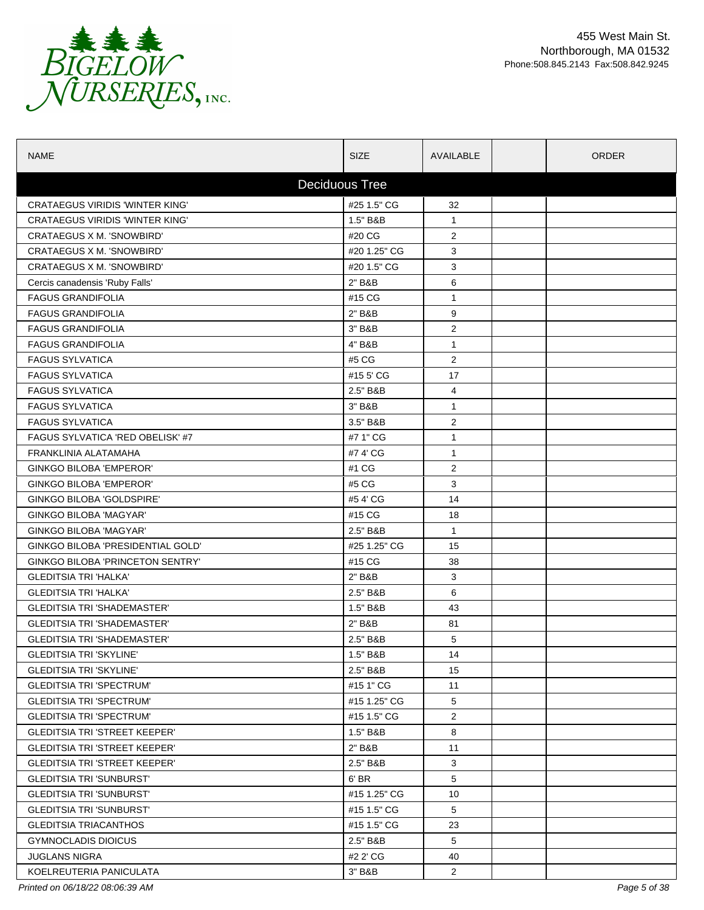

| <b>NAME</b>                             | <b>SIZE</b>           | AVAILABLE      | <b>ORDER</b> |  |  |  |  |
|-----------------------------------------|-----------------------|----------------|--------------|--|--|--|--|
|                                         | <b>Deciduous Tree</b> |                |              |  |  |  |  |
| <b>CRATAEGUS VIRIDIS 'WINTER KING'</b>  | #25 1.5" CG           | 32             |              |  |  |  |  |
| <b>CRATAEGUS VIRIDIS 'WINTER KING'</b>  | 1.5" B&B              | $\mathbf 1$    |              |  |  |  |  |
| CRATAEGUS X M. 'SNOWBIRD'               | #20 CG                | 2              |              |  |  |  |  |
| CRATAEGUS X M. 'SNOWBIRD'               | #20 1.25" CG          | 3              |              |  |  |  |  |
| CRATAEGUS X M. 'SNOWBIRD'               | #20 1.5" CG           | 3              |              |  |  |  |  |
| Cercis canadensis 'Ruby Falls'          | 2" B&B                | 6              |              |  |  |  |  |
| <b>FAGUS GRANDIFOLIA</b>                | #15 CG                | $\mathbf{1}$   |              |  |  |  |  |
| <b>FAGUS GRANDIFOLIA</b>                | 2" B&B                | 9              |              |  |  |  |  |
| <b>FAGUS GRANDIFOLIA</b>                | 3" B&B                | $\overline{2}$ |              |  |  |  |  |
| <b>FAGUS GRANDIFOLIA</b>                | 4" B&B                | $\mathbf{1}$   |              |  |  |  |  |
| <b>FAGUS SYLVATICA</b>                  | #5 CG                 | $\overline{2}$ |              |  |  |  |  |
| <b>FAGUS SYLVATICA</b>                  | #15 5' CG             | 17             |              |  |  |  |  |
| <b>FAGUS SYLVATICA</b>                  | 2.5" B&B              | 4              |              |  |  |  |  |
| <b>FAGUS SYLVATICA</b>                  | 3" B&B                | $\mathbf{1}$   |              |  |  |  |  |
| <b>FAGUS SYLVATICA</b>                  | 3.5" B&B              | $\overline{2}$ |              |  |  |  |  |
| <b>FAGUS SYLVATICA 'RED OBELISK' #7</b> | #7 1" CG              | $\mathbf{1}$   |              |  |  |  |  |
| FRANKLINIA ALATAMAHA                    | #7 4' CG              | $\mathbf{1}$   |              |  |  |  |  |
| GINKGO BILOBA 'EMPEROR'                 | #1 CG                 | 2              |              |  |  |  |  |
| <b>GINKGO BILOBA 'EMPEROR'</b>          | #5 CG                 | 3              |              |  |  |  |  |
| GINKGO BILOBA 'GOLDSPIRE'               | #54' CG               | 14             |              |  |  |  |  |
| <b>GINKGO BILOBA 'MAGYAR'</b>           | #15 CG                | 18             |              |  |  |  |  |
| <b>GINKGO BILOBA 'MAGYAR'</b>           | 2.5" B&B              | $\mathbf{1}$   |              |  |  |  |  |
| GINKGO BILOBA 'PRESIDENTIAL GOLD'       | #25 1.25" CG          | 15             |              |  |  |  |  |
| <b>GINKGO BILOBA 'PRINCETON SENTRY'</b> | #15 CG                | 38             |              |  |  |  |  |
| <b>GLEDITSIA TRI 'HALKA'</b>            | 2" B&B                | 3              |              |  |  |  |  |
| <b>GLEDITSIA TRI 'HALKA'</b>            | 2.5" B&B              | 6              |              |  |  |  |  |
| <b>GLEDITSIA TRI 'SHADEMASTER'</b>      | 1.5" B&B              | 43             |              |  |  |  |  |
| <b>GLEDITSIA TRI 'SHADEMASTER'</b>      | 2" B&B                | 81             |              |  |  |  |  |
| <b>GLEDITSIA TRI 'SHADEMASTER'</b>      | 2.5" B&B              | 5              |              |  |  |  |  |
| <b>GLEDITSIA TRI 'SKYLINE'</b>          | 1.5" B&B              | 14             |              |  |  |  |  |
| <b>GLEDITSIA TRI 'SKYLINE'</b>          | 2.5" B&B              | 15             |              |  |  |  |  |
| <b>GLEDITSIA TRI 'SPECTRUM'</b>         | #15 1" CG             | 11             |              |  |  |  |  |
| <b>GLEDITSIA TRI 'SPECTRUM'</b>         | #15 1.25" CG          | 5              |              |  |  |  |  |
| <b>GLEDITSIA TRI 'SPECTRUM'</b>         | #15 1.5" CG           | $\overline{2}$ |              |  |  |  |  |
| <b>GLEDITSIA TRI 'STREET KEEPER'</b>    | 1.5" B&B              | 8              |              |  |  |  |  |
| <b>GLEDITSIA TRI 'STREET KEEPER'</b>    | 2" B&B                | 11             |              |  |  |  |  |
| <b>GLEDITSIA TRI 'STREET KEEPER'</b>    | 2.5" B&B              | 3              |              |  |  |  |  |
| <b>GLEDITSIA TRI 'SUNBURST'</b>         | 6' BR                 | 5              |              |  |  |  |  |
| <b>GLEDITSIA TRI 'SUNBURST'</b>         | #15 1.25" CG          | 10             |              |  |  |  |  |
| <b>GLEDITSIA TRI 'SUNBURST'</b>         | #15 1.5" CG           | 5              |              |  |  |  |  |
| <b>GLEDITSIA TRIACANTHOS</b>            | #15 1.5" CG           | 23             |              |  |  |  |  |
| <b>GYMNOCLADIS DIOICUS</b>              | 2.5" B&B              | 5              |              |  |  |  |  |
| <b>JUGLANS NIGRA</b>                    | #2 2' CG              | 40             |              |  |  |  |  |
| KOELREUTERIA PANICULATA                 | 3" B&B                | $\overline{2}$ |              |  |  |  |  |

*Printed on 06/18/22 08:06:39 AM Page 5 of 38*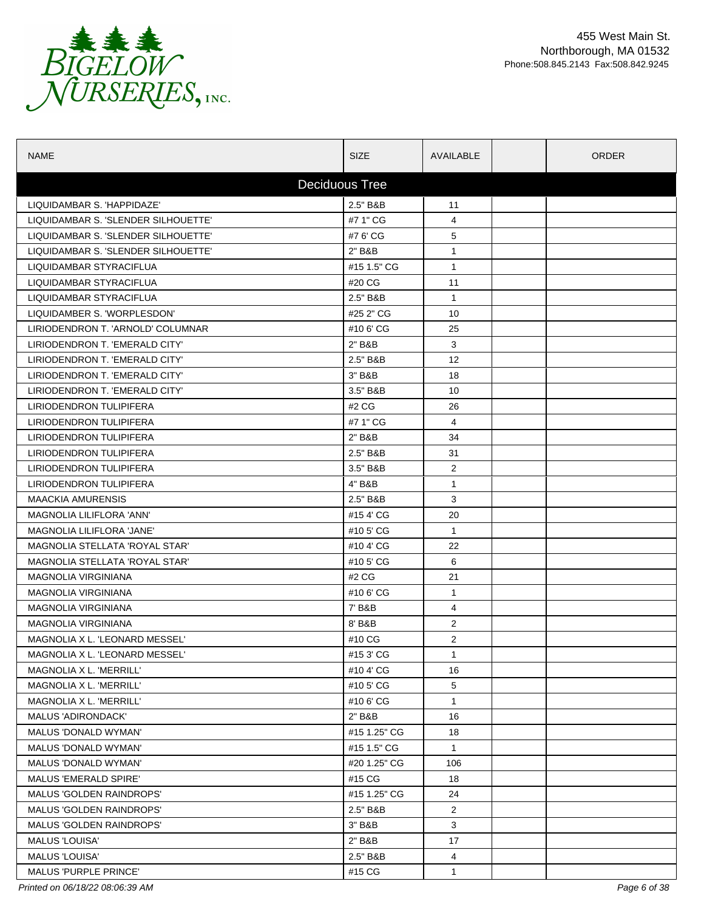

| <b>NAME</b>                         | <b>SIZE</b>  | AVAILABLE      | <b>ORDER</b> |  |  |  |
|-------------------------------------|--------------|----------------|--------------|--|--|--|
| <b>Deciduous Tree</b>               |              |                |              |  |  |  |
| LIQUIDAMBAR S. 'HAPPIDAZE'          | 2.5" B&B     | 11             |              |  |  |  |
| LIQUIDAMBAR S. 'SLENDER SILHOUETTE' | #7 1" CG     | 4              |              |  |  |  |
| LIQUIDAMBAR S. 'SLENDER SILHOUETTE' | #7 6' CG     | 5              |              |  |  |  |
| LIQUIDAMBAR S. 'SLENDER SILHOUETTE' | 2" B&B       | $\mathbf{1}$   |              |  |  |  |
| LIQUIDAMBAR STYRACIFLUA             | #15 1.5" CG  | $\mathbf{1}$   |              |  |  |  |
| LIQUIDAMBAR STYRACIFLUA             | #20 CG       | 11             |              |  |  |  |
| LIQUIDAMBAR STYRACIFLUA             | 2.5" B&B     | $\mathbf{1}$   |              |  |  |  |
| LIQUIDAMBER S. 'WORPLESDON'         | #25 2" CG    | 10             |              |  |  |  |
| LIRIODENDRON T. 'ARNOLD' COLUMNAR   | #106'CG      | 25             |              |  |  |  |
| LIRIODENDRON T. 'EMERALD CITY'      | 2" B&B       | 3              |              |  |  |  |
| LIRIODENDRON T. 'EMERALD CITY'      | 2.5" B&B     | 12             |              |  |  |  |
| LIRIODENDRON T. 'EMERALD CITY'      | 3" B&B       | 18             |              |  |  |  |
| LIRIODENDRON T. 'EMERALD CITY'      | 3.5" B&B     | 10             |              |  |  |  |
| LIRIODENDRON TULIPIFERA             | #2 CG        | 26             |              |  |  |  |
| LIRIODENDRON TULIPIFERA             | #7 1" CG     | 4              |              |  |  |  |
| LIRIODENDRON TULIPIFERA             | 2" B&B       | 34             |              |  |  |  |
| LIRIODENDRON TULIPIFERA             | 2.5" B&B     | 31             |              |  |  |  |
| LIRIODENDRON TULIPIFERA             | 3.5" B&B     | $\overline{2}$ |              |  |  |  |
| LIRIODENDRON TULIPIFERA             | 4" B&B       | $\mathbf 1$    |              |  |  |  |
| <b>MAACKIA AMURENSIS</b>            | 2.5" B&B     | 3              |              |  |  |  |
| MAGNOLIA LILIFLORA 'ANN'            | #154'CG      | 20             |              |  |  |  |
| MAGNOLIA LILIFLORA 'JANE'           | #10 5' CG    | $\mathbf{1}$   |              |  |  |  |
| MAGNOLIA STELLATA 'ROYAL STAR'      | #10 4' CG    | 22             |              |  |  |  |
| MAGNOLIA STELLATA 'ROYAL STAR'      | #10 5' CG    | 6              |              |  |  |  |
| <b>MAGNOLIA VIRGINIANA</b>          | #2 CG        | 21             |              |  |  |  |
| <b>MAGNOLIA VIRGINIANA</b>          | #106'CG      | $\mathbf{1}$   |              |  |  |  |
| <b>MAGNOLIA VIRGINIANA</b>          | 7' B&B       | 4              |              |  |  |  |
| <b>MAGNOLIA VIRGINIANA</b>          | 8' B&B       | $\overline{2}$ |              |  |  |  |
| MAGNOLIA X L. 'LEONARD MESSEL'      | #10 CG       | 2              |              |  |  |  |
| MAGNOLIA X L. 'LEONARD MESSEL'      | #153'CG      | 1              |              |  |  |  |
| MAGNOLIA X L. 'MERRILL'             | #10 4' CG    | 16             |              |  |  |  |
| MAGNOLIA X L. 'MERRILL'             | #105'CG      | 5              |              |  |  |  |
| MAGNOLIA X L. 'MERRILL'             | #106'CG      | $\mathbf{1}$   |              |  |  |  |
| MALUS 'ADIRONDACK'                  | 2" B&B       | 16             |              |  |  |  |
| MALUS 'DONALD WYMAN'                | #15 1.25" CG | 18             |              |  |  |  |
| <b>MALUS 'DONALD WYMAN'</b>         | #15 1.5" CG  | $\mathbf{1}$   |              |  |  |  |
| MALUS 'DONALD WYMAN'                | #20 1.25" CG | 106            |              |  |  |  |
| <b>MALUS 'EMERALD SPIRE'</b>        | #15 CG       | 18             |              |  |  |  |
| <b>MALUS 'GOLDEN RAINDROPS'</b>     | #15 1.25" CG | 24             |              |  |  |  |
| <b>MALUS 'GOLDEN RAINDROPS'</b>     | 2.5" B&B     | $\overline{2}$ |              |  |  |  |
| MALUS 'GOLDEN RAINDROPS'            | 3" B&B       | 3              |              |  |  |  |
| <b>MALUS 'LOUISA'</b>               | 2" B&B       | 17             |              |  |  |  |
| <b>MALUS 'LOUISA'</b>               | 2.5" B&B     | 4              |              |  |  |  |
| <b>MALUS 'PURPLE PRINCE'</b>        | #15 CG       | $\mathbf{1}$   |              |  |  |  |

*Printed on 06/18/22 08:06:39 AM Page 6 of 38*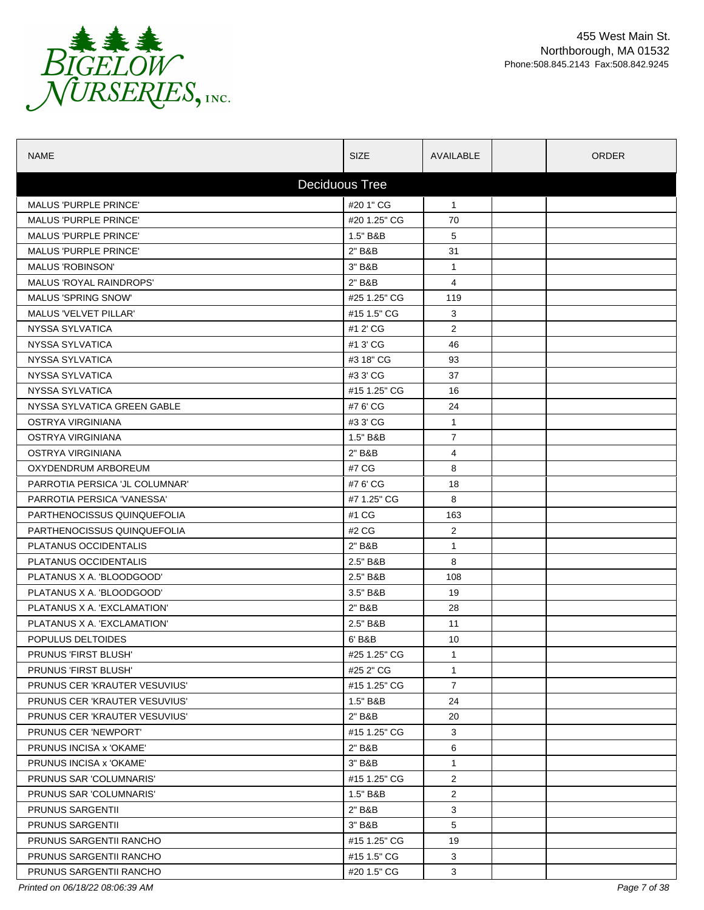

| <b>NAME</b>                    | <b>SIZE</b>  | AVAILABLE      | <b>ORDER</b> |  |  |  |
|--------------------------------|--------------|----------------|--------------|--|--|--|
| <b>Deciduous Tree</b>          |              |                |              |  |  |  |
| <b>MALUS 'PURPLE PRINCE'</b>   | #20 1" CG    | $\mathbf{1}$   |              |  |  |  |
| <b>MALUS 'PURPLE PRINCE'</b>   | #20 1.25" CG | 70             |              |  |  |  |
| <b>MALUS 'PURPLE PRINCE'</b>   | 1.5" B&B     | 5              |              |  |  |  |
| <b>MALUS 'PURPLE PRINCE'</b>   | 2" B&B       | 31             |              |  |  |  |
| <b>MALUS 'ROBINSON'</b>        | 3" B&B       | $\mathbf{1}$   |              |  |  |  |
| MALUS 'ROYAL RAINDROPS'        | 2" B&B       | 4              |              |  |  |  |
| <b>MALUS 'SPRING SNOW'</b>     | #25 1.25" CG | 119            |              |  |  |  |
| <b>MALUS 'VELVET PILLAR'</b>   | #15 1.5" CG  | 3              |              |  |  |  |
| NYSSA SYLVATICA                | #1 2' CG     | $\overline{2}$ |              |  |  |  |
| NYSSA SYLVATICA                | #1 3' CG     | 46             |              |  |  |  |
| NYSSA SYLVATICA                | #3 18" CG    | 93             |              |  |  |  |
| NYSSA SYLVATICA                | #3 3' CG     | 37             |              |  |  |  |
| NYSSA SYLVATICA                | #15 1.25" CG | 16             |              |  |  |  |
| NYSSA SYLVATICA GREEN GABLE    | #7 6' CG     | 24             |              |  |  |  |
| OSTRYA VIRGINIANA              | #3 3' CG     | $\mathbf{1}$   |              |  |  |  |
| OSTRYA VIRGINIANA              | 1.5" B&B     | $\overline{7}$ |              |  |  |  |
| OSTRYA VIRGINIANA              | 2" B&B       | 4              |              |  |  |  |
| OXYDENDRUM ARBOREUM            | #7 CG        | 8              |              |  |  |  |
| PARROTIA PERSICA 'JL COLUMNAR' | #7 6' CG     | 18             |              |  |  |  |
| PARROTIA PERSICA 'VANESSA'     | #7 1.25" CG  | 8              |              |  |  |  |
| PARTHENOCISSUS QUINQUEFOLIA    | #1 CG        | 163            |              |  |  |  |
| PARTHENOCISSUS QUINQUEFOLIA    | #2 CG        | $\overline{2}$ |              |  |  |  |
| PLATANUS OCCIDENTALIS          | 2" B&B       | $\mathbf{1}$   |              |  |  |  |
| PLATANUS OCCIDENTALIS          | 2.5" B&B     | 8              |              |  |  |  |
| PLATANUS X A. 'BLOODGOOD'      | 2.5" B&B     | 108            |              |  |  |  |
| PLATANUS X A. 'BLOODGOOD'      | 3.5" B&B     | 19             |              |  |  |  |
| PLATANUS X A. 'EXCLAMATION'    | 2" B&B       | 28             |              |  |  |  |
| PLATANUS X A. 'EXCLAMATION'    | 2.5" B&B     | 11             |              |  |  |  |
| POPULUS DELTOIDES              | 6' B&B       | 10             |              |  |  |  |
| PRUNUS 'FIRST BLUSH'           | #25 1.25" CG | $\mathbf{1}$   |              |  |  |  |
| PRUNUS 'FIRST BLUSH'           | #25 2" CG    | $\mathbf{1}$   |              |  |  |  |
| PRUNUS CER 'KRAUTER VESUVIUS'  | #15 1.25" CG | $\overline{7}$ |              |  |  |  |
| PRUNUS CER 'KRAUTER VESUVIUS'  | 1.5" B&B     | 24             |              |  |  |  |
| PRUNUS CER 'KRAUTER VESUVIUS'  | 2" B&B       | 20             |              |  |  |  |
| <b>PRUNUS CER 'NEWPORT'</b>    | #15 1.25" CG | 3              |              |  |  |  |
| PRUNUS INCISA x 'OKAME'        | 2" B&B       | 6              |              |  |  |  |
| PRUNUS INCISA x 'OKAME'        | 3" B&B       | $\mathbf{1}$   |              |  |  |  |
| PRUNUS SAR 'COLUMNARIS'        | #15 1.25" CG | $\overline{2}$ |              |  |  |  |
| PRUNUS SAR 'COLUMNARIS'        | 1.5" B&B     | 2              |              |  |  |  |
| <b>PRUNUS SARGENTII</b>        | 2" B&B       | 3              |              |  |  |  |
| <b>PRUNUS SARGENTII</b>        | 3" B&B       | 5              |              |  |  |  |
| PRUNUS SARGENTII RANCHO        | #15 1.25" CG | 19             |              |  |  |  |
| PRUNUS SARGENTII RANCHO        | #15 1.5" CG  | 3              |              |  |  |  |
| PRUNUS SARGENTII RANCHO        | #20 1.5" CG  | 3              |              |  |  |  |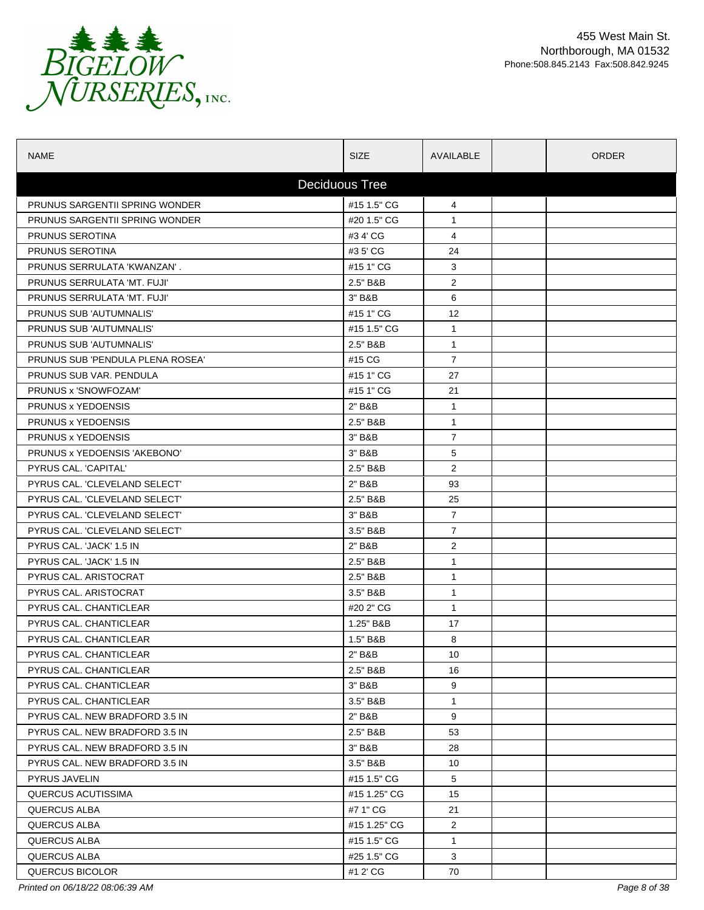

| <b>NAME</b>                           | <b>SIZE</b>           | AVAILABLE      | <b>ORDER</b> |  |
|---------------------------------------|-----------------------|----------------|--------------|--|
|                                       | <b>Deciduous Tree</b> |                |              |  |
| <b>PRUNUS SARGENTII SPRING WONDER</b> | #15 1.5" CG           | 4              |              |  |
| PRUNUS SARGENTII SPRING WONDER        | #20 1.5" CG           | $\mathbf{1}$   |              |  |
| PRUNUS SEROTINA                       | #3 4' CG              | 4              |              |  |
| PRUNUS SEROTINA                       | #3 5' CG              | 24             |              |  |
| PRUNUS SERRULATA 'KWANZAN'.           | #15 1" CG             | 3              |              |  |
| PRUNUS SERRULATA 'MT. FUJI'           | 2.5" B&B              | $\overline{2}$ |              |  |
| PRUNUS SERRULATA 'MT. FUJI'           | 3" B&B                | 6              |              |  |
| PRUNUS SUB 'AUTUMNALIS'               | #15 1" CG             | 12             |              |  |
| PRUNUS SUB 'AUTUMNALIS'               | #15 1.5" CG           | $\mathbf{1}$   |              |  |
| PRUNUS SUB 'AUTUMNALIS'               | 2.5" B&B              | $\mathbf{1}$   |              |  |
| PRUNUS SUB 'PENDULA PLENA ROSEA'      | #15 CG                | $\overline{7}$ |              |  |
| PRUNUS SUB VAR. PENDULA               | #15 1" CG             | 27             |              |  |
| PRUNUS x 'SNOWFOZAM'                  | #15 1" CG             | 21             |              |  |
| PRUNUS x YEDOENSIS                    | 2" B&B                | $\mathbf{1}$   |              |  |
| PRUNUS x YEDOENSIS                    | 2.5" B&B              | $\mathbf{1}$   |              |  |
| PRUNUS x YEDOENSIS                    | 3" B&B                | $\overline{7}$ |              |  |
| PRUNUS x YEDOENSIS 'AKEBONO'          | 3" B&B                | 5              |              |  |
| PYRUS CAL. 'CAPITAL'                  | 2.5" B&B              | $\overline{2}$ |              |  |
| PYRUS CAL. 'CLEVELAND SELECT'         | 2" B&B                | 93             |              |  |
| PYRUS CAL. 'CLEVELAND SELECT'         | 2.5" B&B              | 25             |              |  |
| PYRUS CAL. 'CLEVELAND SELECT'         | 3" B&B                | 7              |              |  |
| PYRUS CAL. 'CLEVELAND SELECT'         | 3.5" B&B              | $\overline{7}$ |              |  |
| PYRUS CAL. 'JACK' 1.5 IN              | 2" B&B                | $\overline{2}$ |              |  |
| PYRUS CAL. 'JACK' 1.5 IN              | 2.5" B&B              | $\mathbf{1}$   |              |  |
| PYRUS CAL. ARISTOCRAT                 | 2.5" B&B              | $\mathbf{1}$   |              |  |
| PYRUS CAL. ARISTOCRAT                 | 3.5" B&B              | $\mathbf{1}$   |              |  |
| PYRUS CAL. CHANTICLEAR                | #20 2" CG             | $\mathbf{1}$   |              |  |
| PYRUS CAL. CHANTICLEAR                | 1.25" B&B             | 17             |              |  |
| PYRUS CAL. CHANTICLEAR                | 1.5" B&B              | 8              |              |  |
| PYRUS CAL. CHANTICLEAR                | 2" B&B                | 10             |              |  |
| PYRUS CAL. CHANTICLEAR                | 2.5" B&B              | 16             |              |  |
| PYRUS CAL. CHANTICLEAR                | 3" B&B                | 9              |              |  |
| PYRUS CAL. CHANTICLEAR                | 3.5" B&B              | $\mathbf{1}$   |              |  |
| PYRUS CAL. NEW BRADFORD 3.5 IN        | 2" B&B                | 9              |              |  |
| PYRUS CAL. NEW BRADFORD 3.5 IN        | 2.5" B&B              | 53             |              |  |
| PYRUS CAL. NEW BRADFORD 3.5 IN        | 3" B&B                | 28             |              |  |
| PYRUS CAL. NEW BRADFORD 3.5 IN        | 3.5" B&B              | 10             |              |  |
| <b>PYRUS JAVELIN</b>                  | #15 1.5" CG           | 5              |              |  |
| QUERCUS ACUTISSIMA                    | #15 1.25" CG          | 15             |              |  |
| QUERCUS ALBA                          | #7 1" CG              | 21             |              |  |
| QUERCUS ALBA                          | #15 1.25" CG          | $\overline{2}$ |              |  |
| QUERCUS ALBA                          | #15 1.5" CG           | $\mathbf{1}$   |              |  |
| QUERCUS ALBA                          | #25 1.5" CG           | 3              |              |  |
| QUERCUS BICOLOR                       | #1 2' CG              | 70             |              |  |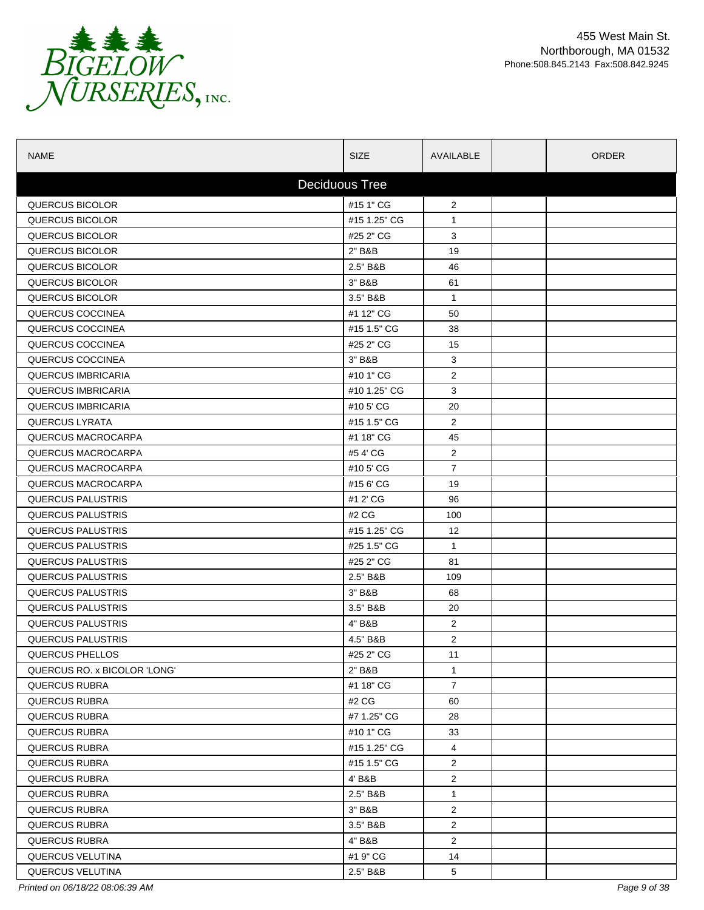

| <b>NAME</b>                  | <b>SIZE</b>  | AVAILABLE       |  | <b>ORDER</b> |  |
|------------------------------|--------------|-----------------|--|--------------|--|
| <b>Deciduous Tree</b>        |              |                 |  |              |  |
| QUERCUS BICOLOR              | #15 1" CG    | $\overline{2}$  |  |              |  |
| <b>QUERCUS BICOLOR</b>       | #15 1.25" CG | $\mathbf{1}$    |  |              |  |
| <b>QUERCUS BICOLOR</b>       | #25 2" CG    | 3               |  |              |  |
| <b>QUERCUS BICOLOR</b>       | 2" B&B       | 19              |  |              |  |
| QUERCUS BICOLOR              | 2.5" B&B     | 46              |  |              |  |
| QUERCUS BICOLOR              | 3" B&B       | 61              |  |              |  |
| <b>QUERCUS BICOLOR</b>       | 3.5" B&B     | $\mathbf{1}$    |  |              |  |
| QUERCUS COCCINEA             | #1 12" CG    | 50              |  |              |  |
| QUERCUS COCCINEA             | #15 1.5" CG  | 38              |  |              |  |
| QUERCUS COCCINEA             | #25 2" CG    | 15              |  |              |  |
| QUERCUS COCCINEA             | 3" B&B       | 3               |  |              |  |
| <b>QUERCUS IMBRICARIA</b>    | #10 1" CG    | $\overline{2}$  |  |              |  |
| <b>QUERCUS IMBRICARIA</b>    | #10 1.25" CG | 3               |  |              |  |
| <b>QUERCUS IMBRICARIA</b>    | #10 5' CG    | 20              |  |              |  |
| <b>QUERCUS LYRATA</b>        | #15 1.5" CG  | $\overline{2}$  |  |              |  |
| QUERCUS MACROCARPA           | #1 18" CG    | 45              |  |              |  |
| QUERCUS MACROCARPA           | #54'CG       | $\overline{c}$  |  |              |  |
| QUERCUS MACROCARPA           | #105'CG      | $\overline{7}$  |  |              |  |
| QUERCUS MACROCARPA           | #15 6' CG    | 19              |  |              |  |
| <b>QUERCUS PALUSTRIS</b>     | #1 2' CG     | 96              |  |              |  |
| <b>QUERCUS PALUSTRIS</b>     | #2 CG        | 100             |  |              |  |
| <b>QUERCUS PALUSTRIS</b>     | #15 1.25" CG | 12              |  |              |  |
| <b>QUERCUS PALUSTRIS</b>     | #25 1.5" CG  | $\mathbf{1}$    |  |              |  |
| <b>QUERCUS PALUSTRIS</b>     | #25 2" CG    | 81              |  |              |  |
| <b>QUERCUS PALUSTRIS</b>     | 2.5" B&B     | 109             |  |              |  |
| QUERCUS PALUSTRIS            | 3" B&B       | 68              |  |              |  |
| QUERCUS PALUSTRIS            | 3.5" B&B     | 20              |  |              |  |
| <b>QUERCUS PALUSTRIS</b>     | 4" B&B       | $\overline{2}$  |  |              |  |
| <b>QUERCUS PALUSTRIS</b>     | 4.5" B&B     | 2               |  |              |  |
| QUERCUS PHELLOS              | #25 2" CG    | 11              |  |              |  |
| QUERCUS RO. x BICOLOR 'LONG' | 2" B&B       | $\mathbf{1}$    |  |              |  |
| <b>QUERCUS RUBRA</b>         | #1 18" CG    | $\overline{7}$  |  |              |  |
| QUERCUS RUBRA                | #2 CG        | 60              |  |              |  |
| QUERCUS RUBRA                | #7 1.25" CG  | 28              |  |              |  |
| QUERCUS RUBRA                | #10 1" CG    | 33              |  |              |  |
| QUERCUS RUBRA                | #15 1.25" CG | 4               |  |              |  |
| QUERCUS RUBRA                | #15 1.5" CG  | $\overline{2}$  |  |              |  |
| QUERCUS RUBRA                | 4' B&B       | $\overline{2}$  |  |              |  |
| QUERCUS RUBRA                | 2.5" B&B     | $\mathbf{1}$    |  |              |  |
| QUERCUS RUBRA                | 3" B&B       | $\overline{2}$  |  |              |  |
| QUERCUS RUBRA                | 3.5" B&B     | $\overline{a}$  |  |              |  |
| <b>QUERCUS RUBRA</b>         | 4" B&B       | $\overline{c}$  |  |              |  |
| <b>QUERCUS VELUTINA</b>      | #1 9" CG     | 14              |  |              |  |
| <b>QUERCUS VELUTINA</b>      | 2.5" B&B     | $5\phantom{.0}$ |  |              |  |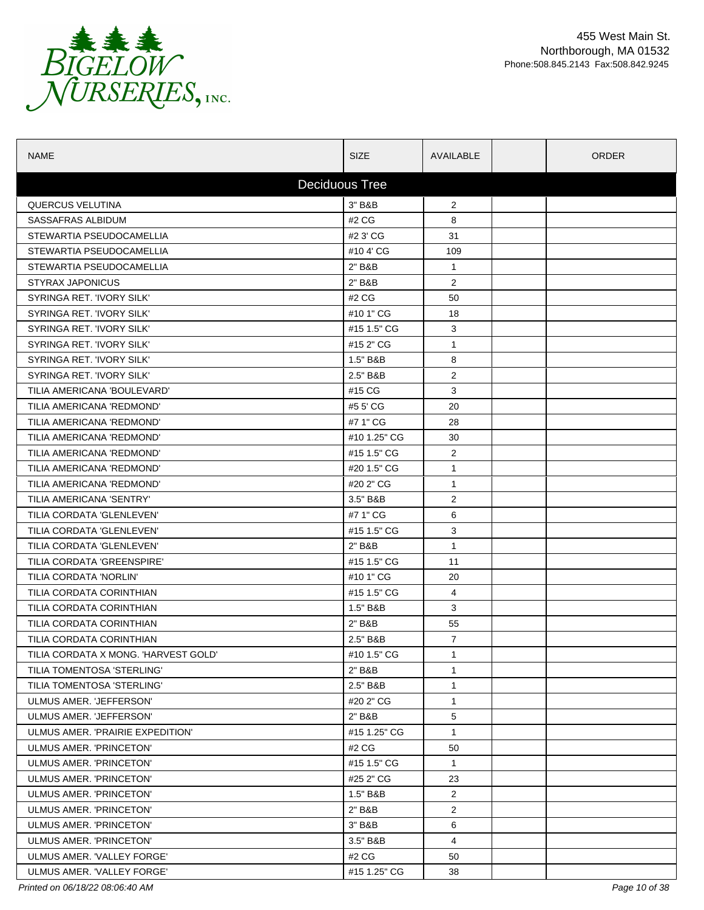

| <b>NAME</b>                          | <b>SIZE</b>           | AVAILABLE               | <b>ORDER</b> |
|--------------------------------------|-----------------------|-------------------------|--------------|
|                                      | <b>Deciduous Tree</b> |                         |              |
| <b>QUERCUS VELUTINA</b>              | 3" B&B                | $\overline{2}$          |              |
| SASSAFRAS ALBIDUM                    | #2 CG                 | 8                       |              |
| STEWARTIA PSEUDOCAMELLIA             | #2 3' CG              | 31                      |              |
| STEWARTIA PSEUDOCAMELLIA             | #104'CG               | 109                     |              |
| STEWARTIA PSEUDOCAMELLIA             | 2" B&B                | $\mathbf{1}$            |              |
| <b>STYRAX JAPONICUS</b>              | 2" B&B                | $\overline{2}$          |              |
| SYRINGA RET. 'IVORY SILK'            | #2 CG                 | 50                      |              |
| SYRINGA RET. 'IVORY SILK'            | #10 1" CG             | 18                      |              |
| SYRINGA RET. 'IVORY SILK'            | #15 1.5" CG           | 3                       |              |
| SYRINGA RET. 'IVORY SILK'            | #15 2" CG             | 1                       |              |
| SYRINGA RET. 'IVORY SILK'            | 1.5" B&B              | 8                       |              |
| SYRINGA RET. 'IVORY SILK'            | 2.5" B&B              | $\overline{2}$          |              |
| TILIA AMERICANA 'BOULEVARD'          | #15 CG                | 3                       |              |
| TILIA AMERICANA 'REDMOND'            | #5 5' CG              | 20                      |              |
| TILIA AMERICANA 'REDMOND'            | #7 1" CG              | 28                      |              |
| TILIA AMERICANA 'REDMOND'            | #10 1.25" CG          | 30                      |              |
| TILIA AMERICANA 'REDMOND'            | #15 1.5" CG           | 2                       |              |
| TILIA AMERICANA 'REDMOND'            | #20 1.5" CG           | $\mathbf{1}$            |              |
| TILIA AMERICANA 'REDMOND'            | #20 2" CG             | $\mathbf 1$             |              |
| TILIA AMERICANA 'SENTRY'             | 3.5" B&B              | 2                       |              |
| TILIA CORDATA 'GLENLEVEN'            | #7 1" CG              | 6                       |              |
| TILIA CORDATA 'GLENLEVEN'            | #15 1.5" CG           | 3                       |              |
| TILIA CORDATA 'GLENLEVEN'            | 2" B&B                | $\mathbf{1}$            |              |
| TILIA CORDATA 'GREENSPIRE'           | #15 1.5" CG           | 11                      |              |
| TILIA CORDATA 'NORLIN'               | #10 1" CG             | 20                      |              |
| TILIA CORDATA CORINTHIAN             | #15 1.5" CG           | 4                       |              |
| TILIA CORDATA CORINTHIAN             | 1.5" B&B              | 3                       |              |
| TILIA CORDATA CORINTHIAN             | 2" B&B                | 55                      |              |
| TILIA CORDATA CORINTHIAN             | 2.5" B&B              | 7                       |              |
| TILIA CORDATA X MONG. 'HARVEST GOLD' | #10 1.5" CG           | 1                       |              |
| TILIA TOMENTOSA 'STERLING'           | 2" B&B                | $\mathbf{1}$            |              |
| TILIA TOMENTOSA 'STERLING'           | 2.5" B&B              | $\mathbf{1}$            |              |
| ULMUS AMER. 'JEFFERSON'              | #20 2" CG             | $\mathbf{1}$            |              |
| ULMUS AMER. 'JEFFERSON'              | 2" B&B                | 5                       |              |
| ULMUS AMER. 'PRAIRIE EXPEDITION'     | #15 1.25" CG          | $\mathbf{1}$            |              |
| ULMUS AMER. 'PRINCETON'              | #2 CG                 | 50                      |              |
| ULMUS AMER. 'PRINCETON'              | #15 1.5" CG           | $\mathbf{1}$            |              |
| ULMUS AMER. 'PRINCETON'              | #25 2" CG             | 23                      |              |
| ULMUS AMER. 'PRINCETON'              | 1.5" B&B              | $\overline{c}$          |              |
| ULMUS AMER. 'PRINCETON'              | 2" B&B                | $\overline{\mathbf{c}}$ |              |
| ULMUS AMER. 'PRINCETON'              | 3" B&B                | 6                       |              |
| ULMUS AMER. 'PRINCETON'              | 3.5" B&B              | 4                       |              |
| ULMUS AMER. 'VALLEY FORGE'           | #2 CG                 | 50                      |              |
| ULMUS AMER. 'VALLEY FORGE'           | #15 1.25" CG          | 38                      |              |

*Printed on 06/18/22 08:06:40 AM Page 10 of 38*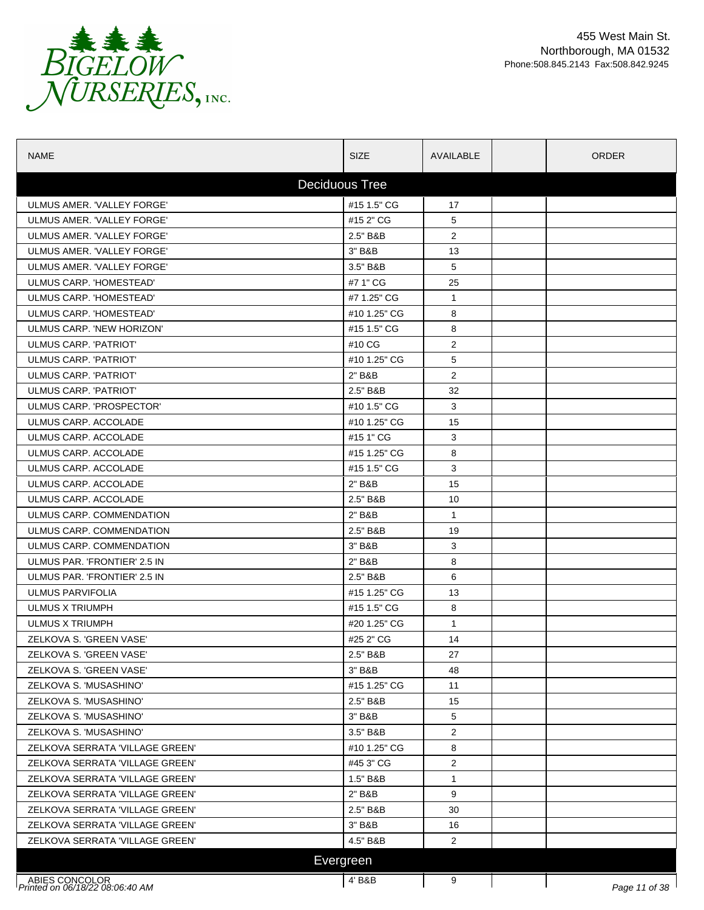

| <b>NAME</b>                                              | <b>SIZE</b>  | AVAILABLE      | <b>ORDER</b> |               |  |  |  |
|----------------------------------------------------------|--------------|----------------|--------------|---------------|--|--|--|
| <b>Deciduous Tree</b>                                    |              |                |              |               |  |  |  |
| ULMUS AMER. 'VALLEY FORGE'                               | #15 1.5" CG  | 17             |              |               |  |  |  |
| ULMUS AMER. 'VALLEY FORGE'                               | #15 2" CG    | 5              |              |               |  |  |  |
| ULMUS AMER. 'VALLEY FORGE'                               | 2.5" B&B     | $\overline{2}$ |              |               |  |  |  |
| ULMUS AMER. 'VALLEY FORGE'                               | 3" B&B       | 13             |              |               |  |  |  |
| ULMUS AMER. 'VALLEY FORGE'                               | 3.5" B&B     | 5              |              |               |  |  |  |
| ULMUS CARP. 'HOMESTEAD'                                  | #7 1" CG     | 25             |              |               |  |  |  |
| ULMUS CARP. 'HOMESTEAD'                                  | #7 1.25" CG  | $\mathbf{1}$   |              |               |  |  |  |
| ULMUS CARP. 'HOMESTEAD'                                  | #10 1.25" CG | 8              |              |               |  |  |  |
| ULMUS CARP. 'NEW HORIZON'                                | #15 1.5" CG  | 8              |              |               |  |  |  |
| ULMUS CARP. 'PATRIOT'                                    | #10 CG       | $\overline{2}$ |              |               |  |  |  |
| ULMUS CARP. 'PATRIOT'                                    | #10 1.25" CG | 5              |              |               |  |  |  |
| ULMUS CARP. 'PATRIOT'                                    | 2" B&B       | 2              |              |               |  |  |  |
| ULMUS CARP. 'PATRIOT'                                    | 2.5" B&B     | 32             |              |               |  |  |  |
| ULMUS CARP. 'PROSPECTOR'                                 | #10 1.5" CG  | 3              |              |               |  |  |  |
| ULMUS CARP. ACCOLADE                                     | #10 1.25" CG | 15             |              |               |  |  |  |
| ULMUS CARP. ACCOLADE                                     | #15 1" CG    | 3              |              |               |  |  |  |
| ULMUS CARP. ACCOLADE                                     | #15 1.25" CG | 8              |              |               |  |  |  |
| ULMUS CARP. ACCOLADE                                     | #15 1.5" CG  | 3              |              |               |  |  |  |
| ULMUS CARP. ACCOLADE                                     | 2" B&B       | 15             |              |               |  |  |  |
| ULMUS CARP. ACCOLADE                                     | 2.5" B&B     | 10             |              |               |  |  |  |
| ULMUS CARP. COMMENDATION                                 | 2" B&B       | $\mathbf{1}$   |              |               |  |  |  |
| ULMUS CARP. COMMENDATION                                 | 2.5" B&B     | 19             |              |               |  |  |  |
| ULMUS CARP. COMMENDATION                                 | 3" B&B       | 3              |              |               |  |  |  |
| ULMUS PAR. 'FRONTIER' 2.5 IN                             | 2" B&B       | 8              |              |               |  |  |  |
| ULMUS PAR. 'FRONTIER' 2.5 IN                             | 2.5" B&B     | 6              |              |               |  |  |  |
| ULMUS PARVIFOLIA                                         | #15 1.25" CG | 13             |              |               |  |  |  |
| ULMUS X TRIUMPH                                          | #15 1.5" CG  | 8              |              |               |  |  |  |
| <b>ULMUS X TRIUMPH</b>                                   | #20 1.25" CG | $\mathbf{1}$   |              |               |  |  |  |
| ZELKOVA S. 'GREEN VASE'                                  | #25 2" CG    | 14             |              |               |  |  |  |
| ZELKOVA S. 'GREEN VASE'                                  | 2.5" B&B     | 27             |              |               |  |  |  |
| ZELKOVA S. 'GREEN VASE'                                  | 3" B&B       | 48             |              |               |  |  |  |
| ZELKOVA S. 'MUSASHINO'                                   | #15 1.25" CG | 11             |              |               |  |  |  |
| ZELKOVA S. 'MUSASHINO'                                   | 2.5" B&B     | 15             |              |               |  |  |  |
| ZELKOVA S. 'MUSASHINO'                                   | 3" B&B       | 5              |              |               |  |  |  |
| ZELKOVA S. 'MUSASHINO'                                   | 3.5" B&B     | $\overline{2}$ |              |               |  |  |  |
| ZELKOVA SERRATA 'VILLAGE GREEN'                          | #10 1.25" CG | 8              |              |               |  |  |  |
| ZELKOVA SERRATA 'VILLAGE GREEN'                          | #45 3" CG    | $\overline{2}$ |              |               |  |  |  |
| ZELKOVA SERRATA 'VILLAGE GREEN'                          | 1.5" B&B     | $\mathbf{1}$   |              |               |  |  |  |
| ZELKOVA SERRATA 'VILLAGE GREEN'                          | 2" B&B       | 9              |              |               |  |  |  |
| ZELKOVA SERRATA 'VILLAGE GREEN'                          | 2.5" B&B     | 30             |              |               |  |  |  |
| ZELKOVA SERRATA 'VILLAGE GREEN'                          | 3" B&B       | 16             |              |               |  |  |  |
| ZELKOVA SERRATA 'VILLAGE GREEN'                          | 4.5" B&B     | 2              |              |               |  |  |  |
|                                                          | Evergreen    |                |              |               |  |  |  |
|                                                          |              |                |              |               |  |  |  |
| ABIES CONCOLOR<br><i>Printed on 06/18/22 08:06:40 AM</i> | 4' B&B       | 9              |              | Page 11 of 38 |  |  |  |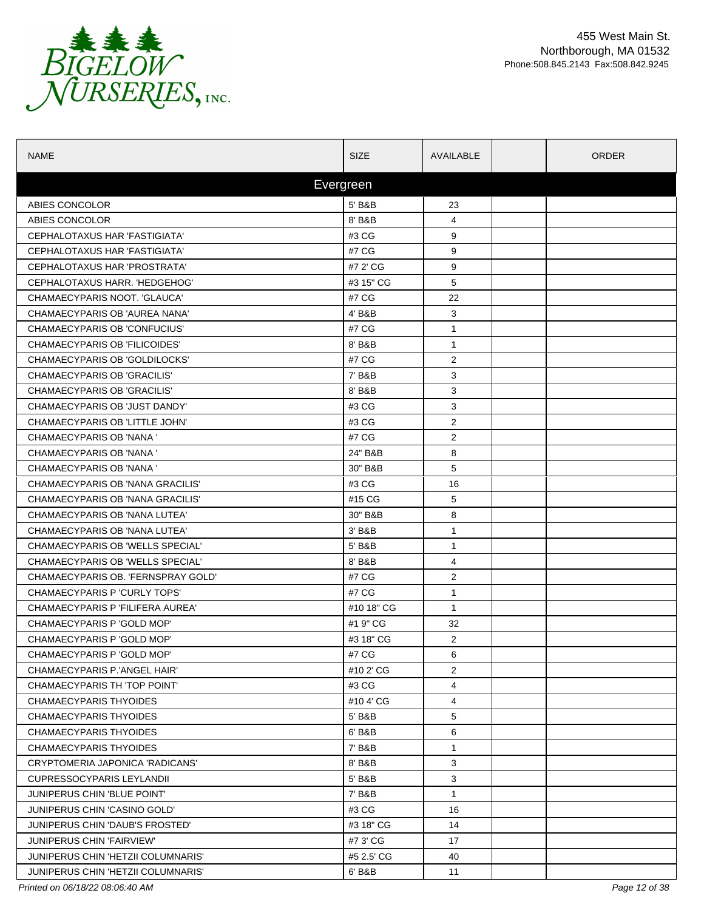

| <b>NAME</b>                        | <b>SIZE</b> | AVAILABLE      | <b>ORDER</b> |  |  |  |  |
|------------------------------------|-------------|----------------|--------------|--|--|--|--|
|                                    | Evergreen   |                |              |  |  |  |  |
| ABIES CONCOLOR                     | 5' B&B      | 23             |              |  |  |  |  |
| ABIES CONCOLOR                     | 8' B&B      | 4              |              |  |  |  |  |
| CEPHALOTAXUS HAR 'FASTIGIATA'      | #3 CG       | 9              |              |  |  |  |  |
| CEPHALOTAXUS HAR 'FASTIGIATA'      | #7 CG       | 9              |              |  |  |  |  |
| CEPHALOTAXUS HAR 'PROSTRATA'       | #7 2' CG    | 9              |              |  |  |  |  |
| CEPHALOTAXUS HARR. 'HEDGEHOG'      | #3 15" CG   | 5              |              |  |  |  |  |
| CHAMAECYPARIS NOOT. 'GLAUCA'       | #7 CG       | 22             |              |  |  |  |  |
| CHAMAECYPARIS OB 'AUREA NANA'      | 4' B&B      | 3              |              |  |  |  |  |
| CHAMAECYPARIS OB 'CONFUCIUS'       | #7 CG       | 1              |              |  |  |  |  |
| CHAMAECYPARIS OB 'FILICOIDES'      | 8' B&B      | $\mathbf{1}$   |              |  |  |  |  |
| CHAMAECYPARIS OB 'GOLDILOCKS'      | #7 CG       | 2              |              |  |  |  |  |
| CHAMAECYPARIS OB 'GRACILIS'        | 7' B&B      | 3              |              |  |  |  |  |
| CHAMAECYPARIS OB 'GRACILIS'        | 8' B&B      | 3              |              |  |  |  |  |
| CHAMAECYPARIS OB 'JUST DANDY'      | #3 CG       | 3              |              |  |  |  |  |
| CHAMAECYPARIS OB 'LITTLE JOHN'     | #3 CG       | $\overline{2}$ |              |  |  |  |  |
| <b>CHAMAECYPARIS OB 'NANA'</b>     | #7 CG       | $\overline{2}$ |              |  |  |  |  |
| CHAMAECYPARIS OB 'NANA '           | 24" B&B     | 8              |              |  |  |  |  |
| CHAMAECYPARIS OB 'NANA '           | 30" B&B     | 5              |              |  |  |  |  |
| CHAMAECYPARIS OB 'NANA GRACILIS'   | #3 CG       | 16             |              |  |  |  |  |
| CHAMAECYPARIS OB 'NANA GRACILIS'   | #15 CG      | 5              |              |  |  |  |  |
| CHAMAECYPARIS OB 'NANA LUTEA'      | 30" B&B     | 8              |              |  |  |  |  |
| CHAMAECYPARIS OB 'NANA LUTEA'      | $3'$ B&B    | 1              |              |  |  |  |  |
| CHAMAECYPARIS OB 'WELLS SPECIAL'   | 5' B&B      | 1              |              |  |  |  |  |
| CHAMAECYPARIS OB 'WELLS SPECIAL'   | 8' B&B      | 4              |              |  |  |  |  |
| CHAMAECYPARIS OB. 'FERNSPRAY GOLD' | #7 CG       | 2              |              |  |  |  |  |
| CHAMAECYPARIS P 'CURLY TOPS'       | #7 CG       | 1              |              |  |  |  |  |
| CHAMAECYPARIS P 'FILIFERA AUREA'   | #10 18" CG  | $\mathbf{1}$   |              |  |  |  |  |
| CHAMAECYPARIS P 'GOLD MOP'         | #1 9" CG    | 32             |              |  |  |  |  |
| CHAMAECYPARIS P 'GOLD MOP'         | #3 18" CG   | 2              |              |  |  |  |  |
| CHAMAECYPARIS P 'GOLD MOP'         | #7 CG       | 6              |              |  |  |  |  |
| CHAMAECYPARIS P.'ANGEL HAIR'       | #10 2' CG   | 2              |              |  |  |  |  |
| CHAMAECYPARIS TH 'TOP POINT'       | #3 CG       | 4              |              |  |  |  |  |
| CHAMAECYPARIS THYOIDES             | #10 4' CG   | 4              |              |  |  |  |  |
| <b>CHAMAECYPARIS THYOIDES</b>      | 5' B&B      | 5              |              |  |  |  |  |
| CHAMAECYPARIS THYOIDES             | 6' B&B      | 6              |              |  |  |  |  |
| CHAMAECYPARIS THYOIDES             | 7' B&B      | $\mathbf{1}$   |              |  |  |  |  |
| CRYPTOMERIA JAPONICA 'RADICANS'    | 8' B&B      | 3              |              |  |  |  |  |
| <b>CUPRESSOCYPARIS LEYLANDII</b>   | 5' B&B      | 3              |              |  |  |  |  |
| JUNIPERUS CHIN 'BLUE POINT'        | 7' B&B      | $\mathbf{1}$   |              |  |  |  |  |
| JUNIPERUS CHIN 'CASINO GOLD'       | #3 CG       | 16             |              |  |  |  |  |
| JUNIPERUS CHIN 'DAUB'S FROSTED'    | #3 18" CG   | 14             |              |  |  |  |  |
| <b>JUNIPERUS CHIN 'FAIRVIEW'</b>   | #7 3' CG    | 17             |              |  |  |  |  |
| JUNIPERUS CHIN 'HETZII COLUMNARIS' | #5 2.5' CG  | 40             |              |  |  |  |  |
| JUNIPERUS CHIN 'HETZII COLUMNARIS' | 6' B&B      | 11             |              |  |  |  |  |

*Printed on 06/18/22 08:06:40 AM Page 12 of 38*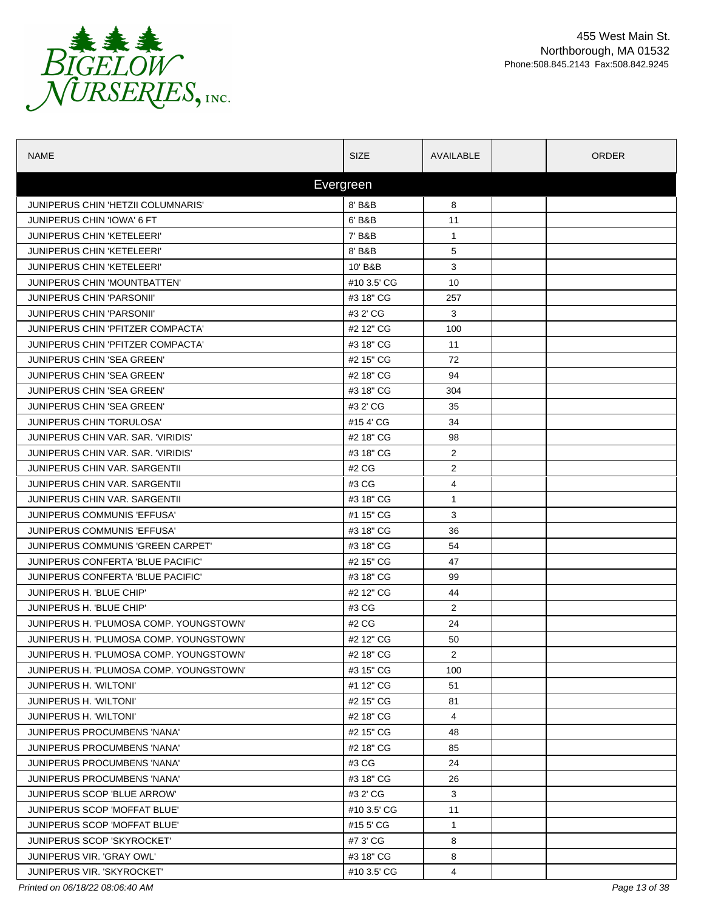

| <b>NAME</b>                             | <b>SIZE</b> | AVAILABLE      | ORDER |
|-----------------------------------------|-------------|----------------|-------|
|                                         | Evergreen   |                |       |
| JUNIPERUS CHIN 'HETZII COLUMNARIS'      | 8' B&B      | 8              |       |
| JUNIPERUS CHIN 'IOWA' 6 FT              | 6' B&B      | 11             |       |
| <b>JUNIPERUS CHIN 'KETELEERI'</b>       | 7' B&B      | $\mathbf{1}$   |       |
| <b>JUNIPERUS CHIN 'KETELEERI'</b>       | 8' B&B      | 5              |       |
| <b>JUNIPERUS CHIN 'KETELEERI'</b>       | 10' B&B     | 3              |       |
| JUNIPERUS CHIN 'MOUNTBATTEN'            | #10 3.5' CG | 10             |       |
| <b>JUNIPERUS CHIN 'PARSONII'</b>        | #3 18" CG   | 257            |       |
| <b>JUNIPERUS CHIN 'PARSONII'</b>        | #3 2' CG    | 3              |       |
| JUNIPERUS CHIN 'PFITZER COMPACTA'       | #2 12" CG   | 100            |       |
| JUNIPERUS CHIN 'PFITZER COMPACTA'       | #3 18" CG   | 11             |       |
| JUNIPERUS CHIN 'SEA GREEN'              | #2 15" CG   | 72             |       |
| JUNIPERUS CHIN 'SEA GREEN'              | #2 18" CG   | 94             |       |
| JUNIPERUS CHIN 'SEA GREEN'              | #3 18" CG   | 304            |       |
| JUNIPERUS CHIN 'SEA GREEN'              | #3 2' CG    | 35             |       |
| <b>JUNIPERUS CHIN 'TORULOSA'</b>        | #154'CG     | 34             |       |
| JUNIPERUS CHIN VAR. SAR. 'VIRIDIS'      | #2 18" CG   | 98             |       |
| JUNIPERUS CHIN VAR. SAR. 'VIRIDIS'      | #3 18" CG   | $\overline{2}$ |       |
| <b>JUNIPERUS CHIN VAR. SARGENTII</b>    | #2 CG       | $\overline{2}$ |       |
| <b>JUNIPERUS CHIN VAR. SARGENTII</b>    | #3 CG       | 4              |       |
| <b>JUNIPERUS CHIN VAR. SARGENTII</b>    | #3 18" CG   | $\mathbf{1}$   |       |
| JUNIPERUS COMMUNIS 'EFFUSA'             | #1 15" CG   | 3              |       |
| JUNIPERUS COMMUNIS 'EFFUSA'             | #3 18" CG   | 36             |       |
| JUNIPERUS COMMUNIS 'GREEN CARPET'       | #3 18" CG   | 54             |       |
| JUNIPERUS CONFERTA 'BLUE PACIFIC'       | #2 15" CG   | 47             |       |
| JUNIPERUS CONFERTA 'BLUE PACIFIC'       | #3 18" CG   | 99             |       |
| JUNIPERUS H. 'BLUE CHIP'                | #2 12" CG   | 44             |       |
| JUNIPERUS H. 'BLUE CHIP'                | #3 CG       | 2              |       |
| JUNIPERUS H. 'PLUMOSA COMP. YOUNGSTOWN' | #2 CG       | 24             |       |
| JUNIPERUS H. 'PLUMOSA COMP. YOUNGSTOWN' | #2 12" CG   | 50             |       |
| JUNIPERUS H. 'PLUMOSA COMP. YOUNGSTOWN' | #2 18" CG   | $\overline{2}$ |       |
| JUNIPERUS H. 'PLUMOSA COMP. YOUNGSTOWN' | #3 15" CG   | 100            |       |
| JUNIPERUS H. 'WILTONI'                  | #1 12" CG   | 51             |       |
| JUNIPERUS H. 'WILTONI'                  | #2 15" CG   | 81             |       |
| JUNIPERUS H. 'WILTONI'                  | #2 18" CG   | 4              |       |
| JUNIPERUS PROCUMBENS 'NANA'             | #2 15" CG   | 48             |       |
| JUNIPERUS PROCUMBENS 'NANA'             | #2 18" CG   | 85             |       |
| JUNIPERUS PROCUMBENS 'NANA'             | #3 CG       | 24             |       |
| JUNIPERUS PROCUMBENS 'NANA'             | #3 18" CG   | 26             |       |
| JUNIPERUS SCOP 'BLUE ARROW'             | #3 2' CG    | 3              |       |
| JUNIPERUS SCOP 'MOFFAT BLUE'            | #10 3.5' CG | 11             |       |
| JUNIPERUS SCOP 'MOFFAT BLUE'            | #15 5' CG   | $\mathbf{1}$   |       |
| <b>JUNIPERUS SCOP 'SKYROCKET'</b>       | #7 3' CG    | 8              |       |
| JUNIPERUS VIR. 'GRAY OWL'               | #3 18" CG   | 8              |       |
| <b>JUNIPERUS VIR. 'SKYROCKET'</b>       | #10 3.5' CG | 4              |       |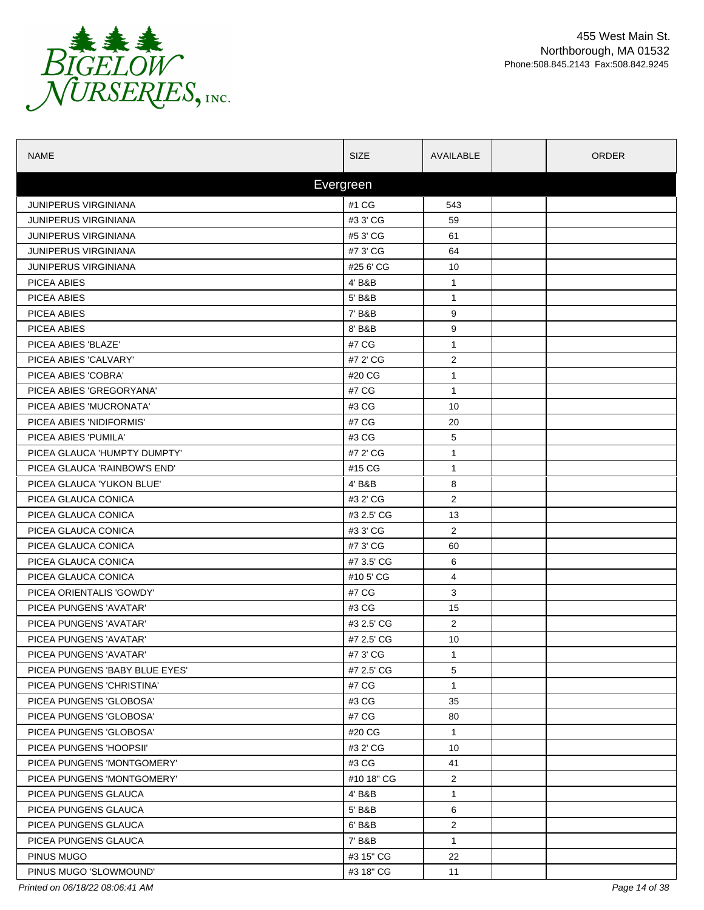

| <b>NAME</b>                    | <b>SIZE</b> | AVAILABLE      | <b>ORDER</b> |
|--------------------------------|-------------|----------------|--------------|
|                                | Evergreen   |                |              |
| <b>JUNIPERUS VIRGINIANA</b>    | #1 CG       | 543            |              |
| <b>JUNIPERUS VIRGINIANA</b>    | #3 3' CG    | 59             |              |
| <b>JUNIPERUS VIRGINIANA</b>    | #5 3' CG    | 61             |              |
| <b>JUNIPERUS VIRGINIANA</b>    | #7 3' CG    | 64             |              |
| JUNIPERUS VIRGINIANA           | #25 6' CG   | 10             |              |
| PICEA ABIES                    | 4' B&B      | $\mathbf{1}$   |              |
| PICEA ABIES                    | 5' B&B      | $\mathbf{1}$   |              |
| PICEA ABIES                    | 7' B&B      | 9              |              |
| PICEA ABIES                    | 8' B&B      | 9              |              |
| PICEA ABIES 'BLAZE'            | #7 CG       | $\mathbf{1}$   |              |
| PICEA ABIES 'CALVARY'          | #7 2' CG    | $\overline{2}$ |              |
| PICEA ABIES 'COBRA'            | #20 CG      | 1              |              |
| PICEA ABIES 'GREGORYANA'       | #7 CG       | $\mathbf{1}$   |              |
| PICEA ABIES 'MUCRONATA'        | #3 CG       | 10             |              |
| PICEA ABIES 'NIDIFORMIS'       | #7 CG       | 20             |              |
| PICEA ABIES 'PUMILA'           | #3 CG       | 5              |              |
| PICEA GLAUCA 'HUMPTY DUMPTY'   | #7 2' CG    | $\mathbf{1}$   |              |
| PICEA GLAUCA 'RAINBOW'S END'   | #15 CG      | $\mathbf{1}$   |              |
| PICEA GLAUCA 'YUKON BLUE'      | 4' B&B      | 8              |              |
| PICEA GLAUCA CONICA            | #3 2' CG    | $\overline{2}$ |              |
| PICEA GLAUCA CONICA            | #3 2.5' CG  | 13             |              |
| PICEA GLAUCA CONICA            | #3 3' CG    | 2              |              |
| PICEA GLAUCA CONICA            | #7 3' CG    | 60             |              |
| PICEA GLAUCA CONICA            | #7 3.5' CG  | 6              |              |
| PICEA GLAUCA CONICA            | #10 5' CG   | 4              |              |
| PICEA ORIENTALIS 'GOWDY'       | #7 CG       | 3              |              |
| PICEA PUNGENS 'AVATAR'         | #3 CG       | 15             |              |
| PICEA PUNGENS 'AVATAR'         | #3 2.5' CG  | $\mathbf{2}$   |              |
| PICEA PUNGENS 'AVATAR'         | #7 2.5' CG  | 10             |              |
| PICEA PUNGENS 'AVATAR'         | #7 3' CG    | 1              |              |
| PICEA PUNGENS 'BABY BLUE EYES' | #7 2.5' CG  | 5              |              |
| PICEA PUNGENS 'CHRISTINA'      | #7 CG       | $\mathbf{1}$   |              |
| PICEA PUNGENS 'GLOBOSA'        | #3 CG       | 35             |              |
| PICEA PUNGENS 'GLOBOSA'        | #7 CG       | 80             |              |
| PICEA PUNGENS 'GLOBOSA'        | #20 CG      | $\mathbf{1}$   |              |
| PICEA PUNGENS 'HOOPSII'        | #3 2' CG    | 10             |              |
| PICEA PUNGENS 'MONTGOMERY'     | #3 CG       | 41             |              |
| PICEA PUNGENS 'MONTGOMERY'     | #10 18" CG  | $\overline{2}$ |              |
| PICEA PUNGENS GLAUCA           | 4' B&B      | $\mathbf{1}$   |              |
| PICEA PUNGENS GLAUCA           | 5' B&B      | 6              |              |
| PICEA PUNGENS GLAUCA           | 6' B&B      | $\overline{2}$ |              |
| PICEA PUNGENS GLAUCA           | 7' B&B      | $\mathbf{1}$   |              |
| PINUS MUGO                     | #3 15" CG   | 22             |              |
| PINUS MUGO 'SLOWMOUND'         | #3 18" CG   | 11             |              |

*Printed on 06/18/22 08:06:41 AM Page 14 of 38*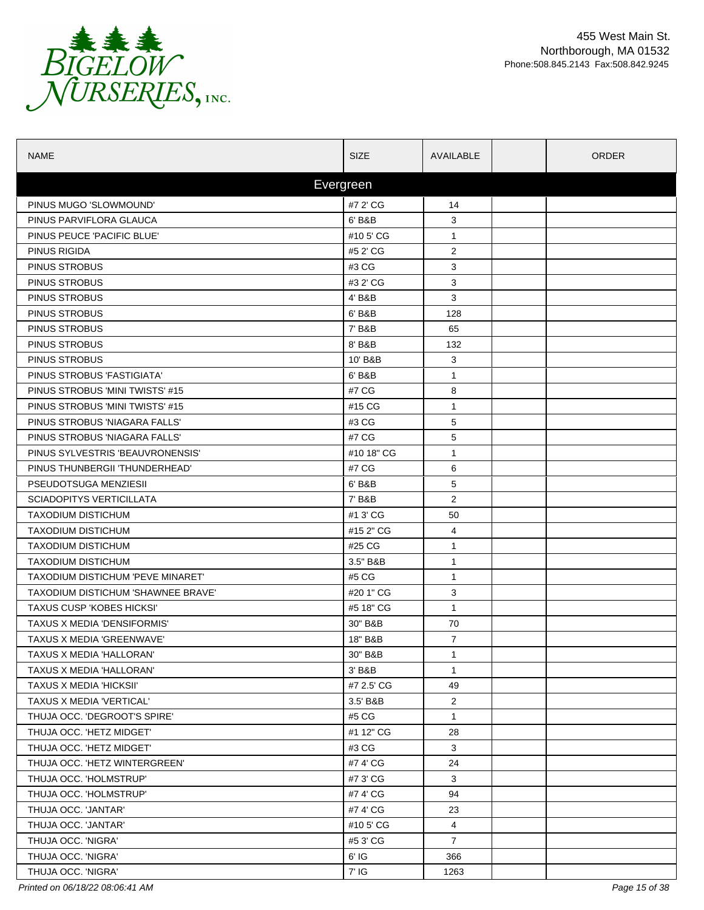

| <b>NAME</b>                               | <b>SIZE</b> | AVAILABLE      | <b>ORDER</b> |
|-------------------------------------------|-------------|----------------|--------------|
|                                           | Evergreen   |                |              |
| PINUS MUGO 'SLOWMOUND'                    | #7 2' CG    | 14             |              |
| PINUS PARVIFLORA GLAUCA                   | 6' B&B      | 3              |              |
| PINUS PEUCE 'PACIFIC BLUE'                | #105'CG     | $\mathbf{1}$   |              |
| PINUS RIGIDA                              | #5 2' CG    | $\overline{2}$ |              |
| PINUS STROBUS                             | #3 CG       | 3              |              |
| <b>PINUS STROBUS</b>                      | #3 2' CG    | 3              |              |
| PINUS STROBUS                             | 4' B&B      | 3              |              |
| PINUS STROBUS                             | 6' B&B      | 128            |              |
| PINUS STROBUS                             | 7' B&B      | 65             |              |
| <b>PINUS STROBUS</b>                      | 8' B&B      | 132            |              |
| PINUS STROBUS                             | 10' B&B     | 3              |              |
| PINUS STROBUS 'FASTIGIATA'                | 6' B&B      | 1              |              |
| PINUS STROBUS 'MINI TWISTS' #15           | #7 CG       | 8              |              |
| PINUS STROBUS 'MINI TWISTS' #15           | #15 CG      | 1              |              |
| PINUS STROBUS 'NIAGARA FALLS'             | #3 CG       | 5              |              |
| PINUS STROBUS 'NIAGARA FALLS'             | #7 CG       | 5              |              |
| PINUS SYLVESTRIS 'BEAUVRONENSIS'          | #10 18" CG  | $\mathbf{1}$   |              |
| PINUS THUNBERGII 'THUNDERHEAD'            | #7 CG       | 6              |              |
| PSEUDOTSUGA MENZIESII                     | 6' B&B      | 5              |              |
| <b>SCIADOPITYS VERTICILLATA</b>           | 7' B&B      | $\overline{2}$ |              |
| <b>TAXODIUM DISTICHUM</b>                 | #1 3' CG    | 50             |              |
| <b>TAXODIUM DISTICHUM</b>                 | #15 2" CG   | 4              |              |
| <b>TAXODIUM DISTICHUM</b>                 | #25 CG      | $\mathbf{1}$   |              |
| <b>TAXODIUM DISTICHUM</b>                 | 3.5" B&B    | 1              |              |
| TAXODIUM DISTICHUM 'PEVE MINARET'         | #5 CG       | $\mathbf{1}$   |              |
| <b>TAXODIUM DISTICHUM 'SHAWNEE BRAVE'</b> | #20 1" CG   | 3              |              |
| <b>TAXUS CUSP 'KOBES HICKSI'</b>          | #5 18" CG   | $\mathbf{1}$   |              |
| TAXUS X MEDIA 'DENSIFORMIS'               | 30" B&B     | 70             |              |
| TAXUS X MEDIA 'GREENWAVE'                 | 18" B&B     | $\overline{7}$ |              |
| TAXUS X MEDIA 'HALLORAN'                  | 30" B&B     | 1              |              |
| TAXUS X MEDIA 'HALLORAN'                  | 3' B&B      | $\mathbf{1}$   |              |
| <b>TAXUS X MEDIA 'HICKSII'</b>            | #7 2.5' CG  | 49             |              |
| TAXUS X MEDIA 'VERTICAL'                  | 3.5' B&B    | $\overline{2}$ |              |
| THUJA OCC. 'DEGROOT'S SPIRE'              | #5 CG       | $\mathbf{1}$   |              |
| THUJA OCC. 'HETZ MIDGET'                  | #1 12" CG   | 28             |              |
| THUJA OCC. 'HETZ MIDGET'                  | #3 CG       | 3              |              |
| THUJA OCC. 'HETZ WINTERGREEN'             | #7 4' CG    | 24             |              |
| THUJA OCC. 'HOLMSTRUP'                    | #7 3' CG    | 3              |              |
| THUJA OCC. 'HOLMSTRUP'                    | #7 4' CG    | 94             |              |
| THUJA OCC. 'JANTAR'                       | #7 4' CG    | 23             |              |
| THUJA OCC. 'JANTAR'                       | #10 5' CG   | 4              |              |
| THUJA OCC. 'NIGRA'                        | #5 3' CG    | $\overline{7}$ |              |
| THUJA OCC. 'NIGRA'                        | 6' IG       | 366            |              |
| THUJA OCC. 'NIGRA'                        | 7' IG       | 1263           |              |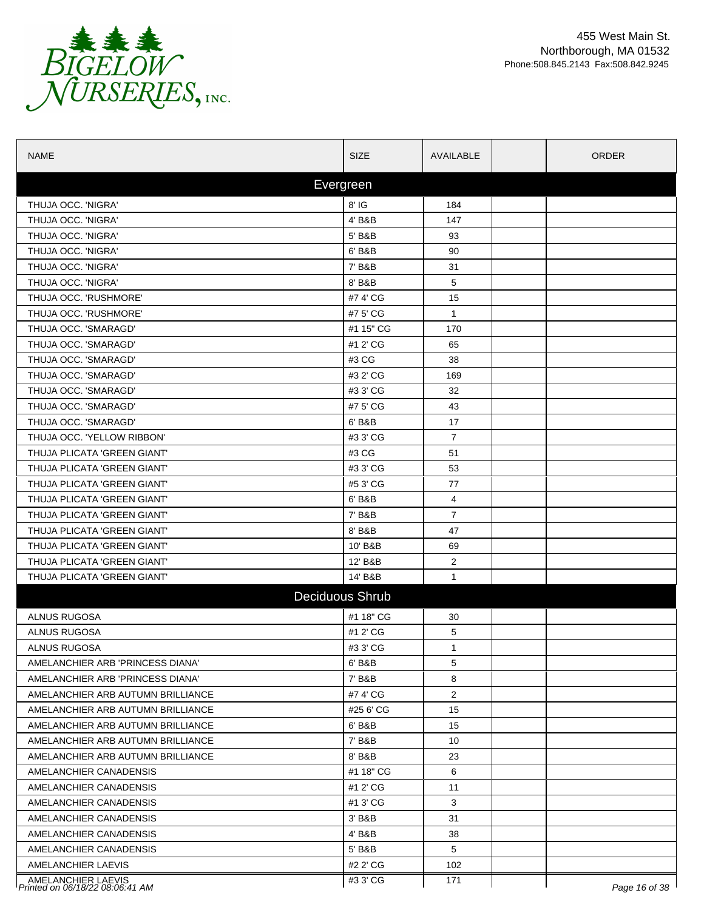

| <b>NAME</b>                                           | <b>SIZE</b>     | AVAILABLE      | <b>ORDER</b>  |
|-------------------------------------------------------|-----------------|----------------|---------------|
|                                                       | Evergreen       |                |               |
| THUJA OCC. 'NIGRA'                                    | 8' IG           | 184            |               |
| THUJA OCC. 'NIGRA'                                    | 4' B&B          | 147            |               |
| THUJA OCC. 'NIGRA'                                    | 5' B&B          | 93             |               |
| THUJA OCC. 'NIGRA'                                    | 6' B&B          | 90             |               |
| THUJA OCC. 'NIGRA'                                    | 7' B&B          | 31             |               |
| THUJA OCC. 'NIGRA'                                    | 8' B&B          | 5              |               |
| THUJA OCC. 'RUSHMORE'                                 | #7 4' CG        | 15             |               |
| THUJA OCC. 'RUSHMORE'                                 | #7 5' CG        | $\mathbf{1}$   |               |
| THUJA OCC. 'SMARAGD'                                  | #1 15" CG       | 170            |               |
| THUJA OCC. 'SMARAGD'                                  | #1 2' CG        | 65             |               |
| THUJA OCC. 'SMARAGD'                                  | #3 CG           | 38             |               |
| THUJA OCC. 'SMARAGD'                                  | #3 2' CG        | 169            |               |
| THUJA OCC. 'SMARAGD'                                  | #3 3' CG        | 32             |               |
| THUJA OCC. 'SMARAGD'                                  | #7 5' CG        | 43             |               |
| THUJA OCC. 'SMARAGD'                                  | 6' B&B          | 17             |               |
| THUJA OCC. 'YELLOW RIBBON'                            | #3 3' CG        | $\overline{7}$ |               |
| THUJA PLICATA 'GREEN GIANT'                           | #3 CG           | 51             |               |
| THUJA PLICATA 'GREEN GIANT'                           | #3 3' CG        | 53             |               |
| THUJA PLICATA 'GREEN GIANT'                           | #5 3' CG        | 77             |               |
| THUJA PLICATA 'GREEN GIANT'                           | 6' B&B          | 4              |               |
| THUJA PLICATA 'GREEN GIANT'                           | 7' B&B          | $\overline{7}$ |               |
| THUJA PLICATA 'GREEN GIANT'                           | 8' B&B          | 47             |               |
| THUJA PLICATA 'GREEN GIANT'                           | 10' B&B         | 69             |               |
| THUJA PLICATA 'GREEN GIANT'                           | 12' B&B         | $\overline{2}$ |               |
| THUJA PLICATA 'GREEN GIANT'                           | 14' B&B         | $\mathbf{1}$   |               |
|                                                       | Deciduous Shrub |                |               |
| ALNUS RUGOSA                                          | #1 18" CG       | 30             |               |
| ALNUS RUGOSA                                          | #1 2' CG        | 5              |               |
| ALNUS RUGOSA                                          | #3 3' CG        | $\mathbf{1}$   |               |
| AMELANCHIER ARB 'PRINCESS DIANA'                      | 6' B&B          | 5              |               |
| AMELANCHIER ARB 'PRINCESS DIANA'                      | 7' B&B          | 8              |               |
| AMELANCHIER ARB AUTUMN BRILLIANCE                     | #74'CG          | $\overline{2}$ |               |
| AMELANCHIER ARB AUTUMN BRILLIANCE                     | #25 6' CG       | 15             |               |
| AMELANCHIER ARB AUTUMN BRILLIANCE                     | 6' B&B          | 15             |               |
| AMELANCHIER ARB AUTUMN BRILLIANCE                     | 7' B&B          | 10             |               |
| AMELANCHIER ARB AUTUMN BRILLIANCE                     | 8' B&B          | 23             |               |
| AMELANCHIER CANADENSIS                                | #1 18" CG       | 6              |               |
| AMELANCHIER CANADENSIS                                | #1 2' CG        | 11             |               |
| AMELANCHIER CANADENSIS                                | #1 3' CG        | 3              |               |
| AMELANCHIER CANADENSIS                                | 3' B&B          | 31             |               |
| AMELANCHIER CANADENSIS                                | 4' B&B          | 38             |               |
| AMELANCHIER CANADENSIS                                | 5' B&B          | 5              |               |
| AMELANCHIER LAEVIS                                    | #2 2' CG        | 102            |               |
| AMELANCHIER LAEVIS<br>Printed on 06/18/22 08:06:41 AM | #3 3' CG        | 171            | Page 16 of 38 |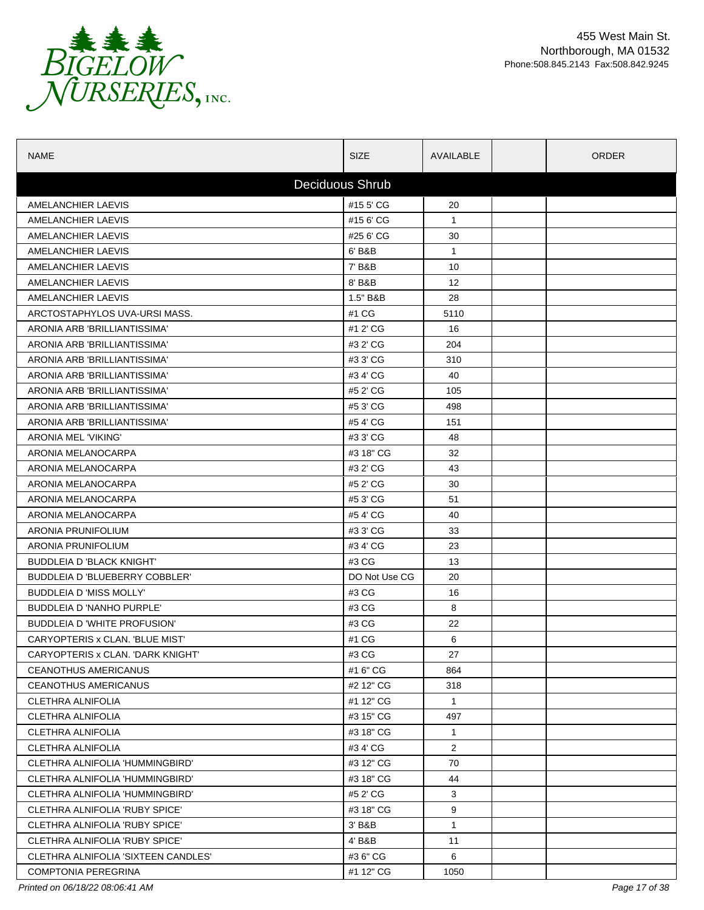

| <b>NAME</b>                         | <b>SIZE</b>            | AVAILABLE         | <b>ORDER</b> |
|-------------------------------------|------------------------|-------------------|--------------|
|                                     | <b>Deciduous Shrub</b> |                   |              |
| AMELANCHIER LAEVIS                  | #15 5' CG              | 20                |              |
| AMELANCHIER LAEVIS                  | #15 6' CG              | $\mathbf{1}$      |              |
| AMELANCHIER LAEVIS                  | #25 6' CG              | 30                |              |
| AMELANCHIER LAEVIS                  | 6' B&B                 | $\mathbf{1}$      |              |
| AMELANCHIER LAEVIS                  | 7' B&B                 | 10                |              |
| AMELANCHIER LAEVIS                  | 8' B&B                 | $12 \overline{ }$ |              |
| AMELANCHIER LAEVIS                  | 1.5" B&B               | 28                |              |
| ARCTOSTAPHYLOS UVA-URSI MASS.       | #1 CG                  | 5110              |              |
| ARONIA ARB 'BRILLIANTISSIMA'        | #1 2' CG               | 16                |              |
| ARONIA ARB 'BRILLIANTISSIMA'        | #3 2' CG               | 204               |              |
| ARONIA ARB 'BRILLIANTISSIMA'        | #3 3' CG               | 310               |              |
| ARONIA ARB 'BRILLIANTISSIMA'        | #3 4' CG               | 40                |              |
| ARONIA ARB 'BRILLIANTISSIMA'        | #5 2' CG               | 105               |              |
| ARONIA ARB 'BRILLIANTISSIMA'        | #5 3' CG               | 498               |              |
| ARONIA ARB 'BRILLIANTISSIMA'        | #54'CG                 | 151               |              |
| <b>ARONIA MEL 'VIKING'</b>          | #3 3' CG               | 48                |              |
| ARONIA MELANOCARPA                  | #3 18" CG              | 32                |              |
| ARONIA MELANOCARPA                  | #3 2' CG               | 43                |              |
| ARONIA MELANOCARPA                  | #5 2' CG               | 30                |              |
| ARONIA MELANOCARPA                  | #5 3' CG               | 51                |              |
| ARONIA MELANOCARPA                  | #54'CG                 | 40                |              |
| ARONIA PRUNIFOLIUM                  | #3 3' CG               | 33                |              |
| ARONIA PRUNIFOLIUM                  | #3 4' CG               | 23                |              |
| <b>BUDDLEIA D 'BLACK KNIGHT'</b>    | #3 CG                  | 13                |              |
| BUDDLEIA D 'BLUEBERRY COBBLER'      | DO Not Use CG          | 20                |              |
| <b>BUDDLEIA D'MISS MOLLY'</b>       | #3 CG                  | 16                |              |
| BUDDLEIA D 'NANHO PURPLE'           | #3 CG                  | 8                 |              |
| BUDDLEIA D 'WHITE PROFUSION'        | #3 CG                  | 22                |              |
| CARYOPTERIS x CLAN. 'BLUE MIST'     | #1 CG                  | 6                 |              |
| CARYOPTERIS x CLAN. 'DARK KNIGHT'   | #3 CG                  | 27                |              |
| <b>CEANOTHUS AMERICANUS</b>         | #1 6" CG               | 864               |              |
| CEANOTHUS AMERICANUS                | #2 12" CG              | 318               |              |
| <b>CLETHRA ALNIFOLIA</b>            | #1 12" CG              | $\mathbf{1}$      |              |
| CLETHRA ALNIFOLIA                   | #3 15" CG              | 497               |              |
| <b>CLETHRA ALNIFOLIA</b>            | #3 18" CG              | $\mathbf{1}$      |              |
| CLETHRA ALNIFOLIA                   | #34'CG                 | 2                 |              |
| CLETHRA ALNIFOLIA 'HUMMINGBIRD'     | #3 12" CG              | 70                |              |
| CLETHRA ALNIFOLIA 'HUMMINGBIRD'     | #3 18" CG              | 44                |              |
| CLETHRA ALNIFOLIA 'HUMMINGBIRD'     | #5 2' CG               | 3                 |              |
| CLETHRA ALNIFOLIA 'RUBY SPICE'      | #3 18" CG              | 9                 |              |
| CLETHRA ALNIFOLIA 'RUBY SPICE'      | 3' B&B                 | $\mathbf{1}$      |              |
| CLETHRA ALNIFOLIA 'RUBY SPICE'      | 4' B&B                 | 11                |              |
| CLETHRA ALNIFOLIA 'SIXTEEN CANDLES' | #36" CG                | 6                 |              |
| <b>COMPTONIA PEREGRINA</b>          | #1 12" CG              | 1050              |              |

*Printed on 06/18/22 08:06:41 AM Page 17 of 38*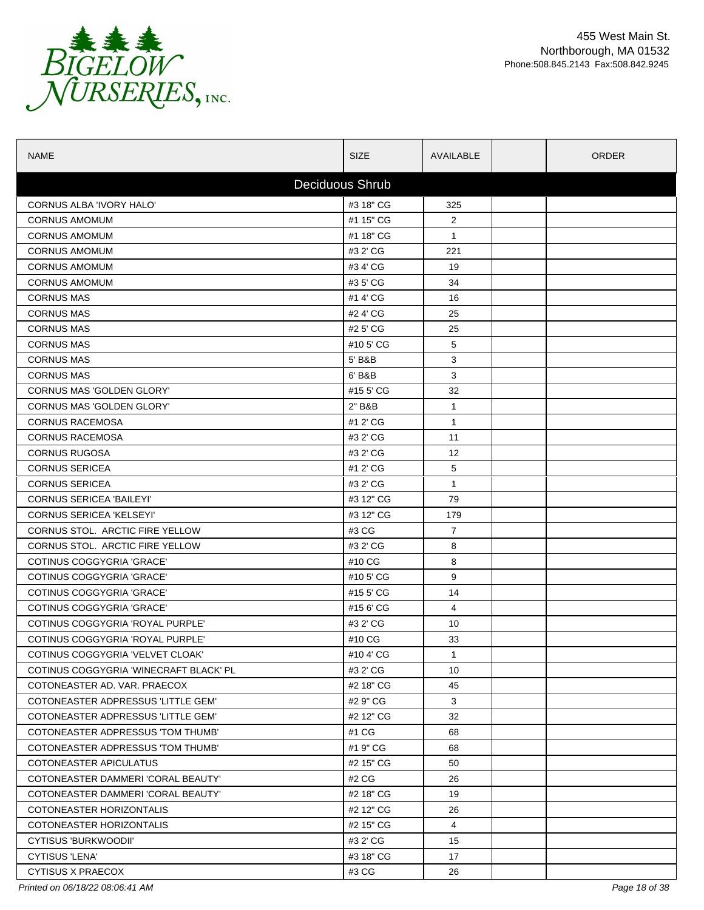

| <b>NAME</b>                            | <b>SIZE</b>     | AVAILABLE      | ORDER |  |
|----------------------------------------|-----------------|----------------|-------|--|
|                                        | Deciduous Shrub |                |       |  |
| CORNUS ALBA 'IVORY HALO'               | #3 18" CG       | 325            |       |  |
| <b>CORNUS AMOMUM</b>                   | #1 15" CG       | $\overline{2}$ |       |  |
| <b>CORNUS AMOMUM</b>                   | #1 18" CG       | $\mathbf{1}$   |       |  |
| <b>CORNUS AMOMUM</b>                   | #3 2' CG        | 221            |       |  |
| <b>CORNUS AMOMUM</b>                   | #3 4' CG        | 19             |       |  |
| <b>CORNUS AMOMUM</b>                   | #3 5' CG        | 34             |       |  |
| <b>CORNUS MAS</b>                      | #1 4' CG        | 16             |       |  |
| <b>CORNUS MAS</b>                      | #2 4' CG        | 25             |       |  |
| <b>CORNUS MAS</b>                      | #2 5' CG        | 25             |       |  |
| <b>CORNUS MAS</b>                      | #10 5' CG       | 5              |       |  |
| <b>CORNUS MAS</b>                      | 5' B&B          | 3              |       |  |
| <b>CORNUS MAS</b>                      | 6' B&B          | 3              |       |  |
| CORNUS MAS 'GOLDEN GLORY'              | #15 5' CG       | 32             |       |  |
| CORNUS MAS 'GOLDEN GLORY'              | 2" B&B          | $\mathbf{1}$   |       |  |
| <b>CORNUS RACEMOSA</b>                 | #1 2' CG        | $\mathbf{1}$   |       |  |
| <b>CORNUS RACEMOSA</b>                 | #3 2' CG        | 11             |       |  |
| <b>CORNUS RUGOSA</b>                   | #3 2' CG        | 12             |       |  |
| <b>CORNUS SERICEA</b>                  | #1 2' CG        | 5              |       |  |
| <b>CORNUS SERICEA</b>                  | #3 2' CG        | $\mathbf{1}$   |       |  |
| <b>CORNUS SERICEA 'BAILEYI'</b>        | #3 12" CG       | 79             |       |  |
| <b>CORNUS SERICEA 'KELSEYI'</b>        | #3 12" CG       | 179            |       |  |
| CORNUS STOL. ARCTIC FIRE YELLOW        | #3 CG           | $\overline{7}$ |       |  |
| CORNUS STOL. ARCTIC FIRE YELLOW        | #3 2' CG        | 8              |       |  |
| COTINUS COGGYGRIA 'GRACE'              | #10 CG          | 8              |       |  |
| COTINUS COGGYGRIA 'GRACE'              | #10 5' CG       | 9              |       |  |
| COTINUS COGGYGRIA 'GRACE'              | #15 5' CG       | 14             |       |  |
| COTINUS COGGYGRIA 'GRACE'              | #15 6' CG       | 4              |       |  |
| COTINUS COGGYGRIA 'ROYAL PURPLE'       | #3 2' CG        | 10             |       |  |
| COTINUS COGGYGRIA 'ROYAL PURPLE'       | #10 CG          | 33             |       |  |
| COTINUS COGGYGRIA 'VELVET CLOAK'       | #104'CG         | 1              |       |  |
| COTINUS COGGYGRIA 'WINECRAFT BLACK' PL | #3 2' CG        | 10             |       |  |
| COTONEASTER AD. VAR. PRAECOX           | #2 18" CG       | 45             |       |  |
| COTONEASTER ADPRESSUS 'LITTLE GEM'     | #2 9" CG        | 3              |       |  |
| COTONEASTER ADPRESSUS 'LITTLE GEM'     | #2 12" CG       | 32             |       |  |
| COTONEASTER ADPRESSUS 'TOM THUMB'      | #1 CG           | 68             |       |  |
| COTONEASTER ADPRESSUS 'TOM THUMB'      | #1 9" CG        | 68             |       |  |
| COTONEASTER APICULATUS                 | #2 15" CG       | 50             |       |  |
| COTONEASTER DAMMERI 'CORAL BEAUTY'     | #2 CG           | 26             |       |  |
| COTONEASTER DAMMERI 'CORAL BEAUTY'     | #2 18" CG       | 19             |       |  |
| COTONEASTER HORIZONTALIS               | #2 12" CG       | 26             |       |  |
| COTONEASTER HORIZONTALIS               | #2 15" CG       | 4              |       |  |
| CYTISUS 'BURKWOODII'                   | #3 2' CG        | 15             |       |  |
| <b>CYTISUS 'LENA'</b>                  | #3 18" CG       | 17             |       |  |
| <b>CYTISUS X PRAECOX</b>               | #3 CG           | 26             |       |  |

*Printed on 06/18/22 08:06:41 AM Page 18 of 38*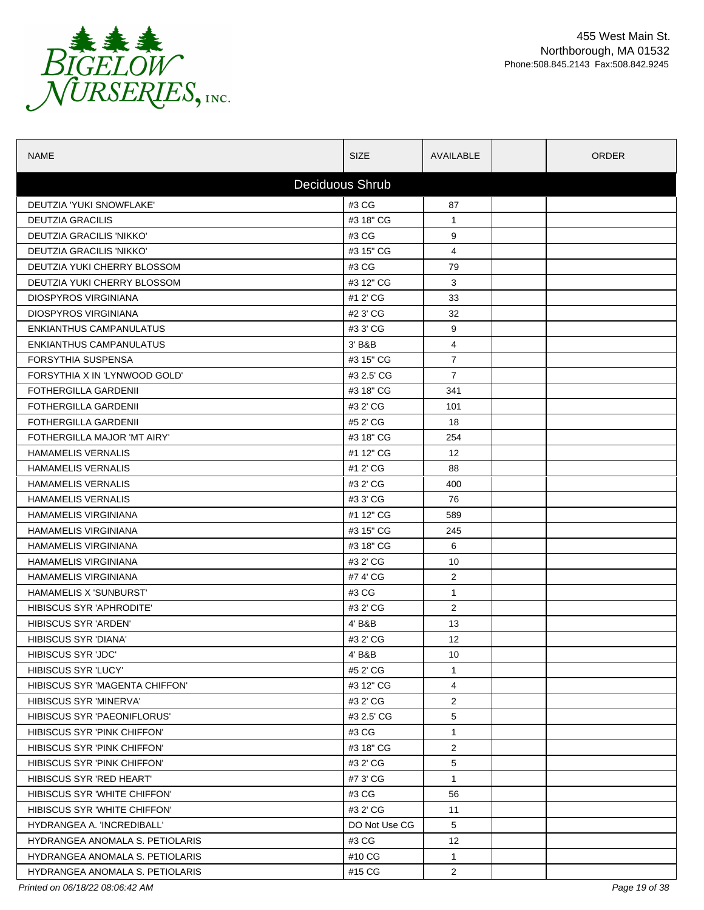

| <b>NAME</b>                     | <b>SIZE</b>     | AVAILABLE         | <b>ORDER</b> |
|---------------------------------|-----------------|-------------------|--------------|
|                                 | Deciduous Shrub |                   |              |
| DEUTZIA 'YUKI SNOWFLAKE'        | #3 CG           | 87                |              |
| <b>DEUTZIA GRACILIS</b>         | #3 18" CG       | $\mathbf{1}$      |              |
| DEUTZIA GRACILIS 'NIKKO'        | #3 CG           | 9                 |              |
| DEUTZIA GRACILIS 'NIKKO'        | #3 15" CG       | 4                 |              |
| DEUTZIA YUKI CHERRY BLOSSOM     | #3 CG           | 79                |              |
| DEUTZIA YUKI CHERRY BLOSSOM     | #3 12" CG       | 3                 |              |
| <b>DIOSPYROS VIRGINIANA</b>     | #1 2' CG        | 33                |              |
| <b>DIOSPYROS VIRGINIANA</b>     | #2 3' CG        | 32                |              |
| ENKIANTHUS CAMPANULATUS         | #3 3' CG        | 9                 |              |
| ENKIANTHUS CAMPANULATUS         | 3' B&B          | 4                 |              |
| FORSYTHIA SUSPENSA              | #3 15" CG       | $\overline{7}$    |              |
| FORSYTHIA X IN 'LYNWOOD GOLD'   | #3 2.5' CG      | $\overline{7}$    |              |
| <b>FOTHERGILLA GARDENII</b>     | #3 18" CG       | 341               |              |
| <b>FOTHERGILLA GARDENII</b>     | #3 2' CG        | 101               |              |
| <b>FOTHERGILLA GARDENII</b>     | #5 2' CG        | 18                |              |
| FOTHERGILLA MAJOR 'MT AIRY'     | #3 18" CG       | 254               |              |
| <b>HAMAMELIS VERNALIS</b>       | #1 12" CG       | $12 \overline{ }$ |              |
| <b>HAMAMELIS VERNALIS</b>       | #1 2' CG        | 88                |              |
| <b>HAMAMELIS VERNALIS</b>       | #3 2' CG        | 400               |              |
| <b>HAMAMELIS VERNALIS</b>       | #3 3' CG        | 76                |              |
| <b>HAMAMELIS VIRGINIANA</b>     | #1 12" CG       | 589               |              |
| <b>HAMAMELIS VIRGINIANA</b>     | #3 15" CG       | 245               |              |
| <b>HAMAMELIS VIRGINIANA</b>     | #3 18" CG       | 6                 |              |
| <b>HAMAMELIS VIRGINIANA</b>     | #3 2' CG        | 10                |              |
| <b>HAMAMELIS VIRGINIANA</b>     | #7 4' CG        | $\overline{2}$    |              |
| HAMAMELIS X 'SUNBURST'          | #3 CG           | $\mathbf{1}$      |              |
| HIBISCUS SYR 'APHRODITE'        | #3 2' CG        | $\overline{2}$    |              |
| <b>HIBISCUS SYR 'ARDEN'</b>     | 4' B&B          | 13                |              |
| <b>HIBISCUS SYR 'DIANA'</b>     | #3 2' CG        | 12                |              |
| HIBISCUS SYR 'JDC'              | 4' B&B          | 10                |              |
| HIBISCUS SYR 'LUCY'             | #5 2' CG        | $\mathbf{1}$      |              |
| HIBISCUS SYR 'MAGENTA CHIFFON'  | #3 12" CG       | 4                 |              |
| <b>HIBISCUS SYR 'MINERVA'</b>   | #3 2' CG        | $\overline{c}$    |              |
| HIBISCUS SYR 'PAEONIFLORUS'     | #3 2.5' CG      | 5                 |              |
| HIBISCUS SYR 'PINK CHIFFON'     | #3 CG           | 1                 |              |
| HIBISCUS SYR 'PINK CHIFFON'     | #3 18" CG       | $\mathbf{2}$      |              |
| HIBISCUS SYR 'PINK CHIFFON'     | #3 2' CG        | 5                 |              |
| HIBISCUS SYR 'RED HEART'        | #7 3' CG        | $\mathbf{1}$      |              |
| HIBISCUS SYR 'WHITE CHIFFON'    | #3 CG           | 56                |              |
| HIBISCUS SYR 'WHITE CHIFFON'    | #3 2' CG        | 11                |              |
| HYDRANGEA A. 'INCREDIBALL'      | DO Not Use CG   | 5                 |              |
| HYDRANGEA ANOMALA S. PETIOLARIS | #3 CG           | 12                |              |
| HYDRANGEA ANOMALA S. PETIOLARIS | #10 CG          | $\mathbf{1}$      |              |
| HYDRANGEA ANOMALA S. PETIOLARIS | #15 CG          | $\overline{2}$    |              |

*Printed on 06/18/22 08:06:42 AM Page 19 of 38*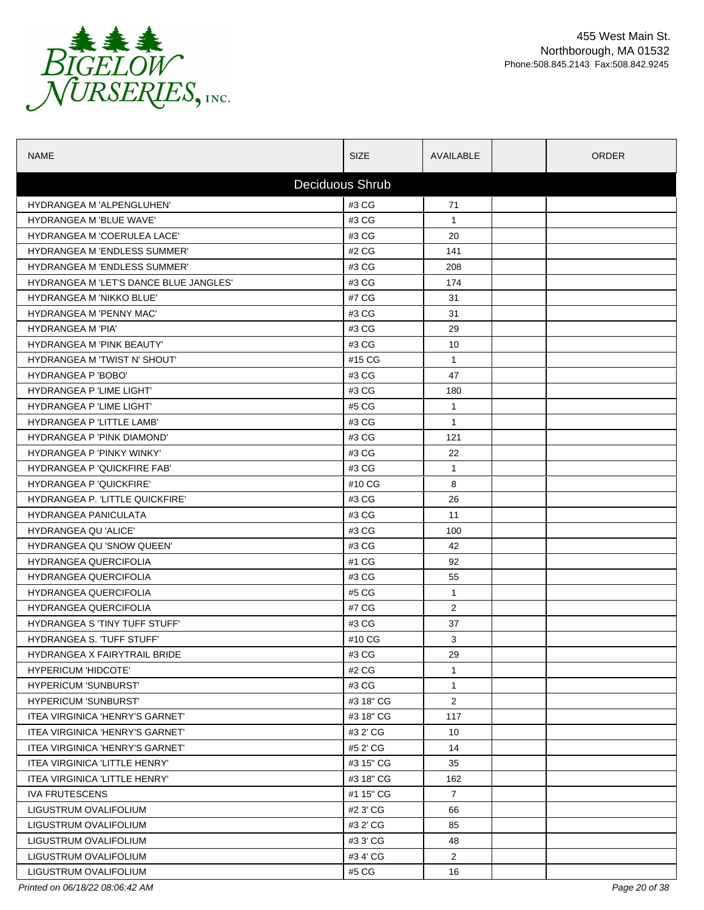

| <b>NAME</b>                            | <b>SIZE</b>     | AVAILABLE      | <b>ORDER</b> |
|----------------------------------------|-----------------|----------------|--------------|
|                                        | Deciduous Shrub |                |              |
| <b>HYDRANGEA M 'ALPENGLUHEN'</b>       | #3 CG           | 71             |              |
| <b>HYDRANGEA M 'BLUE WAVE'</b>         | #3 CG           | $\mathbf{1}$   |              |
| HYDRANGEA M 'COERULEA LACE'            | #3 CG           | 20             |              |
| <b>HYDRANGEA M 'ENDLESS SUMMER'</b>    | #2 CG           | 141            |              |
| <b>HYDRANGEA M 'ENDLESS SUMMER'</b>    | #3 CG           | 208            |              |
| HYDRANGEA M 'LET'S DANCE BLUE JANGLES' | #3 CG           | 174            |              |
| <b>HYDRANGEA M 'NIKKO BLUE'</b>        | #7 CG           | 31             |              |
| <b>HYDRANGEA M 'PENNY MAC'</b>         | #3 CG           | 31             |              |
| <b>HYDRANGEA M 'PIA'</b>               | #3 CG           | 29             |              |
| <b>HYDRANGEA M 'PINK BEAUTY'</b>       | #3 CG           | 10             |              |
| HYDRANGEA M 'TWIST N' SHOUT'           | #15 CG          | $\mathbf{1}$   |              |
| <b>HYDRANGEA P 'BOBO'</b>              | #3 CG           | 47             |              |
| HYDRANGEA P 'LIME LIGHT'               | #3 CG           | 180            |              |
| HYDRANGEA P 'LIME LIGHT'               | #5 CG           | $\mathbf{1}$   |              |
| HYDRANGEA P 'LITTLE LAMB'              | #3 CG           | $\mathbf{1}$   |              |
| HYDRANGEA P 'PINK DIAMOND'             | #3 CG           | 121            |              |
| HYDRANGEA P 'PINKY WINKY'              | #3 CG           | 22             |              |
| HYDRANGEA P 'QUICKFIRE FAB'            | #3 CG           | $\mathbf{1}$   |              |
| <b>HYDRANGEA P 'QUICKFIRE'</b>         | #10 CG          | 8              |              |
| HYDRANGEA P. 'LITTLE QUICKFIRE'        | #3 CG           | 26             |              |
| <b>HYDRANGEA PANICULATA</b>            | #3 CG           | 11             |              |
| HYDRANGEA QU 'ALICE'                   | #3 CG           | 100            |              |
| HYDRANGEA QU 'SNOW QUEEN'              | #3 CG           | 42             |              |
| <b>HYDRANGEA QUERCIFOLIA</b>           | #1 CG           | 92             |              |
| <b>HYDRANGEA QUERCIFOLIA</b>           | #3 CG           | 55             |              |
| <b>HYDRANGEA QUERCIFOLIA</b>           | #5 CG           | $\mathbf{1}$   |              |
| <b>HYDRANGEA QUERCIFOLIA</b>           | #7 CG           | 2              |              |
| <b>HYDRANGEA S 'TINY TUFF STUFF'</b>   | #3 CG           | 37             |              |
| <b>HYDRANGEA S. TUFF STUFF</b>         | #10 CG          | 3              |              |
| HYDRANGEA X FAIRYTRAIL BRIDE           | #3 CG           | 29             |              |
| <b>HYPERICUM 'HIDCOTE'</b>             | #2 CG           | $\mathbf{1}$   |              |
| <b>HYPERICUM 'SUNBURST'</b>            | #3 CG           | $\mathbf{1}$   |              |
| <b>HYPERICUM 'SUNBURST'</b>            | #3 18" CG       | $\mathbf{2}$   |              |
| ITEA VIRGINICA 'HENRY'S GARNET'        | #3 18" CG       | 117            |              |
| <b>ITEA VIRGINICA 'HENRY'S GARNET'</b> | #3 2' CG        | 10             |              |
| ITEA VIRGINICA 'HENRY'S GARNET'        | #5 2' CG        | 14             |              |
| ITEA VIRGINICA 'LITTLE HENRY'          | #3 15" CG       | 35             |              |
| ITEA VIRGINICA 'LITTLE HENRY'          | #3 18" CG       | 162            |              |
| <b>IVA FRUTESCENS</b>                  | #1 15" CG       | $\overline{7}$ |              |
| LIGUSTRUM OVALIFOLIUM                  | #2 3' CG        | 66             |              |
| LIGUSTRUM OVALIFOLIUM                  | #3 2' CG        | 85             |              |
| LIGUSTRUM OVALIFOLIUM                  | #3 3' CG        | 48             |              |
| LIGUSTRUM OVALIFOLIUM                  | #3 4' CG        | $\overline{2}$ |              |
| LIGUSTRUM OVALIFOLIUM                  | #5 CG           | 16             |              |

*Printed on 06/18/22 08:06:42 AM Page 20 of 38*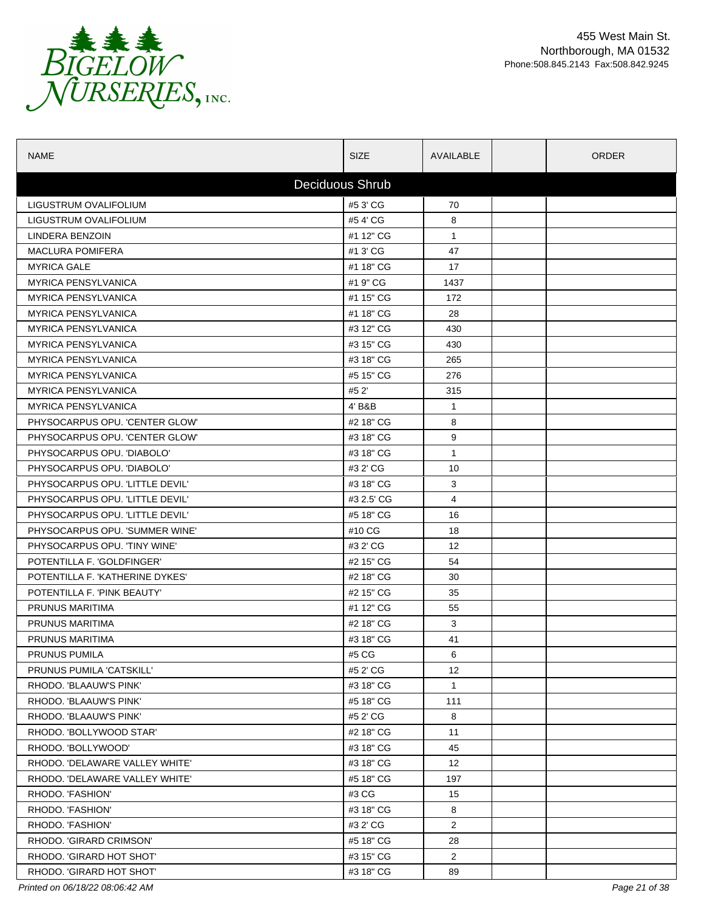

| <b>NAME</b>                     | <b>SIZE</b>     | AVAILABLE       | ORDER |  |
|---------------------------------|-----------------|-----------------|-------|--|
|                                 | Deciduous Shrub |                 |       |  |
| LIGUSTRUM OVALIFOLIUM           | #5 3' CG        | 70              |       |  |
| LIGUSTRUM OVALIFOLIUM           | #54'CG          | 8               |       |  |
| LINDERA BENZOIN                 | #1 12" CG       | $\mathbf{1}$    |       |  |
| <b>MACLURA POMIFERA</b>         | #1 3' CG        | 47              |       |  |
| <b>MYRICA GALE</b>              | #1 18" CG       | 17              |       |  |
| <b>MYRICA PENSYLVANICA</b>      | #1 9" CG        | 1437            |       |  |
| <b>MYRICA PENSYLVANICA</b>      | #1 15" CG       | 172             |       |  |
| <b>MYRICA PENSYLVANICA</b>      | #1 18" CG       | 28              |       |  |
| <b>MYRICA PENSYLVANICA</b>      | #3 12" CG       | 430             |       |  |
| <b>MYRICA PENSYLVANICA</b>      | #3 15" CG       | 430             |       |  |
| <b>MYRICA PENSYLVANICA</b>      | #3 18" CG       | 265             |       |  |
| <b>MYRICA PENSYLVANICA</b>      | #5 15" CG       | 276             |       |  |
| <b>MYRICA PENSYLVANICA</b>      | #5 2'           | 315             |       |  |
| <b>MYRICA PENSYLVANICA</b>      | 4' B&B          | $\mathbf{1}$    |       |  |
| PHYSOCARPUS OPU. 'CENTER GLOW'  | #2 18" CG       | 8               |       |  |
| PHYSOCARPUS OPU. 'CENTER GLOW'  | #3 18" CG       | 9               |       |  |
| PHYSOCARPUS OPU. 'DIABOLO'      | #3 18" CG       | $\mathbf{1}$    |       |  |
| PHYSOCARPUS OPU. 'DIABOLO'      | #3 2' CG        | 10              |       |  |
| PHYSOCARPUS OPU. 'LITTLE DEVIL' | #3 18" CG       | 3               |       |  |
| PHYSOCARPUS OPU. 'LITTLE DEVIL' | #3 2.5' CG      | $\overline{4}$  |       |  |
| PHYSOCARPUS OPU. 'LITTLE DEVIL' | #5 18" CG       | 16              |       |  |
| PHYSOCARPUS OPU. 'SUMMER WINE'  | #10 CG          | 18              |       |  |
| PHYSOCARPUS OPU. 'TINY WINE'    | #3 2' CG        | 12              |       |  |
| POTENTILLA F. 'GOLDFINGER'      | #2 15" CG       | 54              |       |  |
| POTENTILLA F. 'KATHERINE DYKES' | #2 18" CG       | 30              |       |  |
| POTENTILLA F. 'PINK BEAUTY'     | #2 15" CG       | 35              |       |  |
| PRUNUS MARITIMA                 | #1 12" CG       | 55              |       |  |
| PRUNUS MARITIMA                 | #2 18" CG       | 3               |       |  |
| PRUNUS MARITIMA                 | #3 18" CG       | 41              |       |  |
| PRUNUS PUMILA                   | #5 CG           | 6               |       |  |
| <b>PRUNUS PUMILA 'CATSKILL'</b> | #5 2' CG        | 12              |       |  |
| RHODO. 'BLAAUW'S PINK'          | #3 18" CG       | $\mathbf{1}$    |       |  |
| RHODO. 'BLAAUW'S PINK'          | #5 18" CG       | 111             |       |  |
| RHODO. 'BLAAUW'S PINK'          | #5 2' CG        | 8               |       |  |
| RHODO. 'BOLLYWOOD STAR'         | #2 18" CG       | 11              |       |  |
| RHODO. 'BOLLYWOOD'              | #3 18" CG       | 45              |       |  |
| RHODO. 'DELAWARE VALLEY WHITE'  | #3 18" CG       | 12 <sup>°</sup> |       |  |
| RHODO. 'DELAWARE VALLEY WHITE'  | #5 18" CG       | 197             |       |  |
| RHODO. 'FASHION'                | #3 CG           | 15              |       |  |
| RHODO. 'FASHION'                | #3 18" CG       | 8               |       |  |
| RHODO. 'FASHION'                | #3 2' CG        | $\overline{2}$  |       |  |
| RHODO. 'GIRARD CRIMSON'         | #5 18" CG       | 28              |       |  |
| RHODO. 'GIRARD HOT SHOT'        | #3 15" CG       | $\overline{2}$  |       |  |
| RHODO. 'GIRARD HOT SHOT'        | #3 18" CG       | 89              |       |  |

*Printed on 06/18/22 08:06:42 AM Page 21 of 38*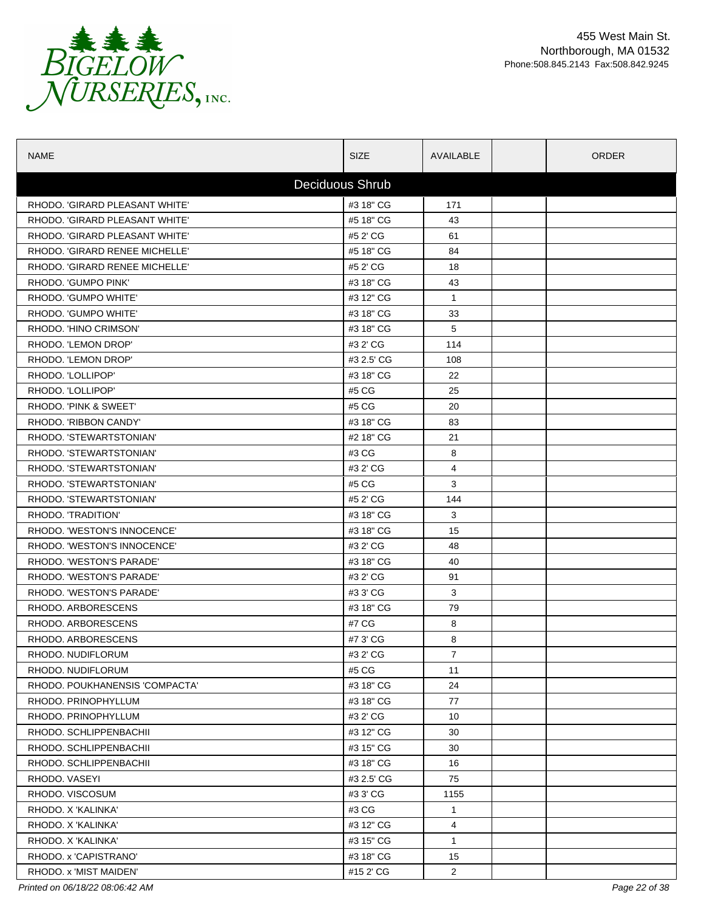

| <b>NAME</b>                    | <b>SIZE</b>     | AVAILABLE      | <b>ORDER</b> |
|--------------------------------|-----------------|----------------|--------------|
|                                | Deciduous Shrub |                |              |
| RHODO. 'GIRARD PLEASANT WHITE' | #3 18" CG       | 171            |              |
| RHODO. 'GIRARD PLEASANT WHITE' | #5 18" CG       | 43             |              |
| RHODO. 'GIRARD PLEASANT WHITE' | #5 2' CG        | 61             |              |
| RHODO. 'GIRARD RENEE MICHELLE' | #5 18" CG       | 84             |              |
| RHODO. 'GIRARD RENEE MICHELLE' | #5 2' CG        | 18             |              |
| RHODO. 'GUMPO PINK'            | #3 18" CG       | 43             |              |
| RHODO. 'GUMPO WHITE'           | #3 12" CG       | $\mathbf{1}$   |              |
| RHODO. 'GUMPO WHITE'           | #3 18" CG       | 33             |              |
| RHODO. 'HINO CRIMSON'          | #3 18" CG       | 5              |              |
| RHODO. 'LEMON DROP'            | #3 2' CG        | 114            |              |
| RHODO. 'LEMON DROP'            | #3 2.5' CG      | 108            |              |
| RHODO. 'LOLLIPOP'              | #3 18" CG       | 22             |              |
| RHODO. 'LOLLIPOP'              | #5 CG           | 25             |              |
| RHODO. 'PINK & SWEET'          | #5 CG           | 20             |              |
| RHODO. 'RIBBON CANDY'          | #3 18" CG       | 83             |              |
| RHODO, 'STEWARTSTONIAN'        | #2 18" CG       | 21             |              |
| RHODO. 'STEWARTSTONIAN'        | #3 CG           | 8              |              |
| RHODO. 'STEWARTSTONIAN'        | #3 2' CG        | 4              |              |
| RHODO. 'STEWARTSTONIAN'        | #5 CG           | 3              |              |
| RHODO. 'STEWARTSTONIAN'        | #5 2' CG        | 144            |              |
| RHODO. 'TRADITION'             | #3 18" CG       | 3              |              |
| RHODO. 'WESTON'S INNOCENCE'    | #3 18" CG       | 15             |              |
| RHODO. 'WESTON'S INNOCENCE'    | #3 2' CG        | 48             |              |
| RHODO. 'WESTON'S PARADE'       | #3 18" CG       | 40             |              |
| RHODO. 'WESTON'S PARADE'       | #3 2' CG        | 91             |              |
| RHODO. 'WESTON'S PARADE'       | #3 3' CG        | 3              |              |
| RHODO, ARBORESCENS             | #3 18" CG       | 79             |              |
| RHODO. ARBORESCENS             | #7 CG           | 8              |              |
| RHODO, ARBORESCENS             | #7 3' CG        | 8              |              |
| RHODO. NUDIFLORUM              | #3 2' CG        | $\overline{7}$ |              |
| RHODO. NUDIFLORUM              | #5 CG           | 11             |              |
| RHODO, POUKHANENSIS 'COMPACTA' | #3 18" CG       | 24             |              |
| RHODO. PRINOPHYLLUM            | #3 18" CG       | 77             |              |
| RHODO. PRINOPHYLLUM            | #3 2' CG        | 10             |              |
| RHODO. SCHLIPPENBACHII         | #3 12" CG       | 30             |              |
| RHODO. SCHLIPPENBACHII         | #3 15" CG       | 30             |              |
| RHODO. SCHLIPPENBACHII         | #3 18" CG       | 16             |              |
| RHODO, VASEYI                  | #3 2.5' CG      | 75             |              |
| RHODO. VISCOSUM                | #3 3' CG        | 1155           |              |
| RHODO. X 'KALINKA'             | #3 CG           | $\mathbf{1}$   |              |
| RHODO. X 'KALINKA'             | #3 12" CG       | 4              |              |
| RHODO. X 'KALINKA'             | #3 15" CG       | $\mathbf{1}$   |              |
| RHODO. x 'CAPISTRANO'          | #3 18" CG       | 15             |              |
| RHODO. x 'MIST MAIDEN'         | #15 2' CG       | $\overline{2}$ |              |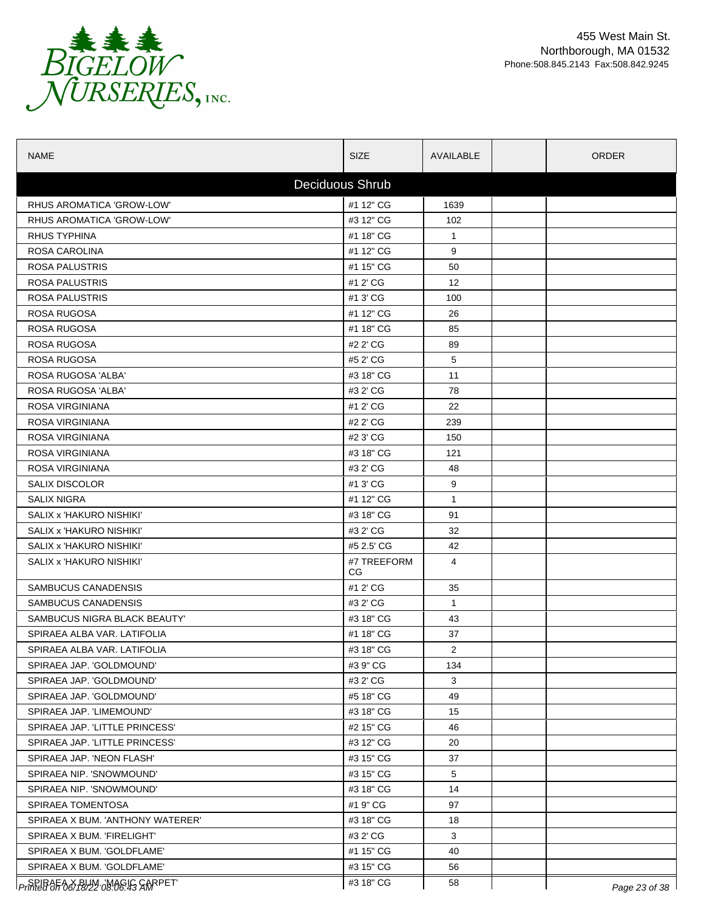

| <b>NAME</b>                                               | <b>SIZE</b>            | AVAILABLE      | <b>ORDER</b>  |
|-----------------------------------------------------------|------------------------|----------------|---------------|
|                                                           | <b>Deciduous Shrub</b> |                |               |
| RHUS AROMATICA 'GROW-LOW'                                 | #1 12" CG              | 1639           |               |
| RHUS AROMATICA 'GROW-LOW'                                 | #3 12" CG              | 102            |               |
| <b>RHUS TYPHINA</b>                                       | #1 18" CG              | $\mathbf{1}$   |               |
| ROSA CAROLINA                                             | #1 12" CG              | 9              |               |
| <b>ROSA PALUSTRIS</b>                                     | #1 15" CG              | 50             |               |
| ROSA PALUSTRIS                                            | #1 2' CG               | 12             |               |
| <b>ROSA PALUSTRIS</b>                                     | #1 3' CG               | 100            |               |
| ROSA RUGOSA                                               | #1 12" CG              | 26             |               |
| ROSA RUGOSA                                               | #1 18" CG              | 85             |               |
| ROSA RUGOSA                                               | #2 2' CG               | 89             |               |
| ROSA RUGOSA                                               | #5 2' CG               | 5              |               |
| ROSA RUGOSA 'ALBA'                                        | #3 18" CG              | 11             |               |
| ROSA RUGOSA 'ALBA'                                        | #3 2' CG               | 78             |               |
| ROSA VIRGINIANA                                           | #1 2' CG               | 22             |               |
| ROSA VIRGINIANA                                           | #2 2' CG               | 239            |               |
| ROSA VIRGINIANA                                           | #2 3' CG               | 150            |               |
| <b>ROSA VIRGINIANA</b>                                    | #3 18" CG              | 121            |               |
| ROSA VIRGINIANA                                           | #3 2' CG               | 48             |               |
| <b>SALIX DISCOLOR</b>                                     | #1 3' CG               | 9              |               |
| SALIX NIGRA                                               | #1 12" CG              | $\mathbf{1}$   |               |
| SALIX x 'HAKURO NISHIKI'                                  | #3 18" CG              | 91             |               |
| SALIX x 'HAKURO NISHIKI'                                  | #3 2' CG               | 32             |               |
| SALIX x 'HAKURO NISHIKI'                                  | #5 2.5' CG             | 42             |               |
| SALIX x 'HAKURO NISHIKI'                                  | #7 TREEFORM<br>CG.     | 4              |               |
| <b>SAMBUCUS CANADENSIS</b>                                | #1 2' CG               | 35             |               |
| SAMBUCUS CANADENSIS                                       | #3 2' CG               | $\mathbf{1}$   |               |
| SAMBUCUS NIGRA BLACK BEAUTY'                              | #3 18" CG              | 43             |               |
| SPIRAEA ALBA VAR. LATIFOLIA                               | #1 18" CG              | 37             |               |
| SPIRAEA ALBA VAR. LATIFOLIA                               | #3 18" CG              | $\overline{2}$ |               |
| SPIRAEA JAP. 'GOLDMOUND'                                  | #39" CG                | 134            |               |
| SPIRAEA JAP. 'GOLDMOUND'                                  | #3 2' CG               | 3              |               |
| SPIRAEA JAP. 'GOLDMOUND'                                  | #5 18" CG              | 49             |               |
| SPIRAEA JAP. 'LIMEMOUND'                                  | #3 18" CG              | 15             |               |
| SPIRAEA JAP. 'LITTLE PRINCESS'                            | #2 15" CG              | 46             |               |
| SPIRAEA JAP. 'LITTLE PRINCESS'                            | #3 12" CG              | 20             |               |
| SPIRAEA JAP. 'NEON FLASH'                                 | #3 15" CG              | 37             |               |
| SPIRAEA NIP. 'SNOWMOUND'                                  | #3 15" CG              | 5              |               |
| SPIRAEA NIP. 'SNOWMOUND'                                  | #3 18" CG              | 14             |               |
| SPIRAEA TOMENTOSA                                         | #1 9" CG               | 97             |               |
| SPIRAEA X BUM. 'ANTHONY WATERER'                          | #3 18" CG              | 18             |               |
| SPIRAEA X BUM. 'FIRELIGHT'                                | #3 2' CG               | 3              |               |
| SPIRAEA X BUM. 'GOLDFLAME'                                | #1 15" CG              | 40             |               |
| SPIRAEA X BUM. 'GOLDFLAME'                                | #3 15" CG              | 56             |               |
| <i>Frinted <del>OF O</del>&amp; PSYL</i> 08:06:43 SARPET' | #3 18" CG              | 58             | Page 23 of 38 |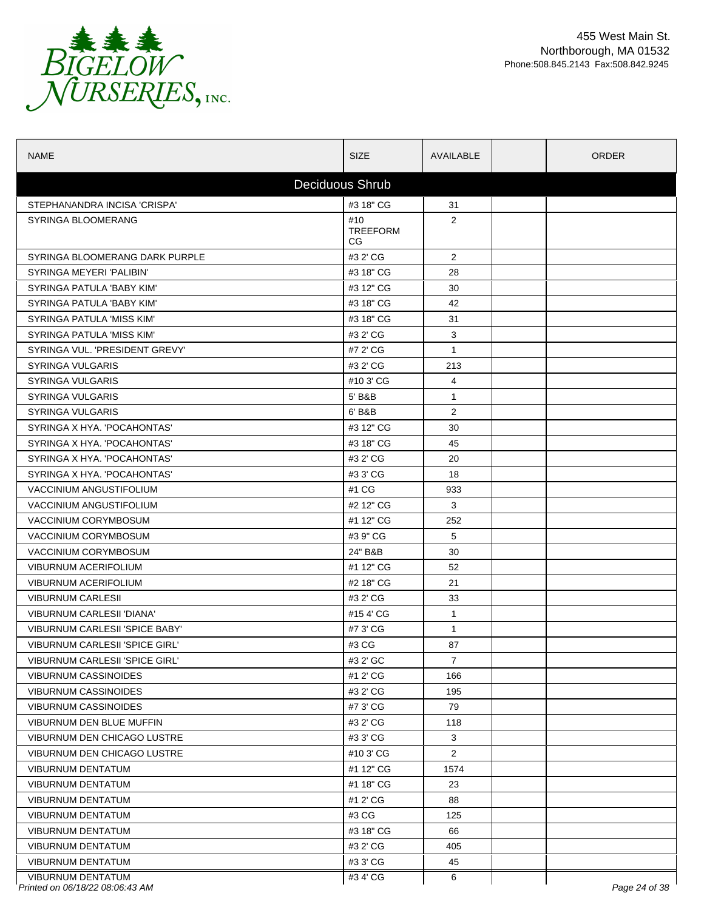

| <b>NAME</b>                                                 | <b>SIZE</b>                   | AVAILABLE      | <b>ORDER</b>  |
|-------------------------------------------------------------|-------------------------------|----------------|---------------|
|                                                             | Deciduous Shrub               |                |               |
| STEPHANANDRA INCISA 'CRISPA'                                | #3 18" CG                     | 31             |               |
| <b>SYRINGA BLOOMERANG</b>                                   | #10<br><b>TREEFORM</b><br>CG. | 2              |               |
| SYRINGA BLOOMERANG DARK PURPLE                              | #3 2' CG                      | 2              |               |
| <b>SYRINGA MEYERI 'PALIBIN'</b>                             | #3 18" CG                     | 28             |               |
| SYRINGA PATULA 'BABY KIM'                                   | #3 12" CG                     | 30             |               |
| SYRINGA PATULA 'BABY KIM'                                   | #3 18" CG                     | 42             |               |
| SYRINGA PATULA 'MISS KIM'                                   | #3 18" CG                     | 31             |               |
| SYRINGA PATULA 'MISS KIM'                                   | #3 2' CG                      | 3              |               |
| SYRINGA VUL. 'PRESIDENT GREVY'                              | #7 2' CG                      | $\mathbf{1}$   |               |
| <b>SYRINGA VULGARIS</b>                                     | #3 2' CG                      | 213            |               |
| <b>SYRINGA VULGARIS</b>                                     | #10 3' CG                     | 4              |               |
| <b>SYRINGA VULGARIS</b>                                     | 5' B&B                        | 1              |               |
| <b>SYRINGA VULGARIS</b>                                     | 6' B&B                        | 2              |               |
| SYRINGA X HYA. 'POCAHONTAS'                                 | #3 12" CG                     | 30             |               |
| SYRINGA X HYA. 'POCAHONTAS'                                 | #3 18" CG                     | 45             |               |
| SYRINGA X HYA, 'POCAHONTAS'                                 | #3 2' CG                      | 20             |               |
| SYRINGA X HYA. 'POCAHONTAS'                                 | #3 3' CG                      | 18             |               |
| <b>VACCINIUM ANGUSTIFOLIUM</b>                              | #1 CG                         | 933            |               |
| <b>VACCINIUM ANGUSTIFOLIUM</b>                              | #2 12" CG                     | 3              |               |
| VACCINIUM CORYMBOSUM                                        | #1 12" CG                     | 252            |               |
| VACCINIUM CORYMBOSUM                                        | #3 9" CG                      | 5              |               |
| VACCINIUM CORYMBOSUM                                        | 24" B&B                       | 30             |               |
| <b>VIBURNUM ACERIFOLIUM</b>                                 | #1 12" CG                     | 52             |               |
| <b>VIBURNUM ACERIFOLIUM</b>                                 | #2 18" CG                     | 21             |               |
| <b>VIBURNUM CARLESII</b>                                    | #3 2' CG                      | 33             |               |
| VIBURNUM CARLESII 'DIANA'                                   | #154'CG                       | $\mathbf{1}$   |               |
| VIBURNUM CARLESII 'SPICE BABY'                              | #7 3' CG                      | 1              |               |
| VIBURNUM CARLESII 'SPICE GIRL'                              | #3 CG                         | 87             |               |
| VIBURNUM CARLESII 'SPICE GIRL'                              | #3 2' GC                      | $\overline{7}$ |               |
| <b>VIBURNUM CASSINOIDES</b>                                 | #1 2' CG                      | 166            |               |
| <b>VIBURNUM CASSINOIDES</b>                                 | #3 2' CG                      | 195            |               |
| <b>VIBURNUM CASSINOIDES</b>                                 | #7 3' CG                      | 79             |               |
| VIBURNUM DEN BLUE MUFFIN                                    | #3 2' CG                      | 118            |               |
| VIBURNUM DEN CHICAGO LUSTRE                                 | #3 3' CG                      | 3              |               |
| VIBURNUM DEN CHICAGO LUSTRE                                 | #10 3' CG                     | $\overline{2}$ |               |
| <b>VIBURNUM DENTATUM</b>                                    | #1 12" CG                     | 1574           |               |
| <b>VIBURNUM DENTATUM</b>                                    | #1 18" CG                     | 23             |               |
| <b>VIBURNUM DENTATUM</b>                                    | #1 2' CG                      | 88             |               |
| <b>VIBURNUM DENTATUM</b>                                    | #3 CG                         | 125            |               |
| <b>VIBURNUM DENTATUM</b>                                    | #3 18" CG                     | 66             |               |
| <b>VIBURNUM DENTATUM</b>                                    | #3 2' CG                      | 405            |               |
| VIBURNUM DENTATUM                                           | #3 3' CG                      | 45             |               |
| <b>VIBURNUM DENTATUM</b><br>Printed on 06/18/22 08:06:43 AM | #34'CG                        | 6              | Page 24 of 38 |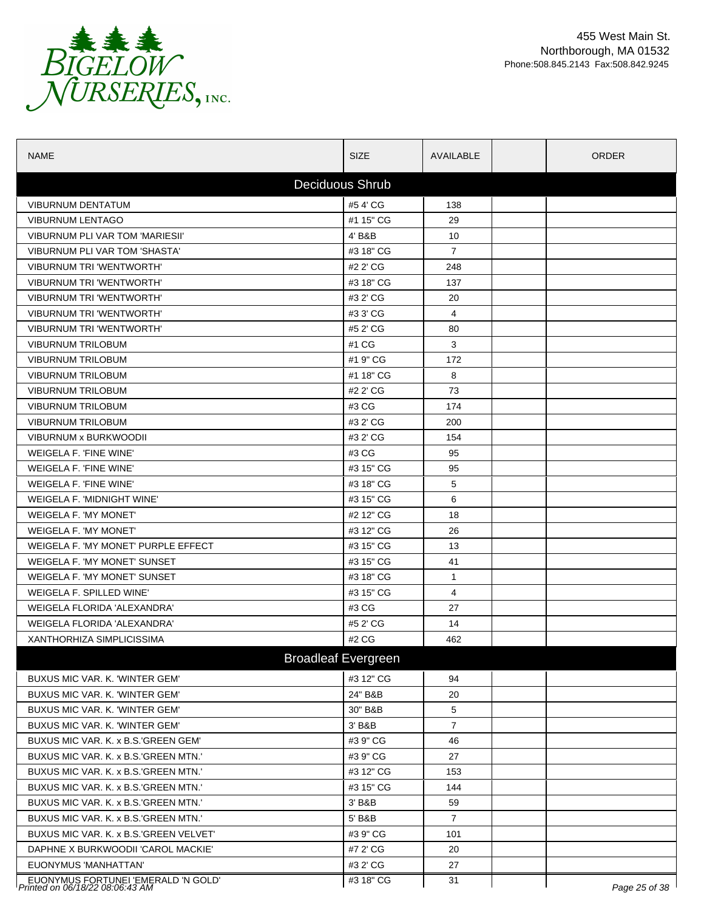

| <b>NAME</b>                                                            | <b>SIZE</b>                | AVAILABLE      | <b>ORDER</b>  |
|------------------------------------------------------------------------|----------------------------|----------------|---------------|
|                                                                        | <b>Deciduous Shrub</b>     |                |               |
| <b>VIBURNUM DENTATUM</b>                                               | #54'CG                     | 138            |               |
| <b>VIBURNUM LENTAGO</b>                                                | #1 15" CG                  | 29             |               |
| VIBURNUM PLI VAR TOM 'MARIESII'                                        | 4' B&B                     | 10             |               |
| VIBURNUM PLI VAR TOM 'SHASTA'                                          | #3 18" CG                  | $\overline{7}$ |               |
| <b>VIBURNUM TRI 'WENTWORTH'</b>                                        | #2 2' CG                   | 248            |               |
| <b>VIBURNUM TRI 'WENTWORTH'</b>                                        | #3 18" CG                  | 137            |               |
| <b>VIBURNUM TRI 'WENTWORTH'</b>                                        | #3 2' CG                   | 20             |               |
| VIBURNUM TRI 'WENTWORTH'                                               | #3 3' CG                   | 4              |               |
| <b>VIBURNUM TRI 'WENTWORTH'</b>                                        | #5 2' CG                   | 80             |               |
| <b>VIBURNUM TRILOBUM</b>                                               | #1 CG                      | 3              |               |
| VIBURNUM TRILOBUM                                                      | #1 9" CG                   | 172            |               |
| <b>VIBURNUM TRILOBUM</b>                                               | #1 18" CG                  | 8              |               |
| <b>VIBURNUM TRILOBUM</b>                                               | #2 2' CG                   | 73             |               |
| <b>VIBURNUM TRILOBUM</b>                                               | #3 CG                      | 174            |               |
| <b>VIBURNUM TRILOBUM</b>                                               | #3 2' CG                   | 200            |               |
| VIBURNUM x BURKWOODII                                                  | #3 2' CG                   | 154            |               |
| WEIGELA F. 'FINE WINE'                                                 | #3 CG                      | 95             |               |
| WEIGELA F. 'FINE WINE'                                                 | #3 15" CG                  | 95             |               |
| WEIGELA F. 'FINE WINE'                                                 | #3 18" CG                  | 5              |               |
| WEIGELA F. 'MIDNIGHT WINE'                                             | #3 15" CG                  | 6              |               |
| WEIGELA F. 'MY MONET'                                                  | #2 12" CG                  | 18             |               |
| <b>WEIGELA F. 'MY MONET'</b>                                           | #3 12" CG                  | 26             |               |
| WEIGELA F. 'MY MONET' PURPLE EFFECT                                    | #3 15" CG                  | 13             |               |
| WEIGELA F. 'MY MONET' SUNSET                                           | #3 15" CG                  | 41             |               |
| WEIGELA F. 'MY MONET' SUNSET                                           | #3 18" CG                  | $\mathbf{1}$   |               |
| WEIGELA F. SPILLED WINE'                                               | #3 15" CG                  | 4              |               |
| WEIGELA FLORIDA 'ALEXANDRA'                                            | #3 CG                      | 27             |               |
| WEIGELA FLORIDA 'ALEXANDRA'                                            | #5 2' CG                   | 14             |               |
| XANTHORHIZA SIMPLICISSIMA                                              | #2 CG                      | 462            |               |
|                                                                        | <b>Broadleaf Evergreen</b> |                |               |
| BUXUS MIC VAR. K. 'WINTER GEM'                                         | #3 12" CG                  | 94             |               |
| BUXUS MIC VAR. K. 'WINTER GEM'                                         | 24" B&B                    | 20             |               |
| BUXUS MIC VAR. K. 'WINTER GEM'                                         | 30" B&B                    | 5              |               |
| BUXUS MIC VAR. K. 'WINTER GEM'                                         | 3' B&B                     | $\overline{7}$ |               |
| BUXUS MIC VAR. K. x B.S.'GREEN GEM'                                    | #3 9" CG                   | 46             |               |
| BUXUS MIC VAR. K. x B.S. GREEN MTN.                                    | #3 9" CG                   | 27             |               |
| BUXUS MIC VAR. K. x B.S. GREEN MTN.                                    | #3 12" CG                  | 153            |               |
| BUXUS MIC VAR. K. x B.S. GREEN MTN.                                    | #3 15" CG                  | 144            |               |
| BUXUS MIC VAR. K. x B.S. GREEN MTN.                                    | 3' B&B                     | 59             |               |
| BUXUS MIC VAR. K. x B.S. GREEN MTN.                                    | 5' B&B                     | $\overline{7}$ |               |
| BUXUS MIC VAR. K. x B.S.'GREEN VELVET'                                 | #3 9" CG                   | 101            |               |
| DAPHNE X BURKWOODII 'CAROL MACKIE'                                     | #7 2' CG                   | 20             |               |
| EUONYMUS 'MANHATTAN'                                                   | #3 2' CG                   | 27             |               |
|                                                                        | #3 18" CG                  | 31             |               |
| EUONYMUS FORTUNEI 'EMERALD 'N GOLD'<br>Printed on 06/18/22 08:06:43 AM |                            |                | Page 25 of 38 |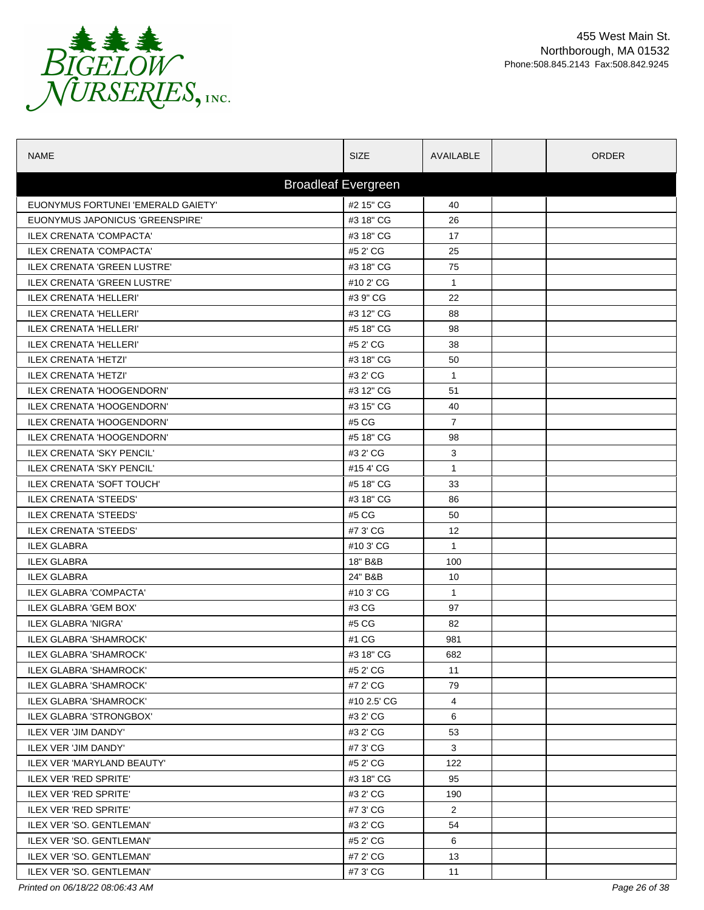

| <b>NAME</b>                        | <b>SIZE</b>                | AVAILABLE            | ORDER |
|------------------------------------|----------------------------|----------------------|-------|
|                                    | <b>Broadleaf Evergreen</b> |                      |       |
| EUONYMUS FORTUNEI 'EMERALD GAIETY' | #2 15" CG                  | 40                   |       |
| EUONYMUS JAPONICUS 'GREENSPIRE'    | #3 18" CG                  | 26                   |       |
| ILEX CRENATA 'COMPACTA'            | #3 18" CG                  | 17                   |       |
| ILEX CRENATA 'COMPACTA'            | #5 2' CG                   | 25                   |       |
| <b>ILEX CRENATA 'GREEN LUSTRE'</b> | #3 18" CG                  | 75                   |       |
| <b>ILEX CRENATA 'GREEN LUSTRE'</b> | #10 2' CG                  | $\mathbf{1}$         |       |
| <b>ILEX CRENATA 'HELLERI'</b>      | #3 9" CG                   | 22                   |       |
| <b>ILEX CRENATA 'HELLERI'</b>      | #3 12" CG                  | 88                   |       |
| <b>ILEX CRENATA 'HELLERI'</b>      | #5 18" CG                  | 98                   |       |
| <b>ILEX CRENATA 'HELLERI'</b>      | #5 2' CG                   | 38                   |       |
| <b>ILEX CRENATA 'HETZI'</b>        | #3 18" CG                  | 50                   |       |
| <b>ILEX CRENATA 'HETZI'</b>        | #3 2' CG                   | $\mathbf{1}$         |       |
| <b>ILEX CRENATA 'HOOGENDORN'</b>   | #3 12" CG                  | 51                   |       |
| <b>ILEX CRENATA 'HOOGENDORN'</b>   | #3 15" CG                  | 40                   |       |
| ILEX CRENATA 'HOOGENDORN'          | #5 CG                      | $\overline{7}$       |       |
| <b>ILEX CRENATA 'HOOGENDORN'</b>   | #5 18" CG                  | 98                   |       |
| <b>ILEX CRENATA 'SKY PENCIL'</b>   | #3 2' CG                   | 3                    |       |
| <b>ILEX CRENATA 'SKY PENCIL'</b>   | #154 CG                    | $\mathbf{1}$         |       |
| ILEX CRENATA 'SOFT TOUCH'          | #5 18" CG                  | 33                   |       |
| <b>ILEX CRENATA 'STEEDS'</b>       | #3 18" CG                  | 86                   |       |
| <b>ILEX CRENATA 'STEEDS'</b>       | #5 CG                      | 50                   |       |
| <b>ILEX CRENATA 'STEEDS'</b>       | #7 3' CG                   | 12                   |       |
| <b>ILEX GLABRA</b>                 | #10 3' CG                  | $\mathbf{1}$         |       |
| <b>ILEX GLABRA</b>                 | 18" B&B                    | 100                  |       |
| <b>ILEX GLABRA</b>                 | 24" B&B                    | 10                   |       |
| <b>ILEX GLABRA 'COMPACTA'</b>      | #103 CG                    | $\mathbf{1}$         |       |
| ILEX GLABRA 'GEM BOX'              | #3 CG                      | 97                   |       |
| <b>ILEX GLABRA 'NIGRA'</b>         | #5 CG                      | 82                   |       |
| <b>ILEX GLABRA 'SHAMROCK'</b>      | #1 CG                      | 981                  |       |
| ILEX GLABRA 'SHAMROCK'             | #3 18" CG                  | 682                  |       |
| ILEX GLABRA 'SHAMROCK'             | #5 2' CG                   | 11                   |       |
| ILEX GLABRA 'SHAMROCK'             | #7 2' CG                   | 79                   |       |
| <b>ILEX GLABRA 'SHAMROCK'</b>      | #10 2.5' CG                | 4                    |       |
| <b>ILEX GLABRA 'STRONGBOX'</b>     | #3 2' CG                   | 6                    |       |
| <b>ILEX VER 'JIM DANDY'</b>        | #3 2' CG                   | 53                   |       |
| <b>ILEX VER 'JIM DANDY'</b>        | #7 3' CG                   | 3                    |       |
| ILEX VER 'MARYLAND BEAUTY'         | #5 2' CG                   | 122                  |       |
| <b>ILEX VER 'RED SPRITE'</b>       | #3 18" CG                  | 95                   |       |
| ILEX VER 'RED SPRITE'              | #3 2' CG                   | 190                  |       |
| ILEX VER 'RED SPRITE'              | #7 3' CG                   | $\mathbf{2}^{\circ}$ |       |
| ILEX VER 'SO. GENTLEMAN'           | #3 2' CG                   | 54                   |       |
| ILEX VER 'SO. GENTLEMAN'           | #5 2' CG                   | 6                    |       |
| ILEX VER 'SO. GENTLEMAN'           | #7 2' CG                   | 13                   |       |
| ILEX VER 'SO. GENTLEMAN'           | #7 3' CG                   | 11                   |       |

*Printed on 06/18/22 08:06:43 AM Page 26 of 38*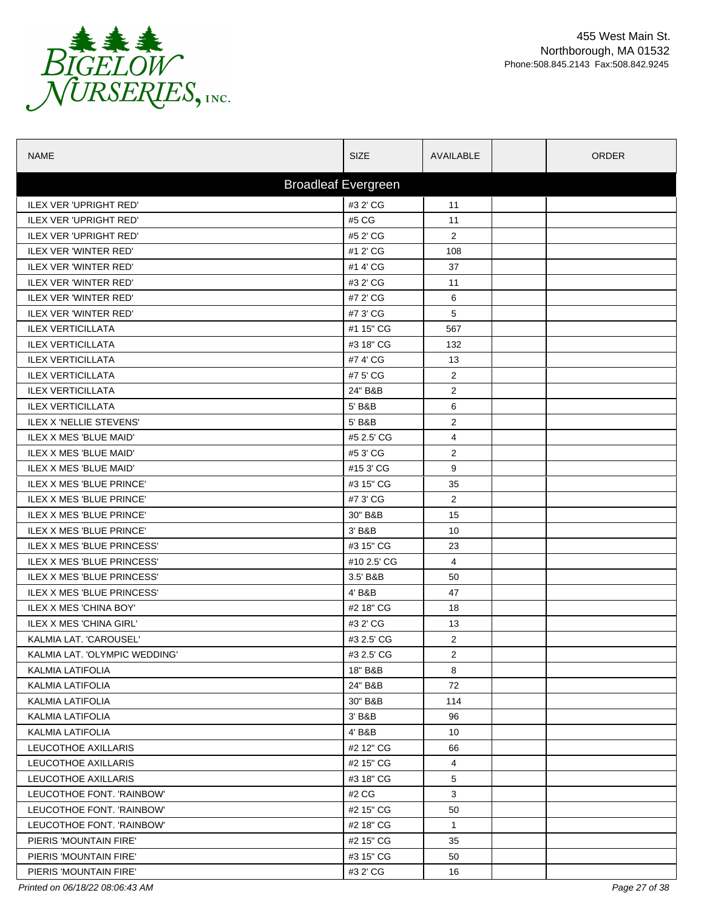

| <b>NAME</b>                    | <b>SIZE</b>                | AVAILABLE      | <b>ORDER</b> |
|--------------------------------|----------------------------|----------------|--------------|
|                                | <b>Broadleaf Evergreen</b> |                |              |
| <b>ILEX VER 'UPRIGHT RED'</b>  | #3 2' CG                   | 11             |              |
| <b>ILEX VER 'UPRIGHT RED'</b>  | #5 CG                      | 11             |              |
| <b>ILEX VER 'UPRIGHT RED'</b>  | #5 2' CG                   | $\overline{2}$ |              |
| ILEX VER 'WINTER RED'          | #1 2' CG                   | 108            |              |
| <b>ILEX VER 'WINTER RED'</b>   | #1 4' CG                   | 37             |              |
| <b>ILEX VER 'WINTER RED'</b>   | #3 2' CG                   | 11             |              |
| ILEX VER 'WINTER RED'          | #7 2' CG                   | 6              |              |
| <b>ILEX VER 'WINTER RED'</b>   | #7 3' CG                   | 5              |              |
| <b>ILEX VERTICILLATA</b>       | #1 15" CG                  | 567            |              |
| <b>ILEX VERTICILLATA</b>       | #3 18" CG                  | 132            |              |
| <b>ILEX VERTICILLATA</b>       | #7 4' CG                   | 13             |              |
| <b>ILEX VERTICILLATA</b>       | #7 5' CG                   | $\overline{2}$ |              |
| <b>ILEX VERTICILLATA</b>       | 24" B&B                    | $\overline{2}$ |              |
| <b>ILEX VERTICILLATA</b>       | 5' B&B                     | 6              |              |
| <b>ILEX X 'NELLIE STEVENS'</b> | 5' B&B                     | $\overline{2}$ |              |
| ILEX X MES 'BLUE MAID'         | #5 2.5' CG                 | 4              |              |
| ILEX X MES 'BLUE MAID'         | #5 3' CG                   | $\overline{2}$ |              |
| ILEX X MES 'BLUE MAID'         | #153'CG                    | 9              |              |
| ILEX X MES 'BLUE PRINCE'       | #3 15" CG                  | 35             |              |
| ILEX X MES 'BLUE PRINCE'       | #7 3' CG                   | $\overline{2}$ |              |
| ILEX X MES 'BLUE PRINCE'       | 30" B&B                    | 15             |              |
| ILEX X MES 'BLUE PRINCE'       | 3' B&B                     | 10             |              |
| ILEX X MES 'BLUE PRINCESS'     | #3 15" CG                  | 23             |              |
| ILEX X MES 'BLUE PRINCESS'     | #10 2.5' CG                | $\overline{4}$ |              |
| ILEX X MES 'BLUE PRINCESS'     | 3.5' B&B                   | 50             |              |
| ILEX X MES 'BLUE PRINCESS'     | 4' B&B                     | 47             |              |
| <b>ILEX X MES 'CHINA BOY'</b>  | #2 18" CG                  | 18             |              |
| <b>ILEX X MES 'CHINA GIRL'</b> | #3 2' CG                   | 13             |              |
| KALMIA LAT. 'CAROUSEL'         | #3 2.5' CG                 | $\overline{2}$ |              |
| KALMIA LAT. 'OLYMPIC WEDDING'  | #3 2.5' CG                 | $\overline{2}$ |              |
| KALMIA LATIFOLIA               | 18" B&B                    | 8              |              |
| KALMIA LATIFOLIA               | 24" B&B                    | 72             |              |
| <b>KALMIA LATIFOLIA</b>        | 30" B&B                    | 114            |              |
| KALMIA LATIFOLIA               | 3' B&B                     | 96             |              |
| <b>KALMIA LATIFOLIA</b>        | 4' B&B                     | 10             |              |
| LEUCOTHOE AXILLARIS            | #2 12" CG                  | 66             |              |
| LEUCOTHOE AXILLARIS            | #2 15" CG                  | 4              |              |
| LEUCOTHOE AXILLARIS            | #3 18" CG                  | 5              |              |
| LEUCOTHOE FONT. 'RAINBOW'      | #2 CG                      | 3              |              |
| LEUCOTHOE FONT. 'RAINBOW'      | #2 15" CG                  | 50             |              |
| LEUCOTHOE FONT. 'RAINBOW'      | #2 18" CG                  | $\mathbf{1}$   |              |
| PIERIS 'MOUNTAIN FIRE'         | #2 15" CG                  | 35             |              |
| PIERIS 'MOUNTAIN FIRE'         | #3 15" CG                  | 50             |              |
| PIERIS 'MOUNTAIN FIRE'         | #3 2' CG                   | 16             |              |

*Printed on 06/18/22 08:06:43 AM Page 27 of 38*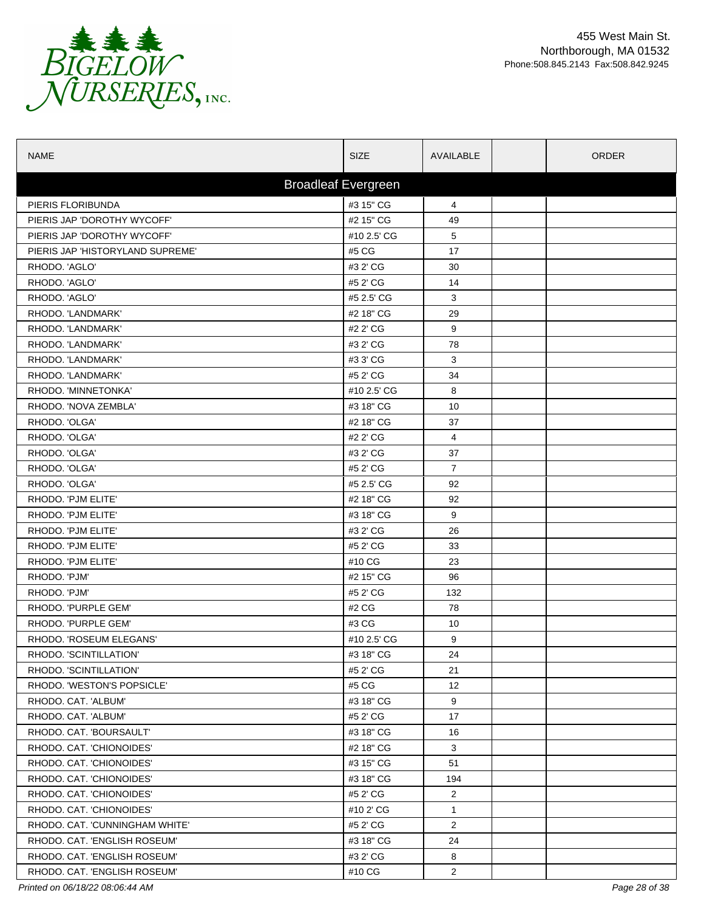

| <b>NAME</b>                      | <b>SIZE</b>                | AVAILABLE      | <b>ORDER</b> |
|----------------------------------|----------------------------|----------------|--------------|
|                                  | <b>Broadleaf Evergreen</b> |                |              |
| PIERIS FLORIBUNDA                | #3 15" CG                  | 4              |              |
| PIERIS JAP 'DOROTHY WYCOFF'      | #2 15" CG                  | 49             |              |
| PIERIS JAP 'DOROTHY WYCOFF'      | #10 2.5' CG                | 5              |              |
| PIERIS JAP 'HISTORYLAND SUPREME' | #5 CG                      | 17             |              |
| RHODO. 'AGLO'                    | #3 2' CG                   | 30             |              |
| RHODO. 'AGLO'                    | #5 2' CG                   | 14             |              |
| RHODO. 'AGLO'                    | #5 2.5' CG                 | 3              |              |
| RHODO. 'LANDMARK'                | #2 18" CG                  | 29             |              |
| RHODO. 'LANDMARK'                | #2 2' CG                   | 9              |              |
| RHODO. 'LANDMARK'                | #3 2' CG                   | 78             |              |
| RHODO. 'LANDMARK'                | #3 3' CG                   | 3              |              |
| RHODO. 'LANDMARK'                | #5 2' CG                   | 34             |              |
| RHODO. 'MINNETONKA'              | #10 2.5' CG                | 8              |              |
| RHODO. 'NOVA ZEMBLA'             | #3 18" CG                  | 10             |              |
| RHODO. 'OLGA'                    | #2 18" CG                  | 37             |              |
| RHODO. 'OLGA'                    | #2 2' CG                   | 4              |              |
| RHODO. 'OLGA'                    | #3 2' CG                   | 37             |              |
| RHODO. 'OLGA'                    | #5 2' CG                   | $\overline{7}$ |              |
| RHODO. 'OLGA'                    | #5 2.5' CG                 | 92             |              |
| RHODO. 'PJM ELITE'               | #2 18" CG                  | 92             |              |
| RHODO. 'PJM ELITE'               | #3 18" CG                  | 9              |              |
| RHODO. 'PJM ELITE'               | #3 2' CG                   | 26             |              |
| RHODO. 'PJM ELITE'               | #5 2' CG                   | 33             |              |
| RHODO. 'PJM ELITE'               | #10 CG                     | 23             |              |
| RHODO. 'PJM'                     | #2 15" CG                  | 96             |              |
| RHODO. 'PJM'                     | #5 2' CG                   | 132            |              |
| RHODO. 'PURPLE GEM'              | #2 CG                      | 78             |              |
| RHODO. 'PURPLE GEM'              | #3 CG                      | 10             |              |
| RHODO. 'ROSEUM ELEGANS'          | #10 2.5' CG                | 9              |              |
| RHODO. 'SCINTILLATION'           | #3 18" CG                  | 24             |              |
| RHODO, 'SCINTILLATION'           | #5 2' CG                   | 21             |              |
| RHODO. 'WESTON'S POPSICLE'       | #5 CG                      | 12             |              |
| RHODO. CAT. 'ALBUM'              | #3 18" CG                  | 9              |              |
| RHODO. CAT. 'ALBUM'              | #5 2' CG                   | 17             |              |
| RHODO. CAT. 'BOURSAULT'          | #3 18" CG                  | 16             |              |
| RHODO. CAT. 'CHIONOIDES'         | #2 18" CG                  | 3              |              |
| RHODO. CAT. 'CHIONOIDES'         | #3 15" CG                  | 51             |              |
| RHODO, CAT. 'CHIONOIDES'         | #3 18" CG                  | 194            |              |
| RHODO. CAT. 'CHIONOIDES'         | #5 2' CG                   | 2              |              |
| RHODO. CAT. 'CHIONOIDES'         | #10 2' CG                  | 1              |              |
| RHODO. CAT. 'CUNNINGHAM WHITE'   | #5 2' CG                   | 2              |              |
| RHODO. CAT. 'ENGLISH ROSEUM'     | #3 18" CG                  | 24             |              |
| RHODO. CAT. 'ENGLISH ROSEUM'     | #3 2' CG                   | 8              |              |
| RHODO. CAT. 'ENGLISH ROSEUM'     | #10 CG                     | $\overline{2}$ |              |

*Printed on 06/18/22 08:06:44 AM Page 28 of 38*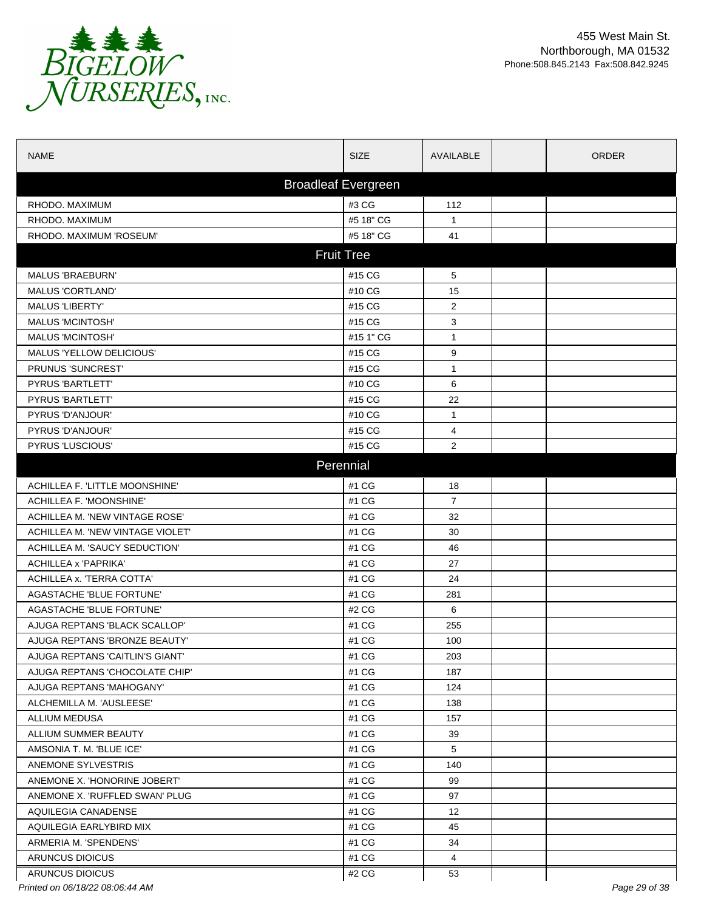

| <b>NAME</b>                      | <b>SIZE</b>                | AVAILABLE      | <b>ORDER</b>  |
|----------------------------------|----------------------------|----------------|---------------|
|                                  | <b>Broadleaf Evergreen</b> |                |               |
| RHODO. MAXIMUM                   | #3 CG                      | 112            |               |
| RHODO. MAXIMUM                   | #5 18" CG                  | $\mathbf{1}$   |               |
| RHODO. MAXIMUM 'ROSEUM'          | #5 18" CG                  | 41             |               |
|                                  | <b>Fruit Tree</b>          |                |               |
| <b>MALUS 'BRAEBURN'</b>          | #15 CG                     | 5              |               |
| <b>MALUS 'CORTLAND'</b>          | #10 CG                     | 15             |               |
| <b>MALUS 'LIBERTY'</b>           | #15 CG                     | 2              |               |
| <b>MALUS 'MCINTOSH'</b>          | #15 CG                     | 3              |               |
| <b>MALUS 'MCINTOSH'</b>          | #15 1" CG                  | 1              |               |
| MALUS 'YELLOW DELICIOUS'         | #15 CG                     | 9              |               |
| PRUNUS 'SUNCREST'                | #15 CG                     | $\mathbf{1}$   |               |
| PYRUS 'BARTLETT'                 | #10 CG                     | 6              |               |
| PYRUS 'BARTLETT'                 | #15 CG                     | 22             |               |
| PYRUS 'D'ANJOUR'                 | #10 CG                     | $\mathbf{1}$   |               |
| PYRUS 'D'ANJOUR'                 | #15 CG                     | 4              |               |
| PYRUS 'LUSCIOUS'                 | #15 CG                     | 2              |               |
|                                  | Perennial                  |                |               |
| ACHILLEA F. 'LITTLE MOONSHINE'   | #1 CG                      | 18             |               |
| ACHILLEA F. 'MOONSHINE'          | #1 CG                      | $\overline{7}$ |               |
| ACHILLEA M. 'NEW VINTAGE ROSE'   | #1 CG                      | 32             |               |
| ACHILLEA M. 'NEW VINTAGE VIOLET' | #1 CG                      | 30             |               |
| ACHILLEA M. 'SAUCY SEDUCTION'    | #1 CG                      | 46             |               |
| <b>ACHILLEA x 'PAPRIKA'</b>      | #1 CG                      | 27             |               |
| ACHILLEA x. 'TERRA COTTA'        | #1 CG                      | 24             |               |
| <b>AGASTACHE 'BLUE FORTUNE'</b>  | #1 CG                      | 281            |               |
| AGASTACHE 'BLUE FORTUNE'         | #2 CG                      | 6              |               |
| AJUGA REPTANS 'BLACK SCALLOP'    | #1 CG                      | 255            |               |
| AJUGA REPTANS 'BRONZE BEAUTY'    | #1 CG                      | 100            |               |
| AJUGA REPTANS 'CAITLIN'S GIANT'  | #1 CG                      | 203            |               |
| AJUGA REPTANS 'CHOCOLATE CHIP'   | #1 CG                      | 187            |               |
| AJUGA REPTANS 'MAHOGANY'         | #1 CG                      | 124            |               |
| ALCHEMILLA M. 'AUSLEESE'         | #1 CG                      | 138            |               |
| ALLIUM MEDUSA                    | #1 CG                      | 157            |               |
| ALLIUM SUMMER BEAUTY             | #1 CG                      | 39             |               |
| AMSONIA T. M. 'BLUE ICE'         | #1 CG                      | 5              |               |
| ANEMONE SYLVESTRIS               | #1 CG                      | 140            |               |
| ANEMONE X. HONORINE JOBERT'      | #1 CG                      | 99             |               |
| ANEMONE X. 'RUFFLED SWAN' PLUG   | #1 CG                      | 97             |               |
| AQUILEGIA CANADENSE              | #1 CG                      | 12             |               |
| AQUILEGIA EARLYBIRD MIX          | #1 CG                      | 45             |               |
| ARMERIA M. 'SPENDENS'            | #1 CG                      | 34             |               |
| ARUNCUS DIOICUS                  | #1 CG                      | 4              |               |
| <b>ARUNCUS DIOICUS</b>           | #2 CG                      | 53             |               |
| Printed on 06/18/22 08:06:44 AM  |                            |                | Page 29 of 38 |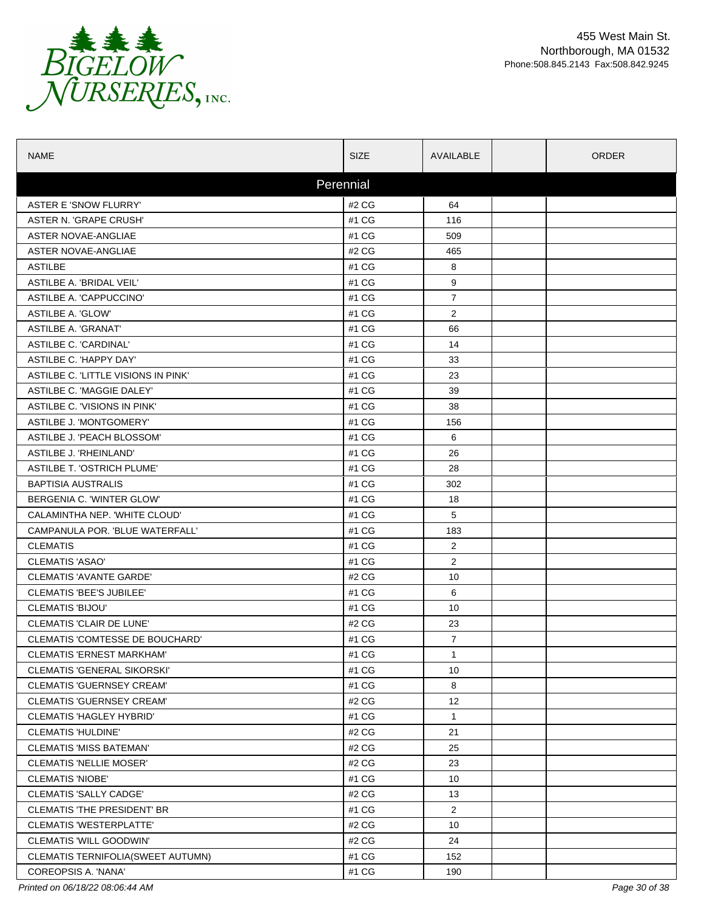

| <b>NAME</b>                         | <b>SIZE</b> | AVAILABLE       | <b>ORDER</b> |
|-------------------------------------|-------------|-----------------|--------------|
|                                     | Perennial   |                 |              |
| ASTER E 'SNOW FLURRY'               | #2 CG       | 64              |              |
| ASTER N. 'GRAPE CRUSH'              | #1 CG       | 116             |              |
| ASTER NOVAE-ANGLIAE                 | #1 CG       | 509             |              |
| ASTER NOVAE-ANGLIAE                 | #2 CG       | 465             |              |
| <b>ASTILBE</b>                      | #1 CG       | 8               |              |
| ASTILBE A 'BRIDAL VEIL'             | #1 CG       | 9               |              |
| ASTILBE A. 'CAPPUCCINO'             | #1 CG       | $\overline{7}$  |              |
| <b>ASTILBE A. 'GLOW'</b>            | #1 CG       | 2               |              |
| ASTILBE A. 'GRANAT'                 | #1 CG       | 66              |              |
| ASTILBE C. 'CARDINAL'               | #1 CG       | 14              |              |
| ASTILBE C. 'HAPPY DAY'              | #1 CG       | 33              |              |
| ASTILBE C. 'LITTLE VISIONS IN PINK' | #1 CG       | 23              |              |
| ASTILBE C. 'MAGGIE DALEY'           | #1 CG       | 39              |              |
| ASTILBE C. 'VISIONS IN PINK'        | #1 CG       | 38              |              |
| ASTILBE J. 'MONTGOMERY'             | #1 CG       | 156             |              |
| ASTILBE J. 'PEACH BLOSSOM'          | #1 CG       | 6               |              |
| ASTILBE J. 'RHEINLAND'              | #1 CG       | 26              |              |
| <b>ASTILBE T. 'OSTRICH PLUME'</b>   | #1 CG       | 28              |              |
| <b>BAPTISIA AUSTRALIS</b>           | #1 CG       | 302             |              |
| BERGENIA C. 'WINTER GLOW'           | #1 CG       | 18              |              |
| CALAMINTHA NEP. 'WHITE CLOUD'       | #1 CG       | 5               |              |
| CAMPANULA POR. 'BLUE WATERFALL'     | #1 CG       | 183             |              |
| <b>CLEMATIS</b>                     | #1 CG       | 2               |              |
| <b>CLEMATIS 'ASAO'</b>              | #1 CG       | $\overline{2}$  |              |
| <b>CLEMATIS 'AVANTE GARDE'</b>      | #2 CG       | 10              |              |
| <b>CLEMATIS 'BEE'S JUBILEE'</b>     | #1 CG       | 6               |              |
| CLEMATIS 'BIJOU'                    | #1 CG       | 10              |              |
| <b>CLEMATIS 'CLAIR DE LUNE'</b>     | #2 CG       | 23              |              |
| CLEMATIS 'COMTESSE DE BOUCHARD'     | #1 CG       | $\overline{7}$  |              |
| <b>CLEMATIS 'ERNEST MARKHAM'</b>    | #1 CG       | 1               |              |
| CLEMATIS 'GENERAL SIKORSKI'         | #1 CG       | 10              |              |
| CLEMATIS 'GUERNSEY CREAM'           | #1 CG       | 8               |              |
| <b>CLEMATIS 'GUERNSEY CREAM'</b>    | #2 CG       | 12              |              |
| <b>CLEMATIS 'HAGLEY HYBRID'</b>     | #1 CG       | $\mathbf{1}$    |              |
| <b>CLEMATIS 'HULDINE'</b>           | #2 CG       | 21              |              |
| <b>CLEMATIS 'MISS BATEMAN'</b>      | #2 CG       | 25              |              |
| <b>CLEMATIS 'NELLIE MOSER'</b>      | #2 CG       | 23              |              |
| <b>CLEMATIS 'NIOBE'</b>             | #1 CG       | 10 <sup>1</sup> |              |
| <b>CLEMATIS 'SALLY CADGE'</b>       | #2 CG       | 13              |              |
| CLEMATIS 'THE PRESIDENT' BR         | #1 CG       | $\overline{2}$  |              |
| CLEMATIS 'WESTERPLATTE'             | #2 CG       | 10              |              |
| CLEMATIS 'WILL GOODWIN'             | #2 CG       | 24              |              |
| CLEMATIS TERNIFOLIA (SWEET AUTUMN)  | #1 CG       | 152             |              |
| COREOPSIS A. 'NANA'                 | #1 CG       | 190             |              |

*Printed on 06/18/22 08:06:44 AM Page 30 of 38*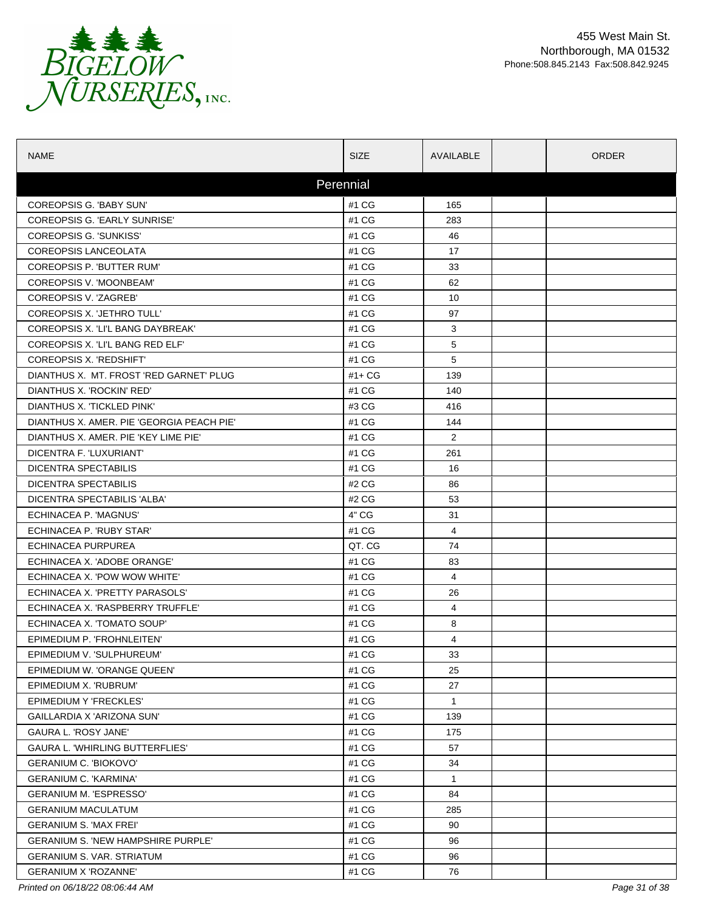

| <b>NAME</b>                               | <b>SIZE</b> | AVAILABLE      | <b>ORDER</b> |
|-------------------------------------------|-------------|----------------|--------------|
|                                           | Perennial   |                |              |
| COREOPSIS G. 'BABY SUN'                   | #1 CG       | 165            |              |
| COREOPSIS G. 'EARLY SUNRISE'              | #1 CG       | 283            |              |
| COREOPSIS G. 'SUNKISS'                    | #1 CG       | 46             |              |
| <b>COREOPSIS LANCEOLATA</b>               | #1 CG       | 17             |              |
| COREOPSIS P. 'BUTTER RUM'                 | #1 CG       | 33             |              |
| COREOPSIS V. 'MOONBEAM'                   | #1 CG       | 62             |              |
| COREOPSIS V. 'ZAGREB'                     | #1 CG       | 10             |              |
| COREOPSIS X. 'JETHRO TULL'                | #1 CG       | 97             |              |
| COREOPSIS X. 'LI'L BANG DAYBREAK'         | #1 CG       | 3              |              |
| COREOPSIS X. 'LI'L BANG RED ELF'          | #1 CG       | 5              |              |
| COREOPSIS X. 'REDSHIFT'                   | #1 CG       | 5              |              |
| DIANTHUS X. MT. FROST 'RED GARNET' PLUG   | #1+ CG      | 139            |              |
| DIANTHUS X. 'ROCKIN' RED'                 | #1 CG       | 140            |              |
| DIANTHUS X. 'TICKLED PINK'                | #3 CG       | 416            |              |
| DIANTHUS X. AMER. PIE 'GEORGIA PEACH PIE' | #1 CG       | 144            |              |
| DIANTHUS X. AMER. PIE 'KEY LIME PIE'      | #1 CG       | $\overline{2}$ |              |
| DICENTRA F. 'LUXURIANT'                   | #1 CG       | 261            |              |
| DICENTRA SPECTABILIS                      | #1 CG       | 16             |              |
| DICENTRA SPECTABILIS                      | #2 CG       | 86             |              |
| DICENTRA SPECTABILIS 'ALBA'               | #2 CG       | 53             |              |
| ECHINACEA P. 'MAGNUS'                     | 4" CG       | 31             |              |
| ECHINACEA P. 'RUBY STAR'                  | #1 CG       | $\overline{4}$ |              |
| ECHINACEA PURPUREA                        | QT. CG      | 74             |              |
| ECHINACEA X. 'ADOBE ORANGE'               | #1 CG       | 83             |              |
| ECHINACEA X. 'POW WOW WHITE'              | #1 CG       | 4              |              |
| ECHINACEA X. 'PRETTY PARASOLS'            | #1 CG       | 26             |              |
| ECHINACEA X. 'RASPBERRY TRUFFLE'          | #1 CG       | 4              |              |
| ECHINACEA X. 'TOMATO SOUP'                | #1 CG       | 8              |              |
| EPIMEDIUM P. 'FROHNLEITEN'                | #1 CG       | 4              |              |
| EPIMEDIUM V. 'SULPHUREUM'                 | #1 CG       | 33             |              |
| EPIMEDIUM W. 'ORANGE QUEEN'               | #1 CG       | 25             |              |
| EPIMEDIUM X. 'RUBRUM'                     | #1 CG       | 27             |              |
| EPIMEDIUM Y 'FRECKLES'                    | #1 CG       | $\mathbf{1}$   |              |
| GAILLARDIA X 'ARIZONA SUN'                | #1 CG       | 139            |              |
| <b>GAURA L. 'ROSY JANE'</b>               | #1 CG       | 175            |              |
| <b>GAURA L. 'WHIRLING BUTTERFLIES'</b>    | #1 CG       | 57             |              |
| <b>GERANIUM C. 'BIOKOVO'</b>              | #1 CG       | 34             |              |
| <b>GERANIUM C. 'KARMINA'</b>              | #1 CG       | $\mathbf{1}$   |              |
| <b>GERANIUM M. 'ESPRESSO'</b>             | #1 CG       | 84             |              |
| <b>GERANIUM MACULATUM</b>                 | #1 CG       | 285            |              |
| <b>GERANIUM S. 'MAX FREI'</b>             | #1 CG       | 90             |              |
| <b>GERANIUM S. 'NEW HAMPSHIRE PURPLE'</b> | #1 CG       | 96             |              |
| <b>GERANIUM S. VAR. STRIATUM</b>          | #1 CG       | 96             |              |
| <b>GERANIUM X 'ROZANNE'</b>               | #1 CG       | 76             |              |

*Printed on 06/18/22 08:06:44 AM Page 31 of 38*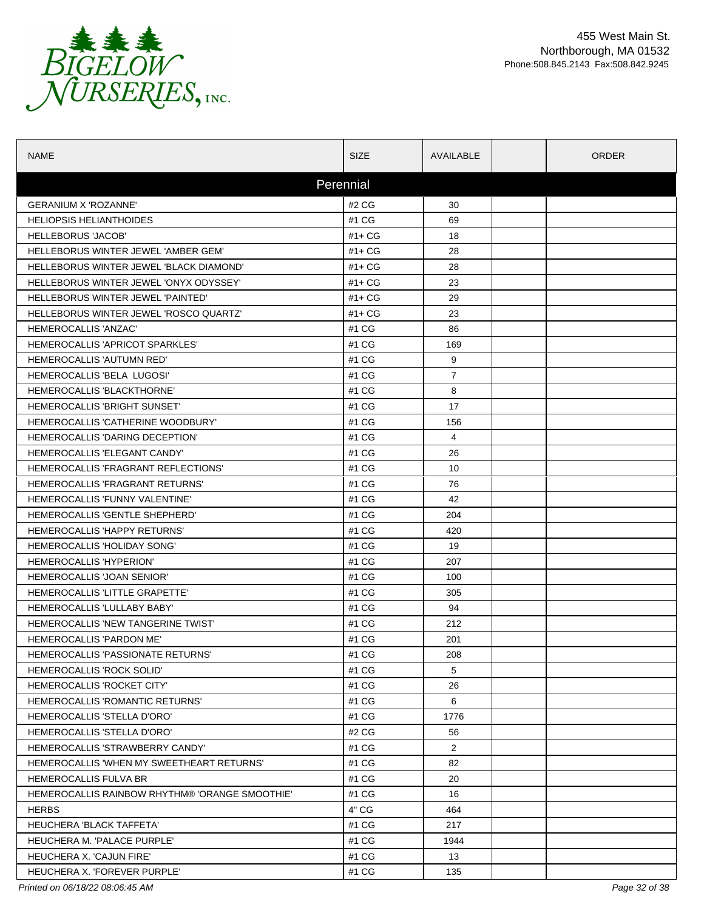

| NAME                                           | <b>SIZE</b> | AVAILABLE      | <b>ORDER</b> |
|------------------------------------------------|-------------|----------------|--------------|
|                                                | Perennial   |                |              |
| <b>GERANIUM X 'ROZANNE'</b>                    | #2 CG       | 30             |              |
| <b>HELIOPSIS HELIANTHOIDES</b>                 | #1 CG       | 69             |              |
| <b>HELLEBORUS 'JACOB'</b>                      | $#1+CG$     | 18             |              |
| HELLEBORUS WINTER JEWEL 'AMBER GEM'            | $#1+CG$     | 28             |              |
| HELLEBORUS WINTER JEWEL 'BLACK DIAMOND'        | $#1+CG$     | 28             |              |
| HELLEBORUS WINTER JEWEL 'ONYX ODYSSEY'         | $#1+CG$     | 23             |              |
| <b>HELLEBORUS WINTER JEWEL 'PAINTED'</b>       | $#1 + CG$   | 29             |              |
| HELLEBORUS WINTER JEWEL 'ROSCO QUARTZ'         | $#1 + CG$   | 23             |              |
| HEMEROCALLIS 'ANZAC'                           | #1 CG       | 86             |              |
| HEMEROCALLIS 'APRICOT SPARKLES'                | #1 CG       | 169            |              |
| HEMEROCALLIS 'AUTUMN RED'                      | #1 CG       | 9              |              |
| HEMEROCALLIS 'BELA LUGOSI'                     | #1 CG       | $\overline{7}$ |              |
| HEMEROCALLIS 'BLACKTHORNE'                     | #1 CG       | 8              |              |
| HEMEROCALLIS 'BRIGHT SUNSET'                   | #1 CG       | 17             |              |
| HEMEROCALLIS 'CATHERINE WOODBURY'              | #1 CG       | 156            |              |
| HEMEROCALLIS 'DARING DECEPTION'                | #1 CG       | 4              |              |
| <b>HEMEROCALLIS 'ELEGANT CANDY'</b>            | #1 CG       | 26             |              |
| HEMEROCALLIS 'FRAGRANT REFLECTIONS'            | #1 CG       | 10             |              |
| <b>HEMEROCALLIS 'FRAGRANT RETURNS'</b>         | #1 CG       | 76             |              |
| HEMEROCALLIS 'FUNNY VALENTINE'                 | #1 CG       | 42             |              |
| HEMEROCALLIS 'GENTLE SHEPHERD'                 | #1 CG       | 204            |              |
| <b>HEMEROCALLIS 'HAPPY RETURNS'</b>            | #1 CG       | 420            |              |
| <b>HEMEROCALLIS 'HOLIDAY SONG'</b>             | #1 CG       | 19             |              |
| <b>HEMEROCALLIS 'HYPERION'</b>                 | #1 CG       | 207            |              |
| HEMEROCALLIS 'JOAN SENIOR'                     | #1 CG       | 100            |              |
| HEMEROCALLIS 'LITTLE GRAPETTE'                 | #1 CG       | 305            |              |
| HEMEROCALLIS 'LULLABY BABY'                    | #1 CG       | 94             |              |
| HEMEROCALLIS 'NEW TANGERINE TWIST'             | #1 CG       | 212            |              |
| HEMEROCALLIS 'PARDON ME'                       | #1 CG       | 201            |              |
| HEMEROCALLIS 'PASSIONATE RETURNS'              | #1 CG       | 208            |              |
| HEMEROCALLIS 'ROCK SOLID'                      | #1 CG       | 5              |              |
| <b>HEMEROCALLIS 'ROCKET CITY'</b>              | #1 CG       | 26             |              |
| <b>HEMEROCALLIS 'ROMANTIC RETURNS'</b>         | #1 CG       | 6              |              |
| HEMEROCALLIS 'STELLA D'ORO'                    | #1 CG       | 1776           |              |
| HEMEROCALLIS 'STELLA D'ORO'                    | #2 CG       | 56             |              |
| HEMEROCALLIS 'STRAWBERRY CANDY'                | #1 CG       | $\overline{2}$ |              |
| HEMEROCALLIS 'WHEN MY SWEETHEART RETURNS'      | #1 CG       | 82             |              |
| HEMEROCALLIS FULVA BR                          | #1 CG       | 20             |              |
| HEMEROCALLIS RAINBOW RHYTHM® 'ORANGE SMOOTHIE' | #1 CG       | 16             |              |
| <b>HERBS</b>                                   | 4" CG       | 464            |              |
| HEUCHERA 'BLACK TAFFETA'                       | #1 CG       | 217            |              |
| HEUCHERA M. 'PALACE PURPLE'                    | #1 CG       | 1944           |              |
| HEUCHERA X. 'CAJUN FIRE'                       | #1 CG       | 13             |              |
| HEUCHERA X. 'FOREVER PURPLE'                   | #1 CG       | 135            |              |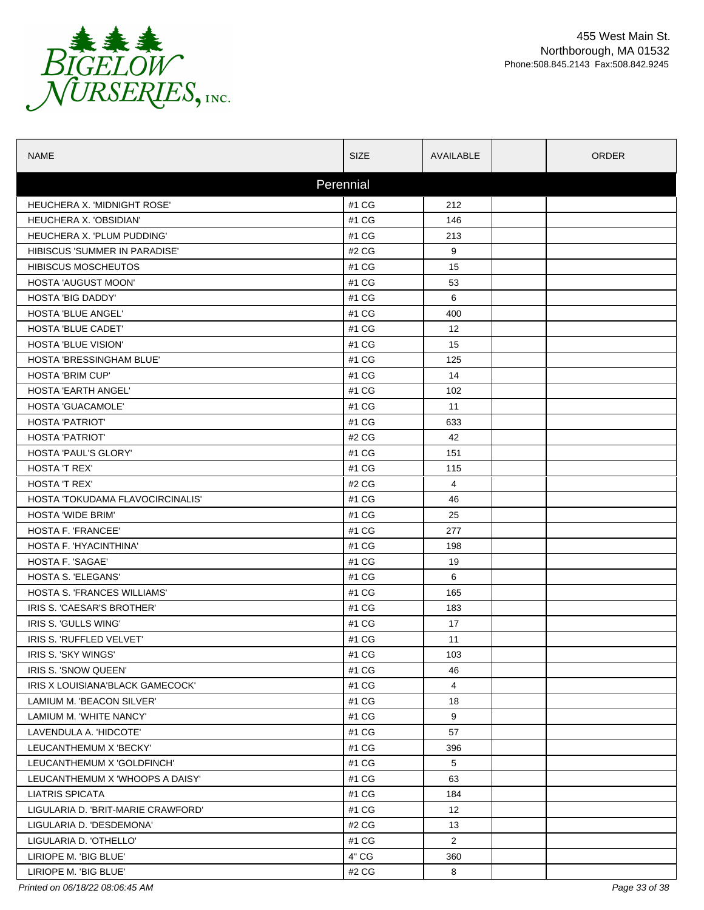

| <b>NAME</b>                        | <b>SIZE</b> | AVAILABLE         | <b>ORDER</b> |
|------------------------------------|-------------|-------------------|--------------|
|                                    | Perennial   |                   |              |
| HEUCHERA X. 'MIDNIGHT ROSE'        | #1 CG       | 212               |              |
| <b>HEUCHERA X. 'OBSIDIAN'</b>      | #1 CG       | 146               |              |
| HEUCHERA X. 'PLUM PUDDING'         | #1 CG       | 213               |              |
| HIBISCUS 'SUMMER IN PARADISE'      | #2 CG       | 9                 |              |
| <b>HIBISCUS MOSCHEUTOS</b>         | #1 CG       | 15                |              |
| HOSTA 'AUGUST MOON'                | #1 CG       | 53                |              |
| <b>HOSTA 'BIG DADDY'</b>           | #1 CG       | 6                 |              |
| HOSTA 'BLUE ANGEL'                 | #1 CG       | 400               |              |
| <b>HOSTA 'BLUE CADET'</b>          | #1 CG       | 12                |              |
| <b>HOSTA 'BLUE VISION'</b>         | #1 CG       | 15                |              |
| HOSTA 'BRESSINGHAM BLUE'           | #1 CG       | 125               |              |
| <b>HOSTA 'BRIM CUP'</b>            | #1 CG       | 14                |              |
| <b>HOSTA 'EARTH ANGEL'</b>         | #1 CG       | 102               |              |
| <b>HOSTA 'GUACAMOLE'</b>           | #1 CG       | 11                |              |
| <b>HOSTA 'PATRIOT'</b>             | #1 CG       | 633               |              |
| <b>HOSTA 'PATRIOT'</b>             | #2 CG       | 42                |              |
| <b>HOSTA 'PAUL'S GLORY'</b>        | #1 CG       | 151               |              |
| HOSTA 'T REX'                      | #1 CG       | 115               |              |
| <b>HOSTA 'T REX'</b>               | #2 CG       | 4                 |              |
| HOSTA 'TOKUDAMA FLAVOCIRCINALIS'   | #1 CG       | 46                |              |
| <b>HOSTA 'WIDE BRIM'</b>           | #1 CG       | 25                |              |
| HOSTA F. 'FRANCEE'                 | #1 CG       | 277               |              |
| HOSTA F. 'HYACINTHINA'             | #1 CG       | 198               |              |
| HOSTA F. 'SAGAE'                   | #1 CG       | 19                |              |
| HOSTA S. 'ELEGANS'                 | #1 CG       | 6                 |              |
| <b>HOSTA S. FRANCES WILLIAMS'</b>  | #1 CG       | 165               |              |
| IRIS S. 'CAESAR'S BROTHER'         | #1 CG       | 183               |              |
| IRIS S. 'GULLS WING'               | #1 CG       | 17                |              |
| IRIS S. 'RUFFLED VELVET'           | #1 CG       | 11                |              |
| IRIS S. 'SKY WINGS'                | #1 CG       | 103               |              |
| IRIS S. 'SNOW QUEEN'               | #1 CG       | 46                |              |
| IRIS X LOUISIANA'BLACK GAMECOCK'   | #1 CG       | $\overline{4}$    |              |
| LAMIUM M. 'BEACON SILVER'          | #1 CG       | 18                |              |
| LAMIUM M. 'WHITE NANCY'            | #1 CG       | 9                 |              |
| LAVENDULA A. 'HIDCOTE'             | #1 CG       | 57                |              |
| LEUCANTHEMUM X 'BECKY'             | #1 CG       | 396               |              |
| LEUCANTHEMUM X 'GOLDFINCH'         | #1 CG       | 5                 |              |
| LEUCANTHEMUM X 'WHOOPS A DAISY'    | #1 CG       | 63                |              |
| <b>LIATRIS SPICATA</b>             | #1 CG       | 184               |              |
| LIGULARIA D. 'BRIT-MARIE CRAWFORD' | #1 CG       | $12 \overline{ }$ |              |
| LIGULARIA D. 'DESDEMONA'           | #2 CG       | 13                |              |
| LIGULARIA D. 'OTHELLO'             | #1 CG       | $\overline{2}$    |              |
| LIRIOPE M. 'BIG BLUE'              | 4" CG       | 360               |              |
| LIRIOPE M. 'BIG BLUE'              | #2 CG       | 8                 |              |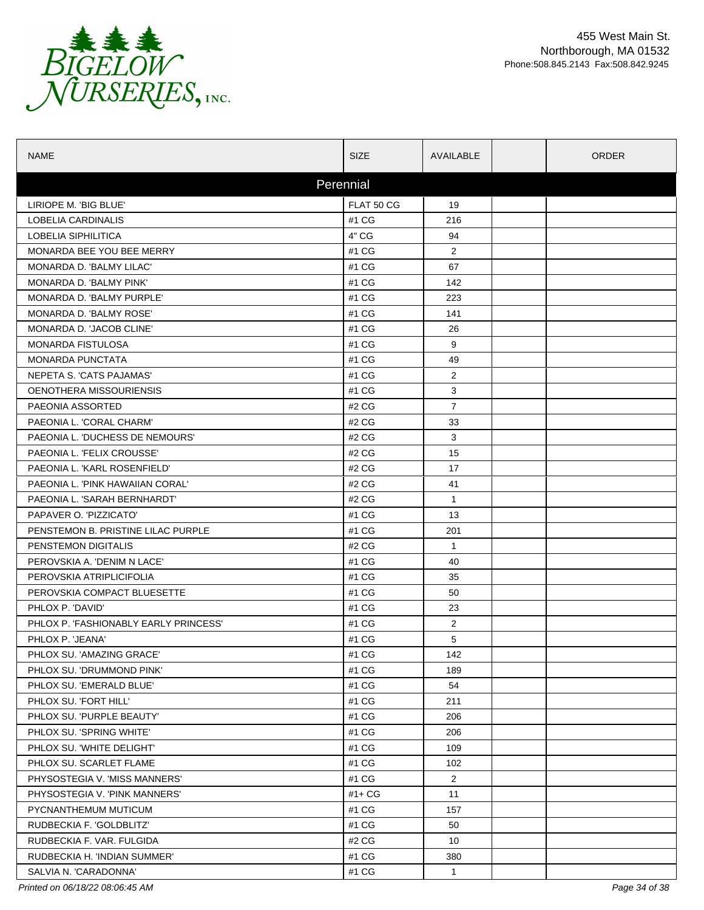

| <b>NAME</b>                          | <b>SIZE</b> | AVAILABLE      | <b>ORDER</b> |
|--------------------------------------|-------------|----------------|--------------|
|                                      | Perennial   |                |              |
| LIRIOPE M. 'BIG BLUE'                | FLAT 50 CG  | 19             |              |
| <b>LOBELIA CARDINALIS</b>            | #1 CG       | 216            |              |
| LOBELIA SIPHILITICA                  | 4" CG       | 94             |              |
| MONARDA BEE YOU BEE MERRY            | #1 CG       | $\overline{2}$ |              |
| MONARDA D. 'BALMY LILAC'             | #1 CG       | 67             |              |
| <b>MONARDA D. 'BALMY PINK'</b>       | #1 CG       | 142            |              |
| MONARDA D. 'BALMY PURPLE'            | #1 CG       | 223            |              |
| MONARDA D. 'BALMY ROSE'              | #1 CG       | 141            |              |
| MONARDA D. 'JACOB CLINE'             | #1 CG       | 26             |              |
| <b>MONARDA FISTULOSA</b>             | #1 CG       | 9              |              |
| <b>MONARDA PUNCTATA</b>              | #1 CG       | 49             |              |
| NEPETA S. 'CATS PAJAMAS'             | #1 CG       | $\overline{2}$ |              |
| OENOTHERA MISSOURIENSIS              | #1 CG       | 3              |              |
| PAEONIA ASSORTED                     | #2 CG       | $\overline{7}$ |              |
| PAEONIA L. 'CORAL CHARM'             | #2 CG       | 33             |              |
| PAEONIA L. 'DUCHESS DE NEMOURS'      | #2 CG       | 3              |              |
| PAEONIA L. 'FELIX CROUSSE'           | #2 CG       | 15             |              |
| PAEONIA L. 'KARL ROSENFIELD'         | #2 CG       | 17             |              |
| PAEONIA L. 'PINK HAWAIIAN CORAL'     | #2 CG       | 41             |              |
| PAEONIA L. 'SARAH BERNHARDT'         | #2 CG       | $\mathbf{1}$   |              |
| PAPAVER O. 'PIZZICATO'               | #1 CG       | 13             |              |
| PENSTEMON B. PRISTINE LILAC PURPLE   | #1 CG       | 201            |              |
| PENSTEMON DIGITALIS                  | #2 CG       | $\mathbf{1}$   |              |
| PEROVSKIA A. 'DENIM N LACE'          | #1 CG       | 40             |              |
| PEROVSKIA ATRIPLICIFOLIA             | #1 CG       | 35             |              |
| PEROVSKIA COMPACT BLUESETTE          | #1 CG       | 50             |              |
| PHLOX P. 'DAVID'                     | #1 CG       | 23             |              |
| PHLOX P. FASHIONABLY EARLY PRINCESS' | #1 CG       | $\overline{2}$ |              |
| PHLOX P. 'JEANA'                     | #1 CG       | 5              |              |
| PHLOX SU. 'AMAZING GRACE'            | #1 CG       | 142            |              |
| PHLOX SU. 'DRUMMOND PINK'            | #1 CG       | 189            |              |
| PHLOX SU. 'EMERALD BLUE'             | #1 CG       | 54             |              |
| PHLOX SU. 'FORT HILL'                | #1 CG       | 211            |              |
| PHLOX SU. 'PURPLE BEAUTY'            | #1 CG       | 206            |              |
| PHLOX SU. 'SPRING WHITE'             | #1 CG       | 206            |              |
| PHLOX SU. 'WHITE DELIGHT'            | #1 CG       | 109            |              |
| PHLOX SU. SCARLET FLAME              | #1 CG       | 102            |              |
| PHYSOSTEGIA V. 'MISS MANNERS'        | #1 CG       | $\overline{2}$ |              |
| PHYSOSTEGIA V. 'PINK MANNERS'        | #1+ CG      | 11             |              |
| PYCNANTHEMUM MUTICUM                 | #1 CG       | 157            |              |
| RUDBECKIA F. 'GOLDBLITZ'             | #1 CG       | 50             |              |
| RUDBECKIA F. VAR. FULGIDA            | #2 CG       | 10             |              |
| RUDBECKIA H. 'INDIAN SUMMER'         | #1 CG       | 380            |              |
| SALVIA N. 'CARADONNA'                | #1 CG       | $\mathbf{1}$   |              |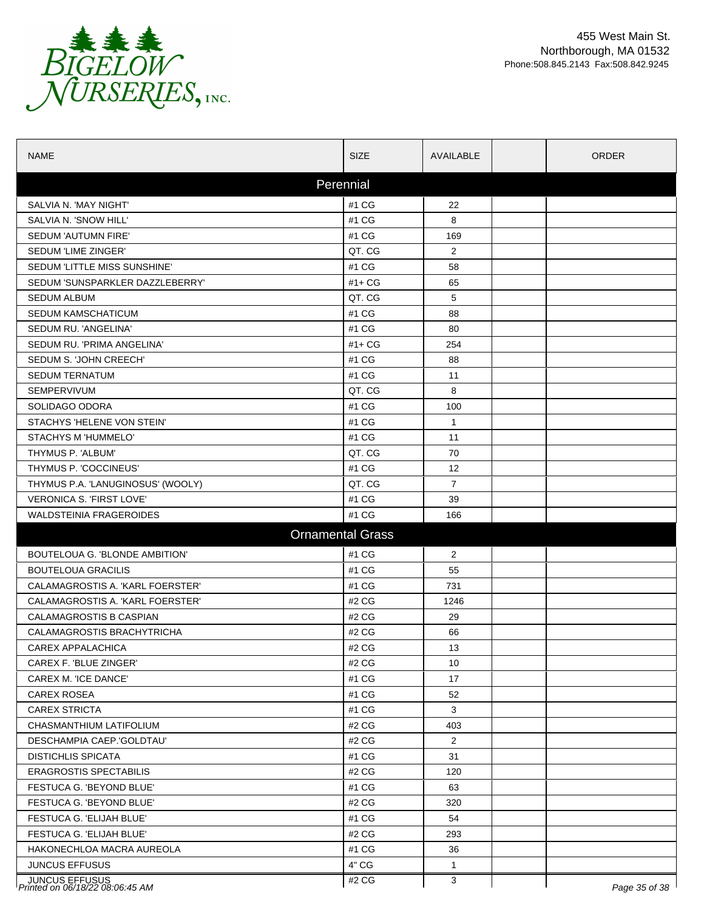

| <b>NAME</b>                                       | <b>SIZE</b>             | AVAILABLE      | <b>ORDER</b>  |
|---------------------------------------------------|-------------------------|----------------|---------------|
|                                                   | Perennial               |                |               |
| SALVIA N. 'MAY NIGHT'                             | #1 CG                   | 22             |               |
| SALVIA N. 'SNOW HILL'                             | #1 CG                   | 8              |               |
| SEDUM 'AUTUMN FIRE'                               | #1 CG                   | 169            |               |
| SEDUM 'LIME ZINGER'                               | QT. CG                  | 2              |               |
| SEDUM 'LITTLE MISS SUNSHINE'                      | #1 CG                   | 58             |               |
| SEDUM 'SUNSPARKLER DAZZLEBERRY'                   | $#1 + CG$               | 65             |               |
| <b>SEDUM ALBUM</b>                                | QT. CG                  | 5              |               |
| SEDUM KAMSCHATICUM                                | #1 CG                   | 88             |               |
| SEDUM RU. 'ANGELINA'                              | #1 CG                   | 80             |               |
| SEDUM RU. 'PRIMA ANGELINA'                        | $#1 + CG$               | 254            |               |
| SEDUM S. 'JOHN CREECH'                            | #1 CG                   | 88             |               |
| <b>SEDUM TERNATUM</b>                             | #1 CG                   | 11             |               |
| SEMPERVIVUM                                       | QT. CG                  | 8              |               |
| SOLIDAGO ODORA                                    | #1 CG                   | 100            |               |
| STACHYS 'HELENE VON STEIN'                        | #1 CG                   | $\mathbf{1}$   |               |
| STACHYS M 'HUMMELO'                               | #1 CG                   | 11             |               |
| THYMUS P. 'ALBUM'                                 | QT. CG                  | 70             |               |
| THYMUS P. 'COCCINEUS'                             | #1 CG                   | 12             |               |
| THYMUS P.A. 'LANUGINOSUS' (WOOLY)                 | QT. CG                  | $\overline{7}$ |               |
| <b>VERONICA S. 'FIRST LOVE'</b>                   | #1 CG                   | 39             |               |
| <b>WALDSTEINIA FRAGEROIDES</b>                    | #1 CG                   | 166            |               |
|                                                   | <b>Ornamental Grass</b> |                |               |
| BOUTELOUA G. 'BLONDE AMBITION'                    | #1 CG                   | $\overline{2}$ |               |
| <b>BOUTELOUA GRACILIS</b>                         | #1 CG                   | 55             |               |
| CALAMAGROSTIS A. 'KARL FOERSTER'                  | #1 CG                   | 731            |               |
| CALAMAGROSTIS A. 'KARL FOERSTER'                  | #2 CG                   | 1246           |               |
| CALAMAGROSTIS B CASPIAN                           | #2 CG                   | 29             |               |
| CALAMAGROSTIS BRACHYTRICHA                        | #2 CG                   | 66             |               |
| CAREX APPALACHICA                                 | #2 CG                   | 13             |               |
| CAREX F. 'BLUE ZINGER'                            | #2 CG                   | 10             |               |
| CAREX M. 'ICE DANCE'                              | #1 CG                   | 17             |               |
| CAREX ROSEA                                       | #1 CG                   | 52             |               |
| <b>CAREX STRICTA</b>                              | #1 CG                   | 3              |               |
| CHASMANTHIUM LATIFOLIUM                           | #2 CG                   | 403            |               |
| DESCHAMPIA CAEP.'GOLDTAU'                         | #2 CG                   | $\overline{2}$ |               |
| <b>DISTICHLIS SPICATA</b>                         | #1 CG                   | 31             |               |
| <b>ERAGROSTIS SPECTABILIS</b>                     | #2 CG                   | 120            |               |
| FESTUCA G. 'BEYOND BLUE'                          | #1 CG                   | 63             |               |
| FESTUCA G. 'BEYOND BLUE'                          | #2 CG                   | 320            |               |
| FESTUCA G. 'ELIJAH BLUE'                          | #1 CG                   | 54             |               |
| FESTUCA G. 'ELIJAH BLUE'                          | #2 CG                   | 293            |               |
| HAKONECHLOA MACRA AUREOLA                         | #1 CG                   | 36             |               |
| <b>JUNCUS EFFUSUS</b>                             | 4" CG                   | $\mathbf{1}$   |               |
| JUNCUS EFFUSUS<br>Printed on 06/18/22 08:06:45 AM | #2 CG                   | 3              | Page 35 of 38 |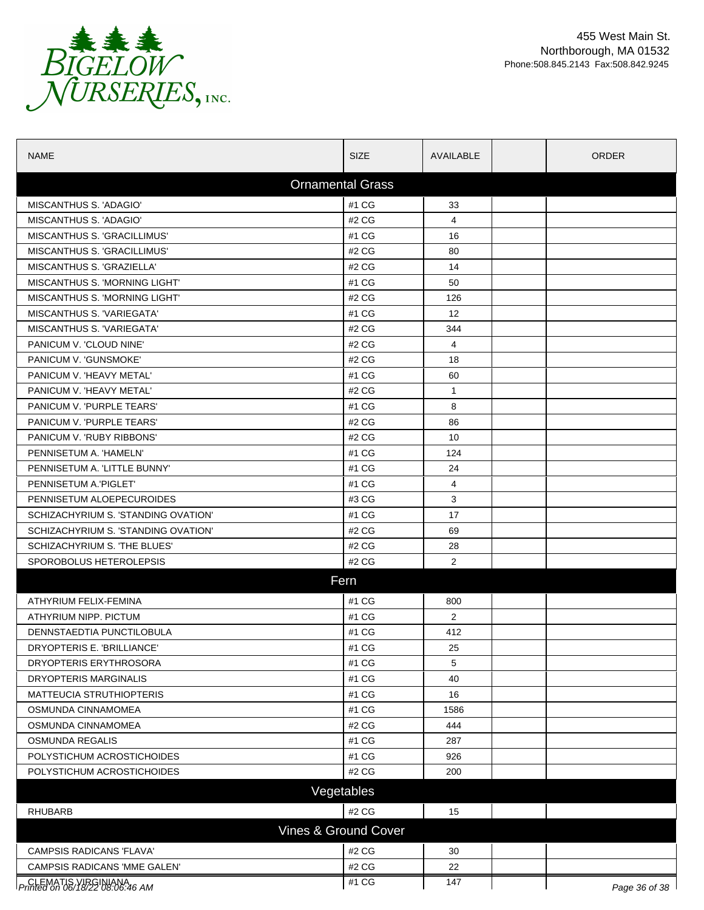

| <b>NAME</b>                          | <b>SIZE</b>             | AVAILABLE         | ORDER         |
|--------------------------------------|-------------------------|-------------------|---------------|
|                                      | <b>Ornamental Grass</b> |                   |               |
| MISCANTHUS S. 'ADAGIO'               | #1 CG                   | 33                |               |
| MISCANTHUS S. 'ADAGIO'               | #2 CG                   | 4                 |               |
| MISCANTHUS S. 'GRACILLIMUS'          | #1 CG                   | 16                |               |
| MISCANTHUS S. 'GRACILLIMUS'          | #2 CG                   | 80                |               |
| MISCANTHUS S. 'GRAZIELLA'            | #2 CG                   | 14                |               |
| MISCANTHUS S. 'MORNING LIGHT'        | #1 CG                   | 50                |               |
| <b>MISCANTHUS S. 'MORNING LIGHT'</b> | #2 CG                   | 126               |               |
| <b>MISCANTHUS S. VARIEGATA'</b>      | #1 CG                   | $12 \overline{ }$ |               |
| MISCANTHUS S. 'VARIEGATA'            | #2 CG                   | 344               |               |
| PANICUM V. 'CLOUD NINE'              | #2 CG                   | 4                 |               |
| PANICUM V. 'GUNSMOKE'                | #2 CG                   | 18                |               |
| PANICUM V. 'HEAVY METAL'             | #1 CG                   | 60                |               |
| PANICUM V. 'HEAVY METAL'             | #2 CG                   | $\mathbf{1}$      |               |
| PANICUM V. 'PURPLE TEARS'            | #1 CG                   | 8                 |               |
| PANICUM V. 'PURPLE TEARS'            | #2 CG                   | 86                |               |
| PANICUM V. 'RUBY RIBBONS'            | #2 CG                   | 10                |               |
| PENNISETUM A. 'HAMELN'               | #1 CG                   | 124               |               |
| PENNISETUM A. 'LITTLE BUNNY'         | #1 CG                   | 24                |               |
| PENNISETUM A.'PIGLET'                | #1 CG                   | $\overline{4}$    |               |
| PENNISETUM ALOEPECUROIDES            | #3 CG                   | 3                 |               |
| SCHIZACHYRIUM S. 'STANDING OVATION'  | #1 CG                   | 17                |               |
| SCHIZACHYRIUM S. 'STANDING OVATION'  | #2 CG                   | 69                |               |
| SCHIZACHYRIUM S. 'THE BLUES'         | #2 CG                   | 28                |               |
| SPOROBOLUS HETEROLEPSIS              | #2 CG                   | 2                 |               |
|                                      | Fern                    |                   |               |
| ATHYRIUM FELIX-FEMINA                | #1 CG                   | 800               |               |
| ATHYRIUM NIPP. PICTUM                | #1 CG                   | $\overline{2}$    |               |
| DENNSTAEDTIA PUNCTILOBULA            | #1 CG                   | 412               |               |
| DRYOPTERIS E. 'BRILLIANCE'           | #1 CG                   | 25                |               |
| DRYOPTERIS ERYTHROSORA               | #1 CG                   | 5                 |               |
| DRYOPTERIS MARGINALIS                | #1 CG                   | 40                |               |
| MATTEUCIA STRUTHIOPTERIS             | #1 CG                   | 16                |               |
| OSMUNDA CINNAMOMEA                   | #1 CG                   | 1586              |               |
| OSMUNDA CINNAMOMEA                   | #2 CG                   | 444               |               |
| <b>OSMUNDA REGALIS</b>               | #1 CG                   | 287               |               |
| POLYSTICHUM ACROSTICHOIDES           | #1 CG                   | 926               |               |
| POLYSTICHUM ACROSTICHOIDES           | #2 CG                   | 200               |               |
|                                      |                         |                   |               |
|                                      | Vegetables              |                   |               |
| <b>RHUBARB</b>                       | #2 CG                   | 15                |               |
|                                      | Vines & Ground Cover    |                   |               |
| <b>CAMPSIS RADICANS 'FLAVA'</b>      | #2 CG                   | 30                |               |
| CAMPSIS RADICANS 'MME GALEN'         | #2 CG                   | 22                |               |
| p.CLEMATIS / IBS 1989-06-46 AM       | #1 CG                   | 147               | Page 36 of 38 |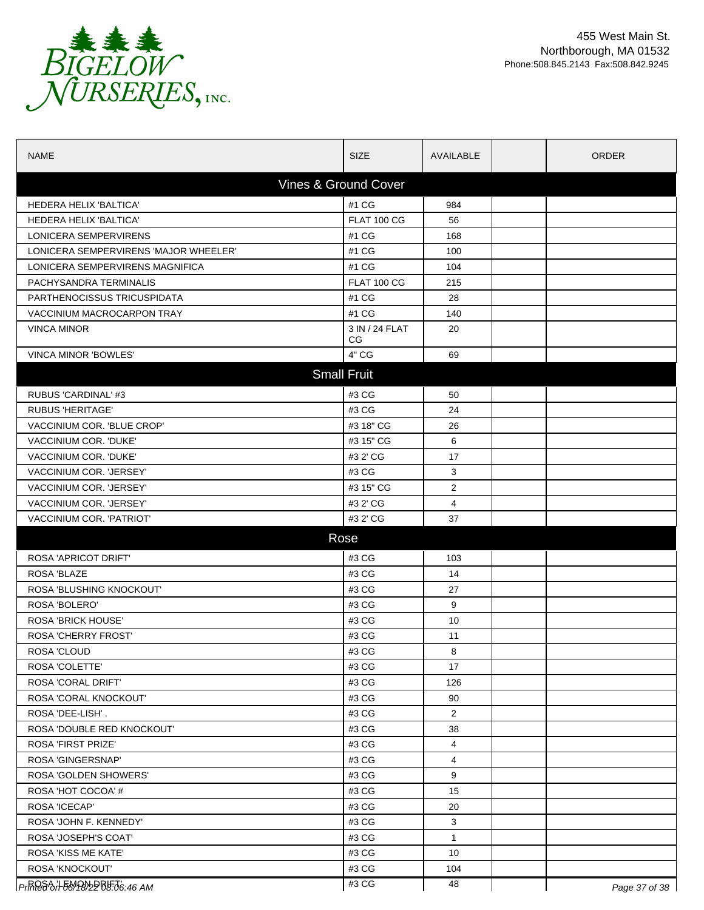

| <b>NAME</b>                                       | <b>SIZE</b>           | AVAILABLE      | <b>ORDER</b>  |  |  |  |
|---------------------------------------------------|-----------------------|----------------|---------------|--|--|--|
| Vines & Ground Cover                              |                       |                |               |  |  |  |
| <b>HEDERA HELIX 'BALTICA'</b>                     | #1 CG                 | 984            |               |  |  |  |
| <b>HEDERA HELIX 'BALTICA'</b>                     | <b>FLAT 100 CG</b>    | 56             |               |  |  |  |
| LONICERA SEMPERVIRENS                             | #1 CG                 | 168            |               |  |  |  |
| LONICERA SEMPERVIRENS 'MAJOR WHEELER'             | #1 CG                 | 100            |               |  |  |  |
| LONICERA SEMPERVIRENS MAGNIFICA                   | #1 CG                 | 104            |               |  |  |  |
| PACHYSANDRA TERMINALIS                            | <b>FLAT 100 CG</b>    | 215            |               |  |  |  |
| PARTHENOCISSUS TRICUSPIDATA                       | #1 CG                 | 28             |               |  |  |  |
| VACCINIUM MACROCARPON TRAY                        | #1 CG                 | 140            |               |  |  |  |
| <b>VINCA MINOR</b>                                | 3 IN / 24 FLAT<br>CG. | 20             |               |  |  |  |
| <b>VINCA MINOR 'BOWLES'</b>                       | 4" CG                 | 69             |               |  |  |  |
|                                                   | <b>Small Fruit</b>    |                |               |  |  |  |
| RUBUS 'CARDINAL' #3                               | #3 CG                 | 50             |               |  |  |  |
| <b>RUBUS 'HERITAGE'</b>                           | #3 CG                 | 24             |               |  |  |  |
| VACCINIUM COR. 'BLUE CROP'                        | #3 18" CG             | 26             |               |  |  |  |
| VACCINIUM COR. 'DUKE'                             | #3 15" CG             | 6              |               |  |  |  |
| VACCINIUM COR. 'DUKE'                             | #3 2' CG              | 17             |               |  |  |  |
| VACCINIUM COR. 'JERSEY'                           | #3 CG                 | 3              |               |  |  |  |
| VACCINIUM COR. 'JERSEY'                           | #3 15" CG             | $\overline{2}$ |               |  |  |  |
| VACCINIUM COR. 'JERSEY'                           | #3 2' CG              | 4              |               |  |  |  |
| VACCINIUM COR. 'PATRIOT'                          | #3 2' CG              | 37             |               |  |  |  |
| Rose                                              |                       |                |               |  |  |  |
| <b>ROSA 'APRICOT DRIFT'</b>                       | #3 CG                 | 103            |               |  |  |  |
| ROSA 'BLAZE                                       | #3 CG                 | 14             |               |  |  |  |
| ROSA 'BLUSHING KNOCKOUT'                          | #3 CG                 | 27             |               |  |  |  |
| ROSA 'BOLERO'                                     | #3 CG                 | 9              |               |  |  |  |
| <b>ROSA 'BRICK HOUSE'</b>                         | #3 CG                 | 10             |               |  |  |  |
| <b>ROSA 'CHERRY FROST'</b>                        | #3 CG                 | 11             |               |  |  |  |
| <b>ROSA 'CLOUD</b>                                | #3 CG                 | 8              |               |  |  |  |
| ROSA 'COLETTE'                                    | #3 CG                 | 17             |               |  |  |  |
| <b>ROSA 'CORAL DRIFT'</b>                         | #3 CG                 | 126            |               |  |  |  |
| ROSA 'CORAL KNOCKOUT'                             | #3 CG                 | 90             |               |  |  |  |
| ROSA 'DEE-LISH'.                                  | #3 CG                 | $\overline{2}$ |               |  |  |  |
| ROSA 'DOUBLE RED KNOCKOUT'                        | #3 CG                 | 38             |               |  |  |  |
| <b>ROSA 'FIRST PRIZE'</b>                         | #3 CG                 | 4              |               |  |  |  |
| <b>ROSA 'GINGERSNAP'</b>                          | #3 CG                 | 4              |               |  |  |  |
| ROSA 'GOLDEN SHOWERS'                             | #3 CG                 | 9              |               |  |  |  |
| ROSA 'HOT COCOA' #                                | #3 CG                 | 15             |               |  |  |  |
| ROSA 'ICECAP'                                     | #3 CG                 | 20             |               |  |  |  |
| ROSA 'JOHN F. KENNEDY'                            | #3 CG                 | 3              |               |  |  |  |
| ROSA 'JOSEPH'S COAT'                              | #3 CG                 | $\mathbf{1}$   |               |  |  |  |
| ROSA 'KISS ME KATE'                               | #3 CG                 | 10             |               |  |  |  |
| ROSA 'KNOCKOUT'                                   | #3 CG                 | 104            |               |  |  |  |
| <i>PrR<del>R&amp;</del>OH-50/P8</i> 22Bb.o6:46 AM | #3 CG                 | 48             | Page 37 of 38 |  |  |  |